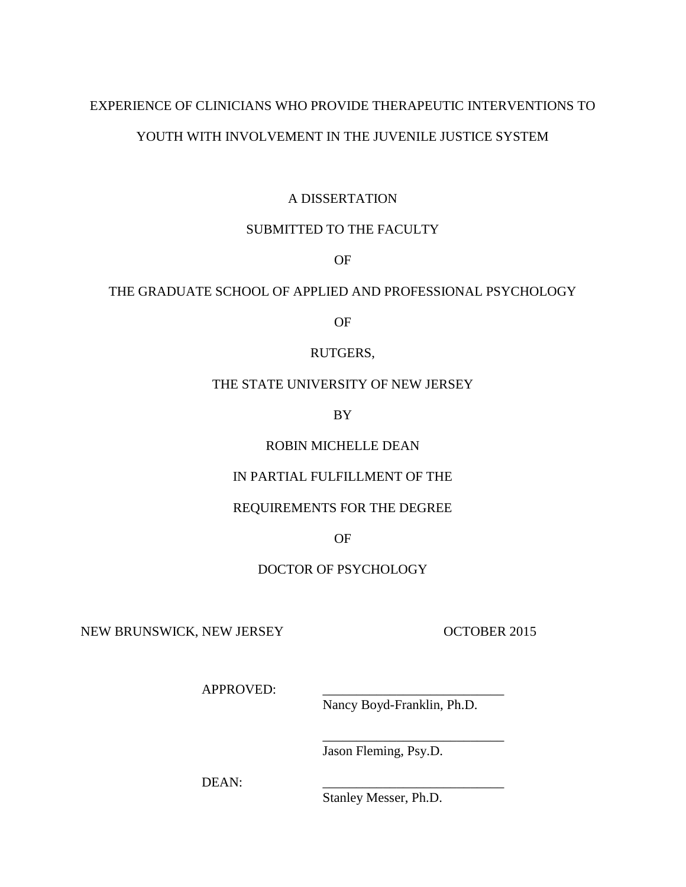## EXPERIENCE OF CLINICIANS WHO PROVIDE THERAPEUTIC INTERVENTIONS TO

# YOUTH WITH INVOLVEMENT IN THE JUVENILE JUSTICE SYSTEM

## A DISSERTATION

# SUBMITTED TO THE FACULTY

OF

## THE GRADUATE SCHOOL OF APPLIED AND PROFESSIONAL PSYCHOLOGY

OF

## RUTGERS,

## THE STATE UNIVERSITY OF NEW JERSEY

BY

# ROBIN MICHELLE DEAN

# IN PARTIAL FULFILLMENT OF THE

# REQUIREMENTS FOR THE DEGREE

## OF

# DOCTOR OF PSYCHOLOGY

NEW BRUNSWICK, NEW JERSEY OCTOBER 2015

APPROVED:

Nancy Boyd-Franklin, Ph.D.

\_\_\_\_\_\_\_\_\_\_\_\_\_\_\_\_\_\_\_\_\_\_\_\_\_\_\_

Jason Fleming, Psy.D.

DEAN:

Stanley Messer, Ph.D.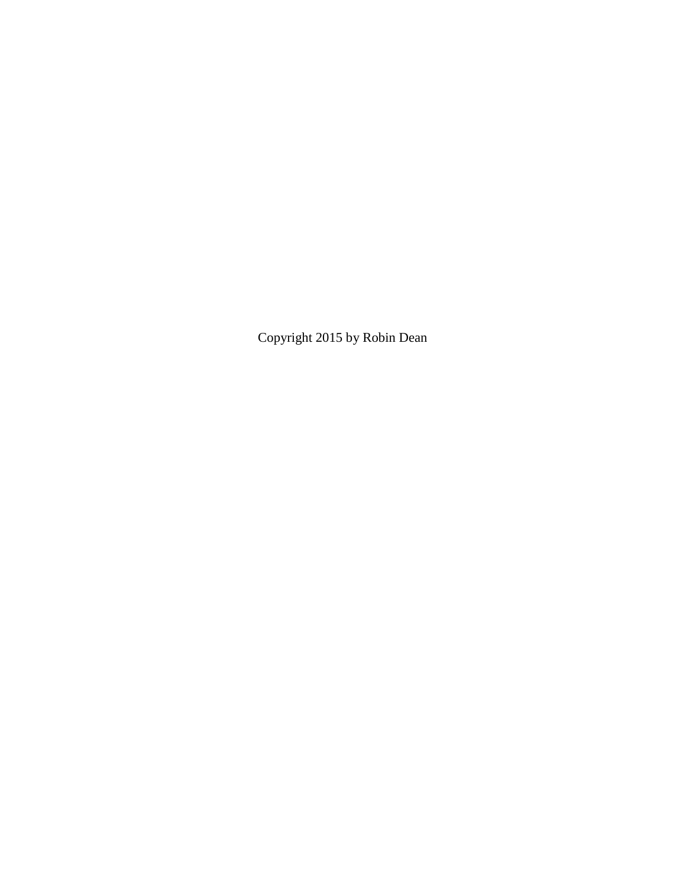Copyright 2015 by Robin Dean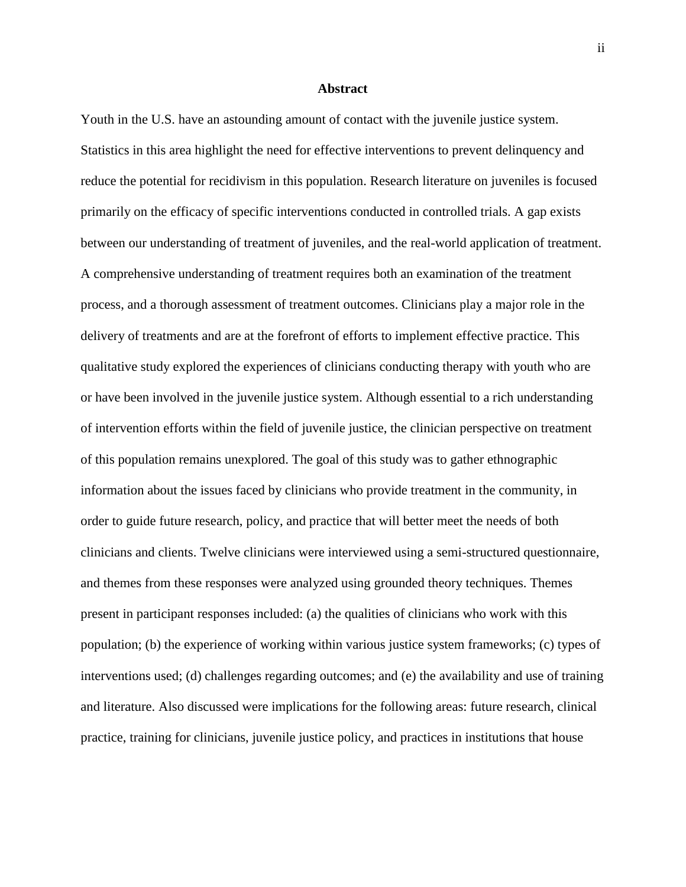#### **Abstract**

Youth in the U.S. have an astounding amount of contact with the juvenile justice system. Statistics in this area highlight the need for effective interventions to prevent delinquency and reduce the potential for recidivism in this population. Research literature on juveniles is focused primarily on the efficacy of specific interventions conducted in controlled trials. A gap exists between our understanding of treatment of juveniles, and the real-world application of treatment. A comprehensive understanding of treatment requires both an examination of the treatment process, and a thorough assessment of treatment outcomes. Clinicians play a major role in the delivery of treatments and are at the forefront of efforts to implement effective practice. This qualitative study explored the experiences of clinicians conducting therapy with youth who are or have been involved in the juvenile justice system. Although essential to a rich understanding of intervention efforts within the field of juvenile justice, the clinician perspective on treatment of this population remains unexplored. The goal of this study was to gather ethnographic information about the issues faced by clinicians who provide treatment in the community, in order to guide future research, policy, and practice that will better meet the needs of both clinicians and clients. Twelve clinicians were interviewed using a semi-structured questionnaire, and themes from these responses were analyzed using grounded theory techniques. Themes present in participant responses included: (a) the qualities of clinicians who work with this population; (b) the experience of working within various justice system frameworks; (c) types of interventions used; (d) challenges regarding outcomes; and (e) the availability and use of training and literature. Also discussed were implications for the following areas: future research, clinical practice, training for clinicians, juvenile justice policy, and practices in institutions that house

ii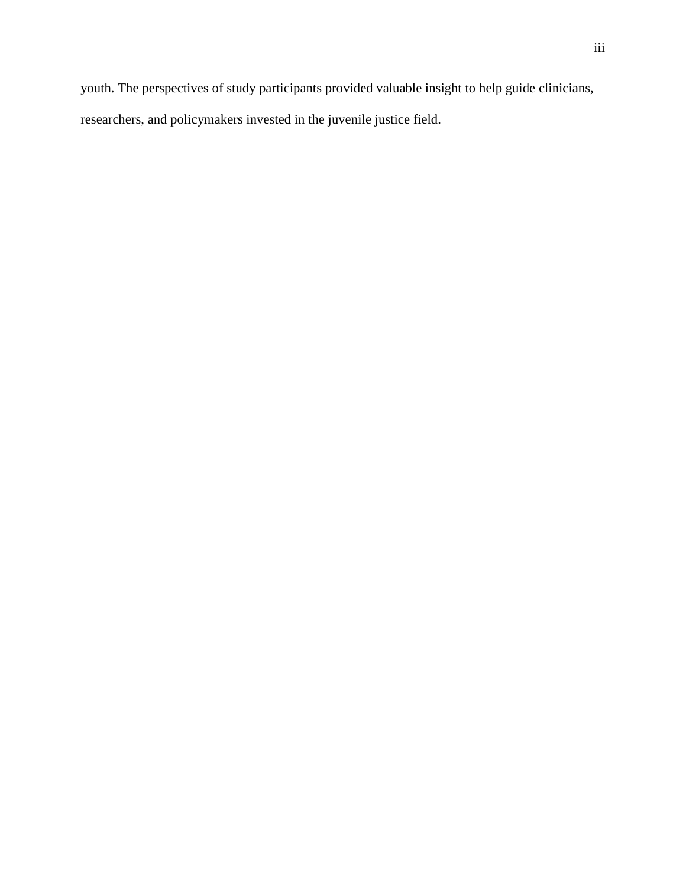youth. The perspectives of study participants provided valuable insight to help guide clinicians,

researchers, and policymakers invested in the juvenile justice field.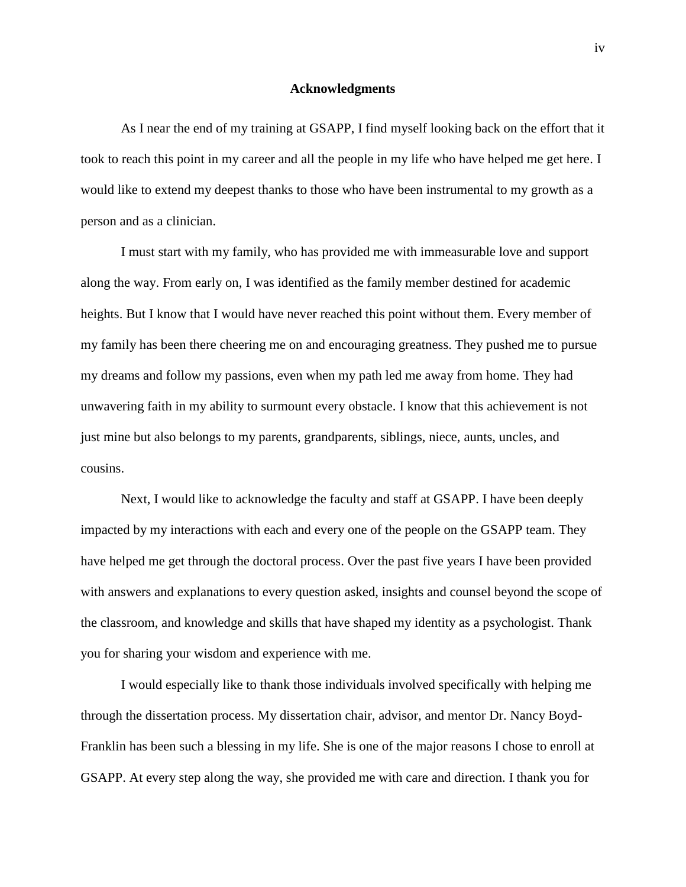#### **Acknowledgments**

As I near the end of my training at GSAPP, I find myself looking back on the effort that it took to reach this point in my career and all the people in my life who have helped me get here. I would like to extend my deepest thanks to those who have been instrumental to my growth as a person and as a clinician.

I must start with my family, who has provided me with immeasurable love and support along the way. From early on, I was identified as the family member destined for academic heights. But I know that I would have never reached this point without them. Every member of my family has been there cheering me on and encouraging greatness. They pushed me to pursue my dreams and follow my passions, even when my path led me away from home. They had unwavering faith in my ability to surmount every obstacle. I know that this achievement is not just mine but also belongs to my parents, grandparents, siblings, niece, aunts, uncles, and cousins.

Next, I would like to acknowledge the faculty and staff at GSAPP. I have been deeply impacted by my interactions with each and every one of the people on the GSAPP team. They have helped me get through the doctoral process. Over the past five years I have been provided with answers and explanations to every question asked, insights and counsel beyond the scope of the classroom, and knowledge and skills that have shaped my identity as a psychologist. Thank you for sharing your wisdom and experience with me.

I would especially like to thank those individuals involved specifically with helping me through the dissertation process. My dissertation chair, advisor, and mentor Dr. Nancy Boyd-Franklin has been such a blessing in my life. She is one of the major reasons I chose to enroll at GSAPP. At every step along the way, she provided me with care and direction. I thank you for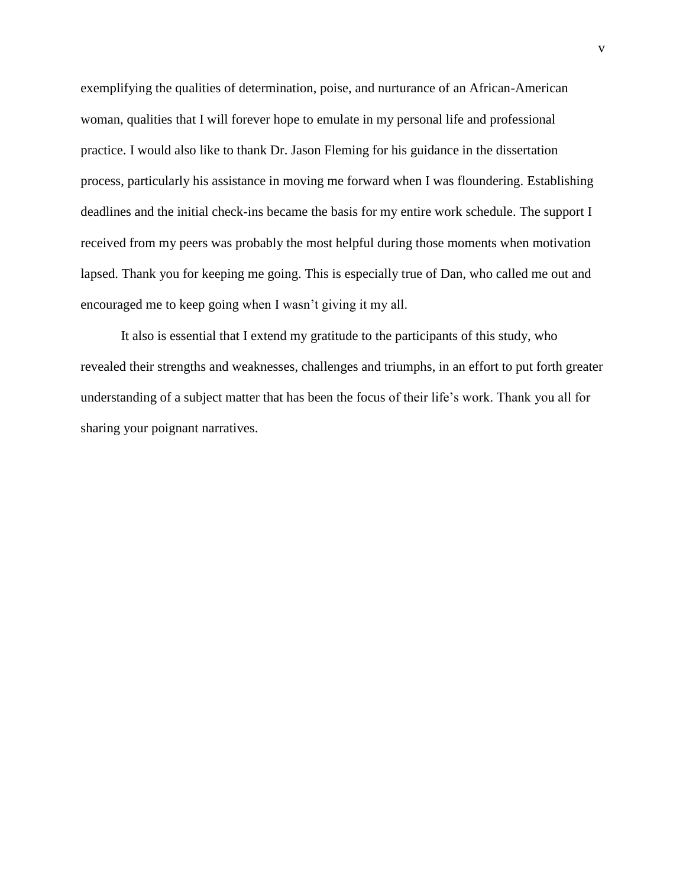exemplifying the qualities of determination, poise, and nurturance of an African-American woman, qualities that I will forever hope to emulate in my personal life and professional practice. I would also like to thank Dr. Jason Fleming for his guidance in the dissertation process, particularly his assistance in moving me forward when I was floundering. Establishing deadlines and the initial check-ins became the basis for my entire work schedule. The support I received from my peers was probably the most helpful during those moments when motivation lapsed. Thank you for keeping me going. This is especially true of Dan, who called me out and encouraged me to keep going when I wasn't giving it my all.

It also is essential that I extend my gratitude to the participants of this study, who revealed their strengths and weaknesses, challenges and triumphs, in an effort to put forth greater understanding of a subject matter that has been the focus of their life's work. Thank you all for sharing your poignant narratives.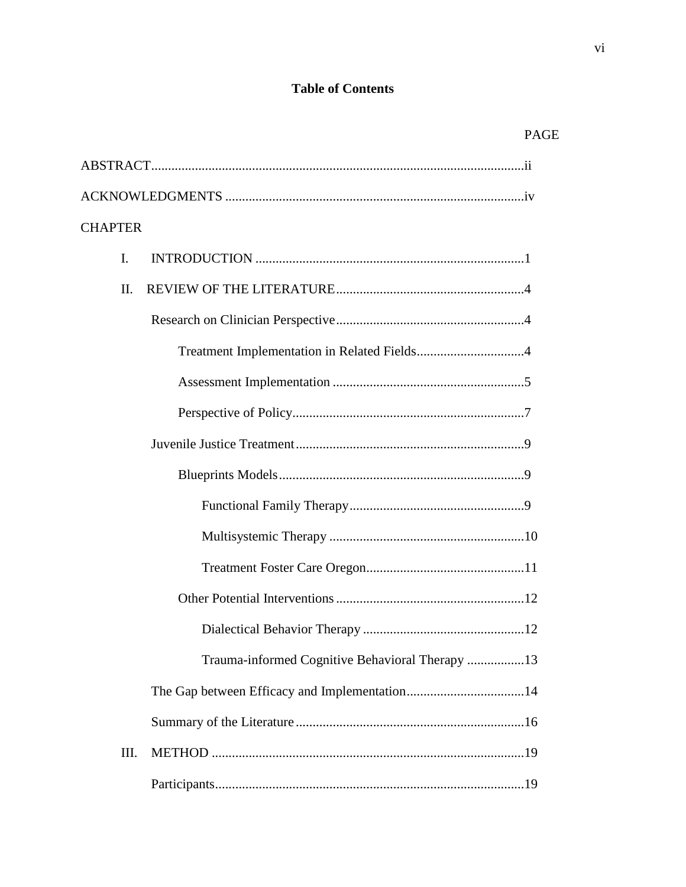# **Table of Contents**

| <b>CHAPTER</b> |                                                 |
|----------------|-------------------------------------------------|
| I.             |                                                 |
| II.            |                                                 |
|                |                                                 |
|                |                                                 |
|                |                                                 |
|                |                                                 |
|                |                                                 |
|                |                                                 |
|                |                                                 |
|                |                                                 |
|                |                                                 |
|                |                                                 |
|                |                                                 |
|                | Trauma-informed Cognitive Behavioral Therapy 13 |
|                |                                                 |
|                |                                                 |
| III.           |                                                 |
|                |                                                 |

PAGE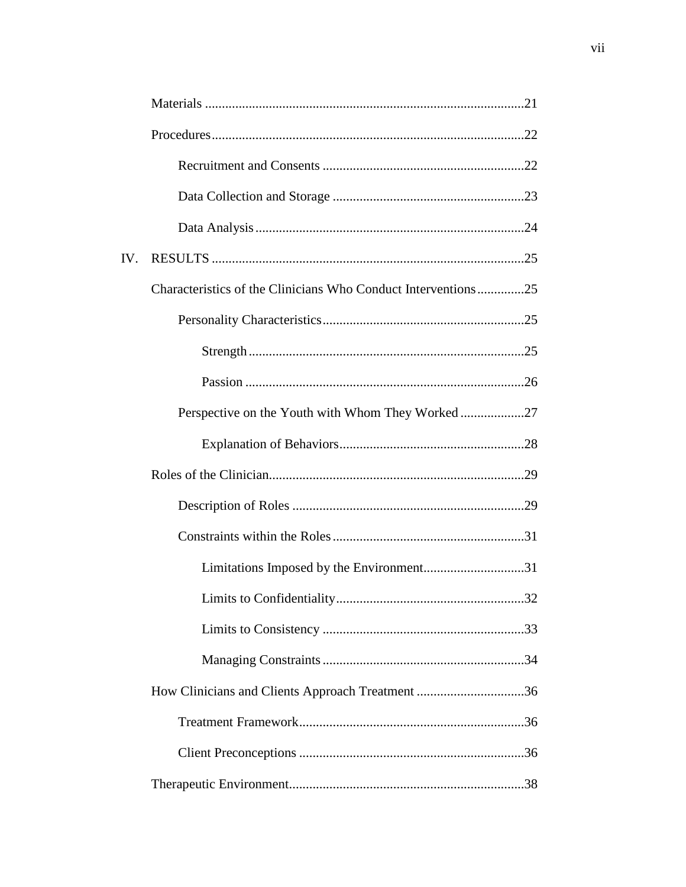| IV. |                                                               |  |
|-----|---------------------------------------------------------------|--|
|     | Characteristics of the Clinicians Who Conduct Interventions25 |  |
|     |                                                               |  |
|     |                                                               |  |
|     |                                                               |  |
|     | Perspective on the Youth with Whom They Worked27              |  |
|     |                                                               |  |
|     |                                                               |  |
|     |                                                               |  |
|     |                                                               |  |
|     |                                                               |  |
|     |                                                               |  |
|     |                                                               |  |
|     |                                                               |  |
|     | How Clinicians and Clients Approach Treatment 36              |  |
|     |                                                               |  |
|     |                                                               |  |
|     |                                                               |  |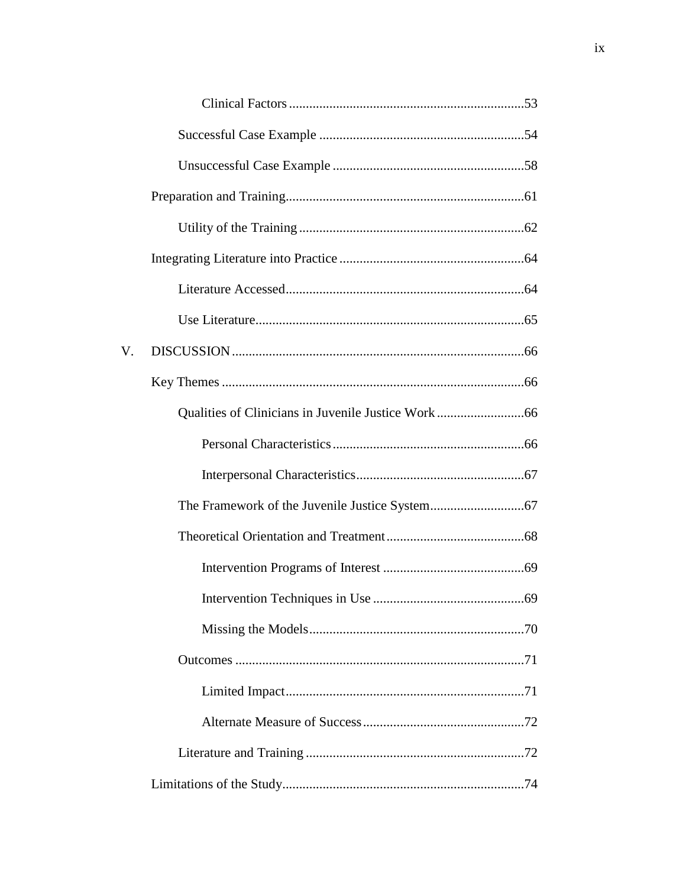| V. |  |
|----|--|
|    |  |
|    |  |
|    |  |
|    |  |
|    |  |
|    |  |
|    |  |
|    |  |
|    |  |
|    |  |
|    |  |
|    |  |
|    |  |
|    |  |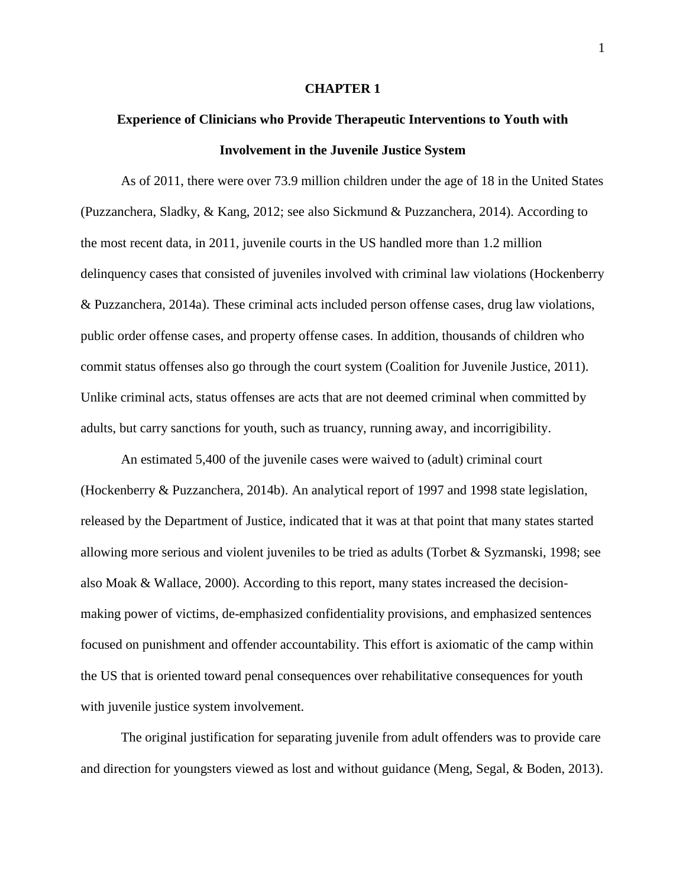## **CHAPTER 1**

# **Experience of Clinicians who Provide Therapeutic Interventions to Youth with Involvement in the Juvenile Justice System**

As of 2011, there were over 73.9 million children under the age of 18 in the United States (Puzzanchera, Sladky, & Kang, 2012; see also Sickmund & Puzzanchera, 2014). According to the most recent data, in 2011, juvenile courts in the US handled more than 1.2 million delinquency cases that consisted of juveniles involved with criminal law violations (Hockenberry & Puzzanchera, 2014a). These criminal acts included person offense cases, drug law violations, public order offense cases, and property offense cases. In addition, thousands of children who commit status offenses also go through the court system (Coalition for Juvenile Justice, 2011). Unlike criminal acts, status offenses are acts that are not deemed criminal when committed by adults, but carry sanctions for youth, such as truancy, running away, and incorrigibility.

An estimated 5,400 of the juvenile cases were waived to (adult) criminal court (Hockenberry & Puzzanchera, 2014b). An analytical report of 1997 and 1998 state legislation, released by the Department of Justice, indicated that it was at that point that many states started allowing more serious and violent juveniles to be tried as adults (Torbet & Syzmanski, 1998; see also Moak & Wallace, 2000). According to this report, many states increased the decisionmaking power of victims, de-emphasized confidentiality provisions, and emphasized sentences focused on punishment and offender accountability. This effort is axiomatic of the camp within the US that is oriented toward penal consequences over rehabilitative consequences for youth with juvenile justice system involvement.

The original justification for separating juvenile from adult offenders was to provide care and direction for youngsters viewed as lost and without guidance (Meng, Segal, & Boden, 2013).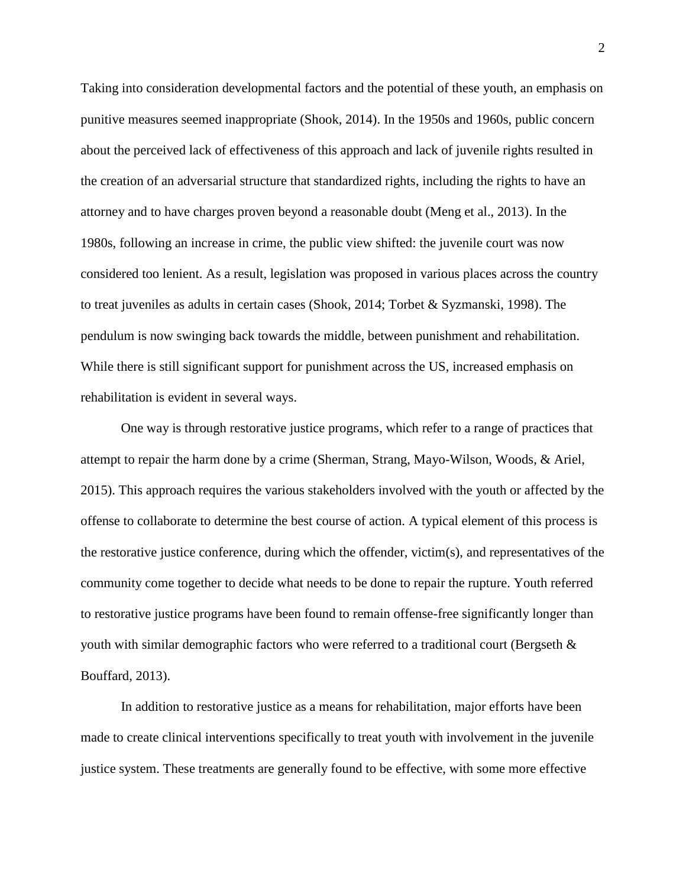Taking into consideration developmental factors and the potential of these youth, an emphasis on punitive measures seemed inappropriate (Shook, 2014). In the 1950s and 1960s, public concern about the perceived lack of effectiveness of this approach and lack of juvenile rights resulted in the creation of an adversarial structure that standardized rights, including the rights to have an attorney and to have charges proven beyond a reasonable doubt (Meng et al., 2013). In the 1980s, following an increase in crime, the public view shifted: the juvenile court was now considered too lenient. As a result, legislation was proposed in various places across the country to treat juveniles as adults in certain cases (Shook, 2014; Torbet & Syzmanski, 1998). The pendulum is now swinging back towards the middle, between punishment and rehabilitation. While there is still significant support for punishment across the US, increased emphasis on rehabilitation is evident in several ways.

One way is through restorative justice programs, which refer to a range of practices that attempt to repair the harm done by a crime (Sherman, Strang, Mayo-Wilson, Woods, & Ariel, 2015). This approach requires the various stakeholders involved with the youth or affected by the offense to collaborate to determine the best course of action. A typical element of this process is the restorative justice conference, during which the offender, victim(s), and representatives of the community come together to decide what needs to be done to repair the rupture. Youth referred to restorative justice programs have been found to remain offense-free significantly longer than youth with similar demographic factors who were referred to a traditional court (Bergseth & Bouffard, 2013).

In addition to restorative justice as a means for rehabilitation, major efforts have been made to create clinical interventions specifically to treat youth with involvement in the juvenile justice system. These treatments are generally found to be effective, with some more effective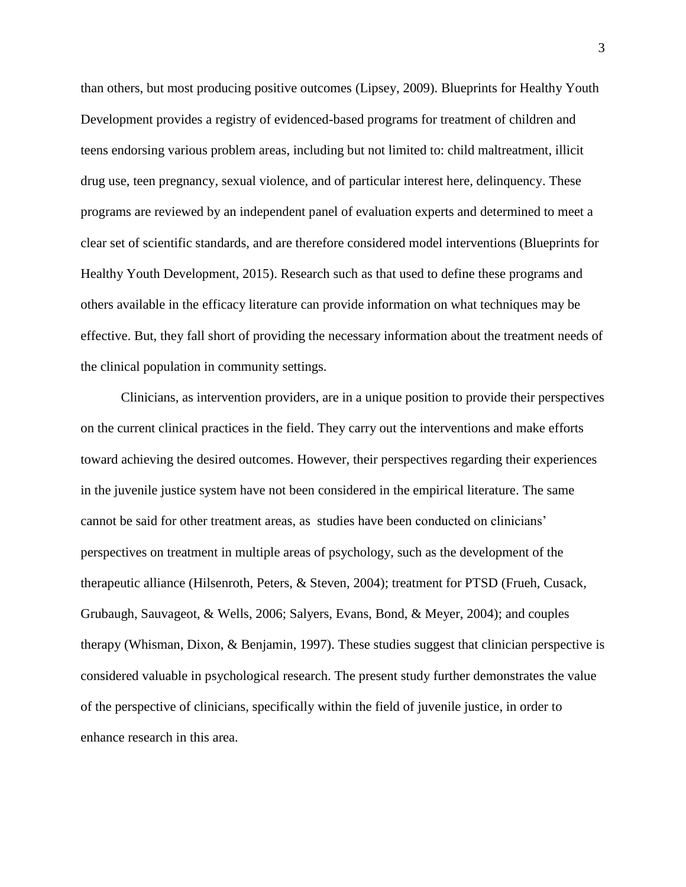than others, but most producing positive outcomes (Lipsey, 2009). Blueprints for Healthy Youth Development provides a registry of evidenced-based programs for treatment of children and teens endorsing various problem areas, including but not limited to: child maltreatment, illicit drug use, teen pregnancy, sexual violence, and of particular interest here, delinquency. These programs are reviewed by an independent panel of evaluation experts and determined to meet a clear set of scientific standards, and are therefore considered model interventions (Blueprints for Healthy Youth Development, 2015). Research such as that used to define these programs and others available in the efficacy literature can provide information on what techniques may be effective. But, they fall short of providing the necessary information about the treatment needs of the clinical population in community settings.

Clinicians, as intervention providers, are in a unique position to provide their perspectives on the current clinical practices in the field. They carry out the interventions and make efforts toward achieving the desired outcomes. However, their perspectives regarding their experiences in the juvenile justice system have not been considered in the empirical literature. The same cannot be said for other treatment areas, as studies have been conducted on clinicians' perspectives on treatment in multiple areas of psychology, such as the development of the therapeutic alliance (Hilsenroth, Peters, & Steven, 2004); treatment for PTSD (Frueh, Cusack, Grubaugh, Sauvageot, & Wells, 2006; Salyers, Evans, Bond, & Meyer, 2004); and couples therapy (Whisman, Dixon, & Benjamin, 1997). These studies suggest that clinician perspective is considered valuable in psychological research. The present study further demonstrates the value of the perspective of clinicians, specifically within the field of juvenile justice, in order to enhance research in this area.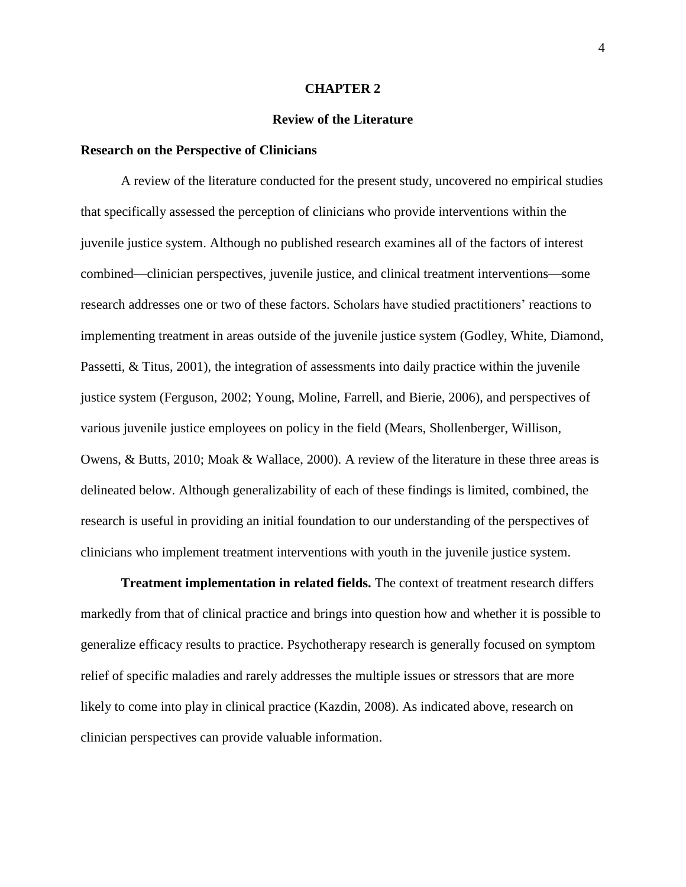#### **CHAPTER 2**

#### **Review of the Literature**

#### **Research on the Perspective of Clinicians**

A review of the literature conducted for the present study, uncovered no empirical studies that specifically assessed the perception of clinicians who provide interventions within the juvenile justice system. Although no published research examines all of the factors of interest combined—clinician perspectives, juvenile justice, and clinical treatment interventions—some research addresses one or two of these factors. Scholars have studied practitioners' reactions to implementing treatment in areas outside of the juvenile justice system (Godley, White, Diamond, Passetti, & Titus, 2001), the integration of assessments into daily practice within the juvenile justice system (Ferguson, 2002; Young, Moline, Farrell, and Bierie, 2006), and perspectives of various juvenile justice employees on policy in the field (Mears, Shollenberger, Willison, Owens, & Butts, 2010; Moak & Wallace, 2000). A review of the literature in these three areas is delineated below. Although generalizability of each of these findings is limited, combined, the research is useful in providing an initial foundation to our understanding of the perspectives of clinicians who implement treatment interventions with youth in the juvenile justice system.

**Treatment implementation in related fields.** The context of treatment research differs markedly from that of clinical practice and brings into question how and whether it is possible to generalize efficacy results to practice. Psychotherapy research is generally focused on symptom relief of specific maladies and rarely addresses the multiple issues or stressors that are more likely to come into play in clinical practice (Kazdin, 2008). As indicated above, research on clinician perspectives can provide valuable information.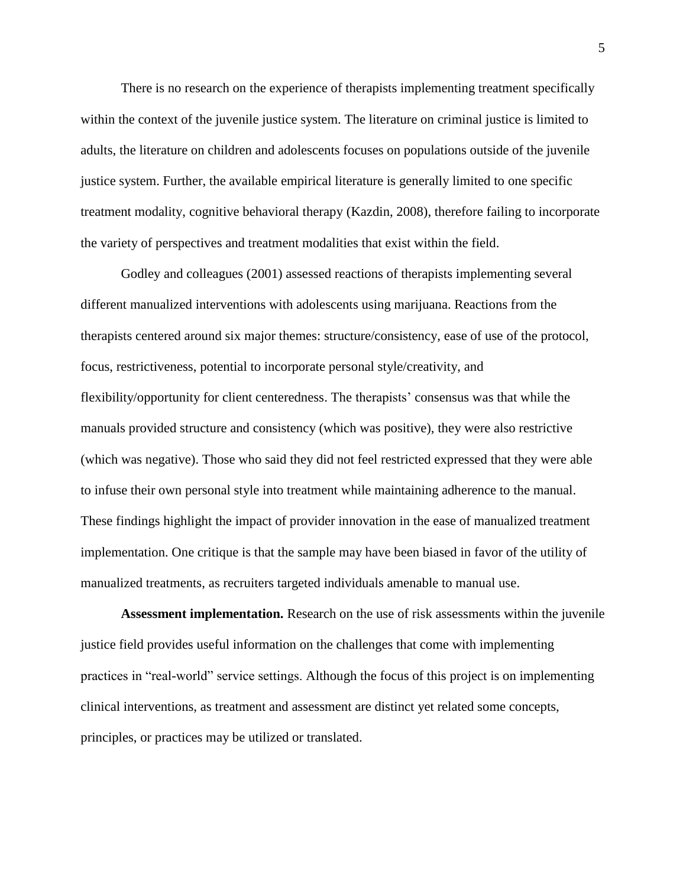There is no research on the experience of therapists implementing treatment specifically within the context of the juvenile justice system. The literature on criminal justice is limited to adults, the literature on children and adolescents focuses on populations outside of the juvenile justice system. Further, the available empirical literature is generally limited to one specific treatment modality, cognitive behavioral therapy (Kazdin, 2008), therefore failing to incorporate the variety of perspectives and treatment modalities that exist within the field.

Godley and colleagues (2001) assessed reactions of therapists implementing several different manualized interventions with adolescents using marijuana. Reactions from the therapists centered around six major themes: structure/consistency, ease of use of the protocol, focus, restrictiveness, potential to incorporate personal style/creativity, and flexibility/opportunity for client centeredness. The therapists' consensus was that while the manuals provided structure and consistency (which was positive), they were also restrictive (which was negative). Those who said they did not feel restricted expressed that they were able to infuse their own personal style into treatment while maintaining adherence to the manual. These findings highlight the impact of provider innovation in the ease of manualized treatment implementation. One critique is that the sample may have been biased in favor of the utility of manualized treatments, as recruiters targeted individuals amenable to manual use.

**Assessment implementation.** Research on the use of risk assessments within the juvenile justice field provides useful information on the challenges that come with implementing practices in "real-world" service settings. Although the focus of this project is on implementing clinical interventions, as treatment and assessment are distinct yet related some concepts, principles, or practices may be utilized or translated.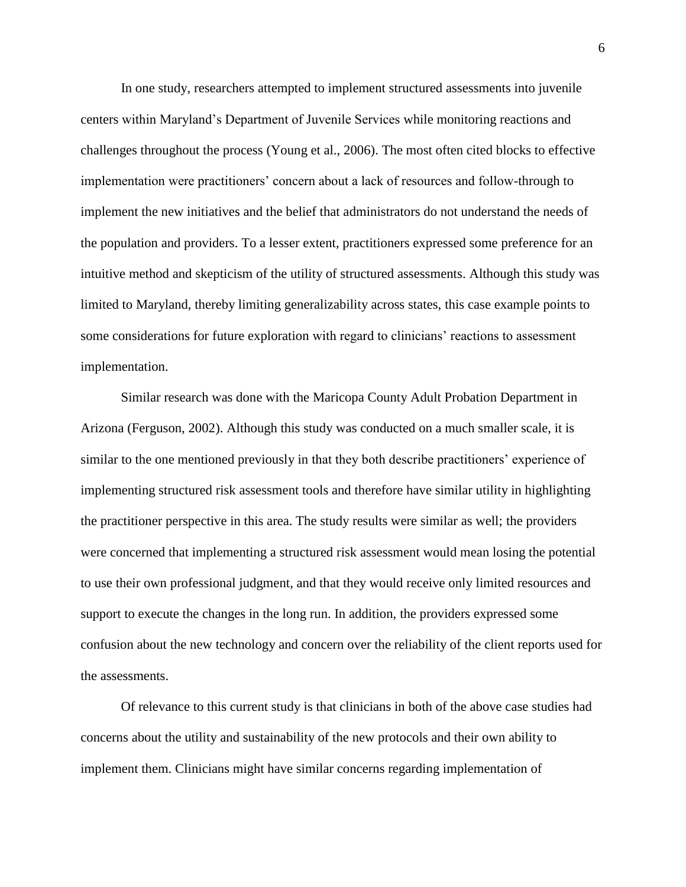In one study, researchers attempted to implement structured assessments into juvenile centers within Maryland's Department of Juvenile Services while monitoring reactions and challenges throughout the process (Young et al., 2006). The most often cited blocks to effective implementation were practitioners' concern about a lack of resources and follow-through to implement the new initiatives and the belief that administrators do not understand the needs of the population and providers. To a lesser extent, practitioners expressed some preference for an intuitive method and skepticism of the utility of structured assessments. Although this study was limited to Maryland, thereby limiting generalizability across states, this case example points to some considerations for future exploration with regard to clinicians' reactions to assessment implementation.

Similar research was done with the Maricopa County Adult Probation Department in Arizona (Ferguson, 2002). Although this study was conducted on a much smaller scale, it is similar to the one mentioned previously in that they both describe practitioners' experience of implementing structured risk assessment tools and therefore have similar utility in highlighting the practitioner perspective in this area. The study results were similar as well; the providers were concerned that implementing a structured risk assessment would mean losing the potential to use their own professional judgment, and that they would receive only limited resources and support to execute the changes in the long run. In addition, the providers expressed some confusion about the new technology and concern over the reliability of the client reports used for the assessments.

Of relevance to this current study is that clinicians in both of the above case studies had concerns about the utility and sustainability of the new protocols and their own ability to implement them. Clinicians might have similar concerns regarding implementation of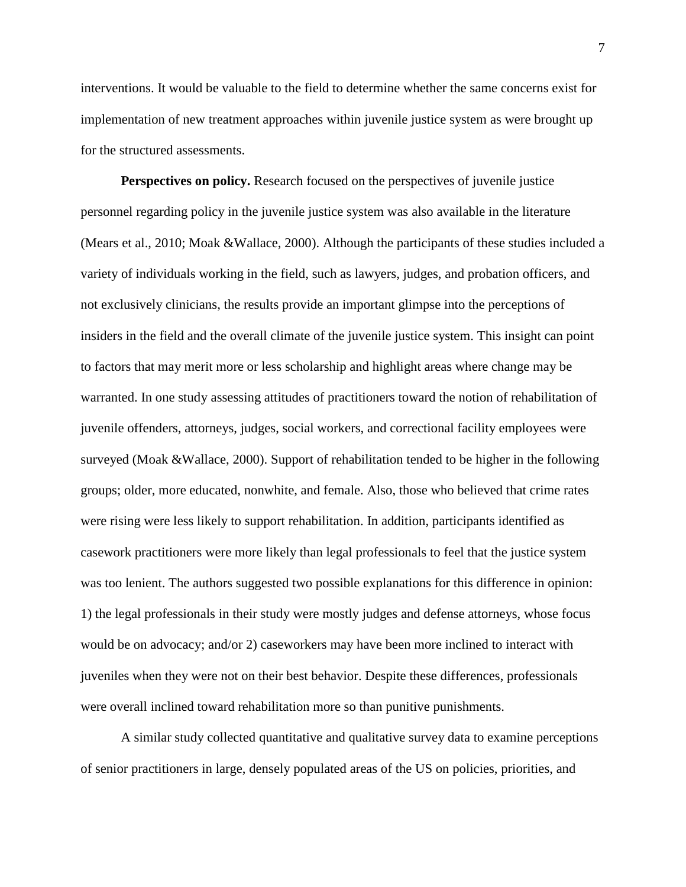interventions. It would be valuable to the field to determine whether the same concerns exist for implementation of new treatment approaches within juvenile justice system as were brought up for the structured assessments.

**Perspectives on policy.** Research focused on the perspectives of juvenile justice personnel regarding policy in the juvenile justice system was also available in the literature (Mears et al., 2010; Moak &Wallace, 2000). Although the participants of these studies included a variety of individuals working in the field, such as lawyers, judges, and probation officers, and not exclusively clinicians, the results provide an important glimpse into the perceptions of insiders in the field and the overall climate of the juvenile justice system. This insight can point to factors that may merit more or less scholarship and highlight areas where change may be warranted. In one study assessing attitudes of practitioners toward the notion of rehabilitation of juvenile offenders, attorneys, judges, social workers, and correctional facility employees were surveyed (Moak &Wallace, 2000). Support of rehabilitation tended to be higher in the following groups; older, more educated, nonwhite, and female. Also, those who believed that crime rates were rising were less likely to support rehabilitation. In addition, participants identified as casework practitioners were more likely than legal professionals to feel that the justice system was too lenient. The authors suggested two possible explanations for this difference in opinion: 1) the legal professionals in their study were mostly judges and defense attorneys, whose focus would be on advocacy; and/or 2) caseworkers may have been more inclined to interact with juveniles when they were not on their best behavior. Despite these differences, professionals were overall inclined toward rehabilitation more so than punitive punishments.

A similar study collected quantitative and qualitative survey data to examine perceptions of senior practitioners in large, densely populated areas of the US on policies, priorities, and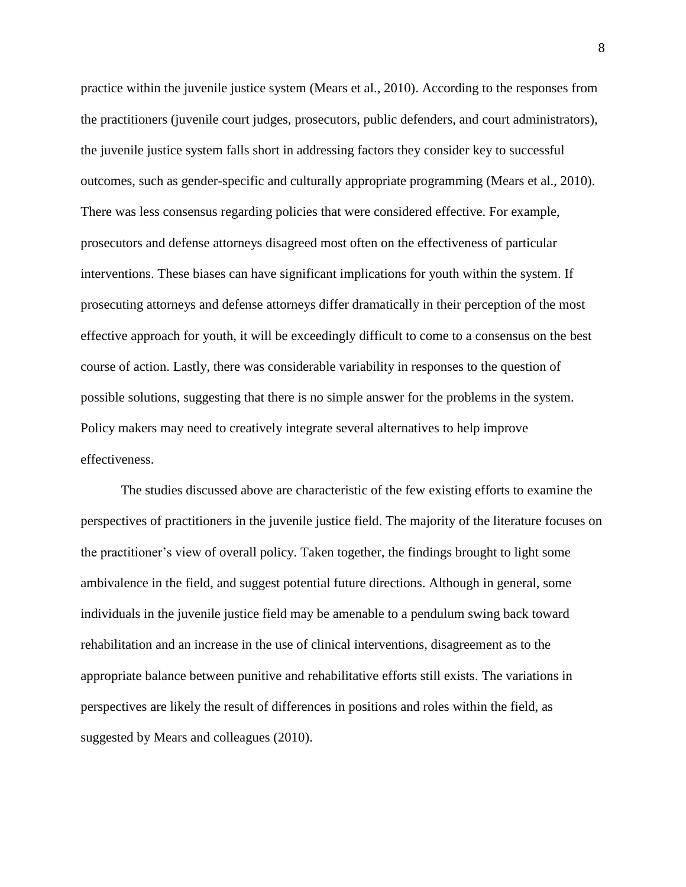practice within the juvenile justice system (Mears et al., 2010). According to the responses from the practitioners (juvenile court judges, prosecutors, public defenders, and court administrators), the juvenile justice system falls short in addressing factors they consider key to successful outcomes, such as gender-specific and culturally appropriate programming (Mears et al., 2010). There was less consensus regarding policies that were considered effective. For example, prosecutors and defense attorneys disagreed most often on the effectiveness of particular interventions. These biases can have significant implications for youth within the system. If prosecuting attorneys and defense attorneys differ dramatically in their perception of the most effective approach for youth, it will be exceedingly difficult to come to a consensus on the best course of action. Lastly, there was considerable variability in responses to the question of possible solutions, suggesting that there is no simple answer for the problems in the system. Policy makers may need to creatively integrate several alternatives to help improve effectiveness.

The studies discussed above are characteristic of the few existing efforts to examine the perspectives of practitioners in the juvenile justice field. The majority of the literature focuses on the practitioner's view of overall policy. Taken together, the findings brought to light some ambivalence in the field, and suggest potential future directions. Although in general, some individuals in the juvenile justice field may be amenable to a pendulum swing back toward rehabilitation and an increase in the use of clinical interventions, disagreement as to the appropriate balance between punitive and rehabilitative efforts still exists. The variations in perspectives are likely the result of differences in positions and roles within the field, as suggested by Mears and colleagues (2010).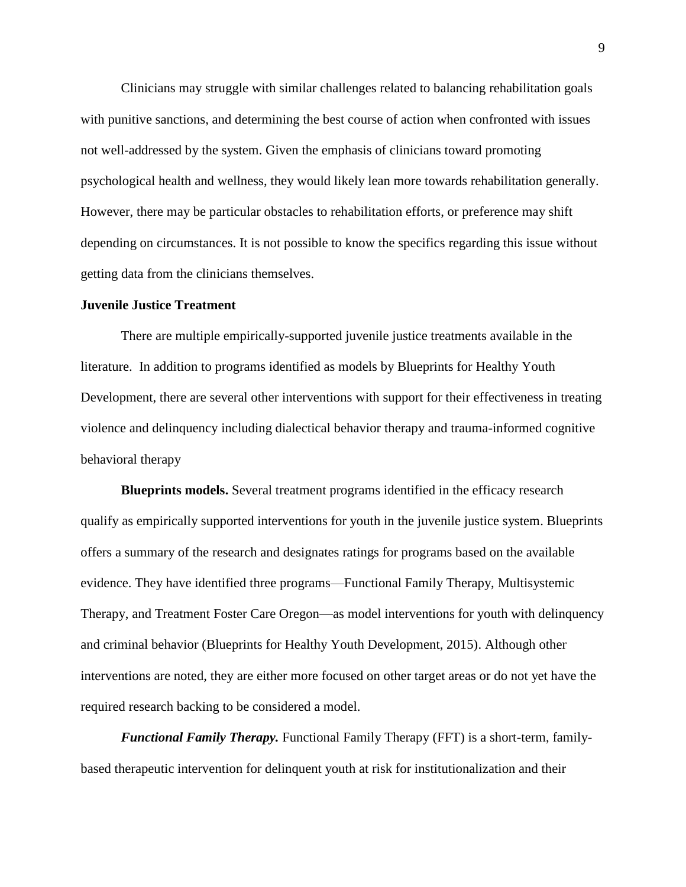Clinicians may struggle with similar challenges related to balancing rehabilitation goals with punitive sanctions, and determining the best course of action when confronted with issues not well-addressed by the system. Given the emphasis of clinicians toward promoting psychological health and wellness, they would likely lean more towards rehabilitation generally. However, there may be particular obstacles to rehabilitation efforts, or preference may shift depending on circumstances. It is not possible to know the specifics regarding this issue without getting data from the clinicians themselves.

#### **Juvenile Justice Treatment**

There are multiple empirically-supported juvenile justice treatments available in the literature. In addition to programs identified as models by Blueprints for Healthy Youth Development, there are several other interventions with support for their effectiveness in treating violence and delinquency including dialectical behavior therapy and trauma-informed cognitive behavioral therapy

**Blueprints models.** Several treatment programs identified in the efficacy research qualify as empirically supported interventions for youth in the juvenile justice system. Blueprints offers a summary of the research and designates ratings for programs based on the available evidence. They have identified three programs—Functional Family Therapy, Multisystemic Therapy, and Treatment Foster Care Oregon—as model interventions for youth with delinquency and criminal behavior (Blueprints for Healthy Youth Development, 2015). Although other interventions are noted, they are either more focused on other target areas or do not yet have the required research backing to be considered a model.

*Functional Family Therapy.* Functional Family Therapy (FFT) is a short-term, familybased therapeutic intervention for delinquent youth at risk for institutionalization and their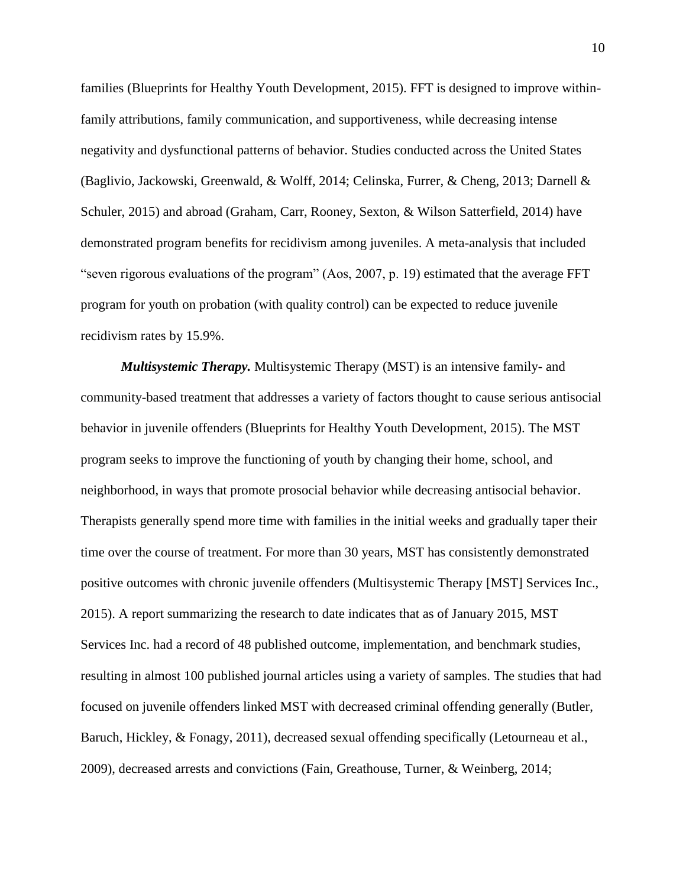families (Blueprints for Healthy Youth Development, 2015). FFT is designed to improve withinfamily attributions, family communication, and supportiveness, while decreasing intense negativity and dysfunctional patterns of behavior. Studies conducted across the United States (Baglivio, Jackowski, Greenwald, & Wolff, 2014; Celinska, Furrer, & Cheng, 2013; Darnell & Schuler, 2015) and abroad (Graham, Carr, Rooney, Sexton, & Wilson Satterfield, 2014) have demonstrated program benefits for recidivism among juveniles. A meta-analysis that included "seven rigorous evaluations of the program" (Aos, 2007, p. 19) estimated that the average FFT program for youth on probation (with quality control) can be expected to reduce juvenile recidivism rates by 15.9%.

*Multisystemic Therapy.* Multisystemic Therapy (MST) is an intensive family- and community-based treatment that addresses a variety of factors thought to cause serious antisocial behavior in juvenile offenders (Blueprints for Healthy Youth Development, 2015). The MST program seeks to improve the functioning of youth by changing their home, school, and neighborhood, in ways that promote prosocial behavior while decreasing antisocial behavior. Therapists generally spend more time with families in the initial weeks and gradually taper their time over the course of treatment. For more than 30 years, MST has consistently demonstrated positive outcomes with chronic juvenile offenders (Multisystemic Therapy [MST] Services Inc., 2015). A report summarizing the research to date indicates that as of January 2015, MST Services Inc. had a record of 48 published outcome, implementation, and benchmark studies, resulting in almost 100 published journal articles using a variety of samples. The studies that had focused on juvenile offenders linked MST with decreased criminal offending generally (Butler, Baruch, Hickley, & Fonagy, 2011), decreased sexual offending specifically (Letourneau et al., 2009), decreased arrests and convictions (Fain, Greathouse, Turner, & Weinberg, 2014;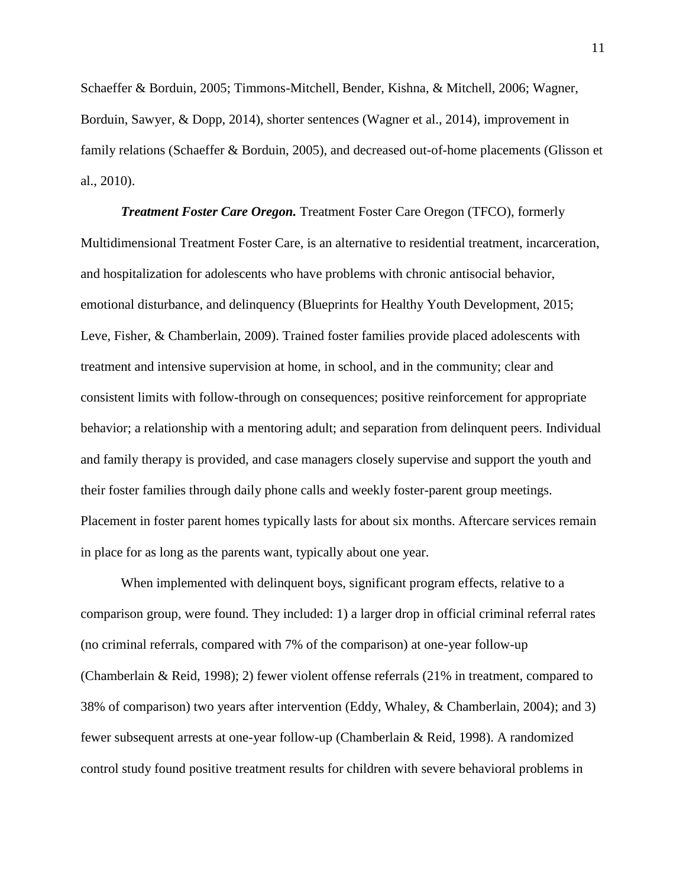Schaeffer & Borduin, 2005; Timmons-Mitchell, Bender, Kishna, & Mitchell, 2006; Wagner, Borduin, Sawyer, & Dopp, 2014), shorter sentences (Wagner et al., 2014), improvement in family relations (Schaeffer & Borduin, 2005), and decreased out-of-home placements (Glisson et al., 2010).

*Treatment Foster Care Oregon.* Treatment Foster Care Oregon (TFCO), formerly Multidimensional Treatment Foster Care, is an alternative to residential treatment, incarceration, and hospitalization for adolescents who have problems with chronic antisocial behavior, emotional disturbance, and delinquency (Blueprints for Healthy Youth Development, 2015; Leve, Fisher, & Chamberlain, 2009). Trained foster families provide placed adolescents with treatment and intensive supervision at home, in school, and in the community; clear and consistent limits with follow-through on consequences; positive reinforcement for appropriate behavior; a relationship with a mentoring adult; and separation from delinquent peers. Individual and family therapy is provided, and case managers closely supervise and support the youth and their foster families through daily phone calls and weekly foster-parent group meetings. Placement in foster parent homes typically lasts for about six months. Aftercare services remain in place for as long as the parents want, typically about one year.

When implemented with delinquent boys, significant program effects, relative to a comparison group, were found. They included: 1) a larger drop in official criminal referral rates (no criminal referrals, compared with 7% of the comparison) at one-year follow-up (Chamberlain & Reid, 1998); 2) fewer violent offense referrals (21% in treatment, compared to 38% of comparison) two years after intervention (Eddy, Whaley, & Chamberlain, 2004); and 3) fewer subsequent arrests at one-year follow-up (Chamberlain & Reid, 1998). A randomized control study found positive treatment results for children with severe behavioral problems in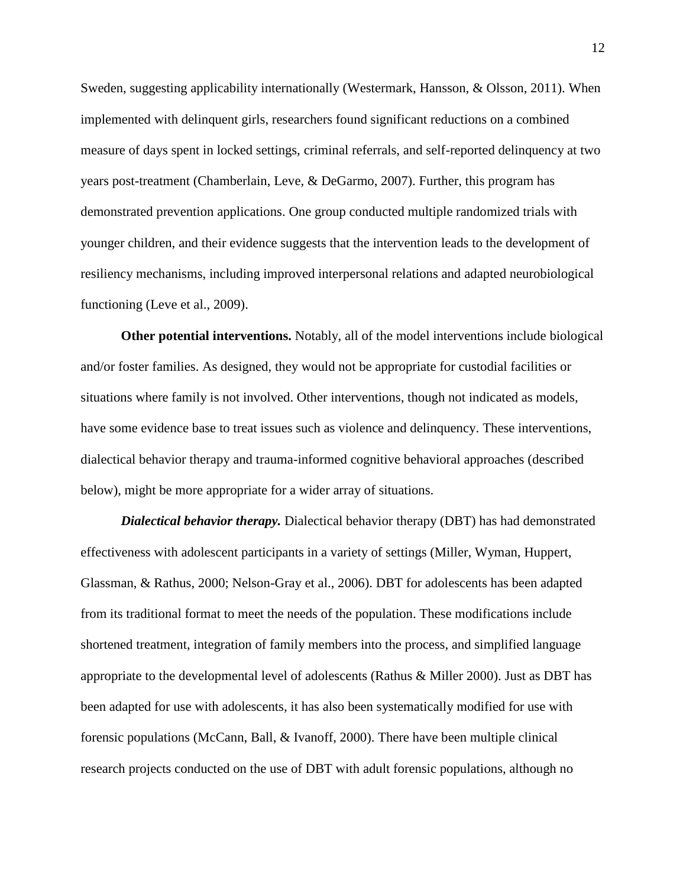Sweden, suggesting applicability internationally (Westermark, Hansson, & Olsson, 2011). When implemented with delinquent girls, researchers found significant reductions on a combined measure of days spent in locked settings, criminal referrals, and self-reported delinquency at two years post-treatment (Chamberlain, Leve, & DeGarmo, 2007). Further, this program has demonstrated prevention applications. One group conducted multiple randomized trials with younger children, and their evidence suggests that the intervention leads to the development of resiliency mechanisms, including improved interpersonal relations and adapted neurobiological functioning (Leve et al., 2009).

**Other potential interventions.** Notably, all of the model interventions include biological and/or foster families. As designed, they would not be appropriate for custodial facilities or situations where family is not involved. Other interventions, though not indicated as models, have some evidence base to treat issues such as violence and delinquency. These interventions, dialectical behavior therapy and trauma-informed cognitive behavioral approaches (described below), might be more appropriate for a wider array of situations.

*Dialectical behavior therapy.* Dialectical behavior therapy (DBT) has had demonstrated effectiveness with adolescent participants in a variety of settings (Miller, Wyman, Huppert, Glassman, & Rathus, 2000; Nelson-Gray et al., 2006). DBT for adolescents has been adapted from its traditional format to meet the needs of the population. These modifications include shortened treatment, integration of family members into the process, and simplified language appropriate to the developmental level of adolescents (Rathus & Miller 2000). Just as DBT has been adapted for use with adolescents, it has also been systematically modified for use with forensic populations (McCann, Ball, & Ivanoff, 2000). There have been multiple clinical research projects conducted on the use of DBT with adult forensic populations, although no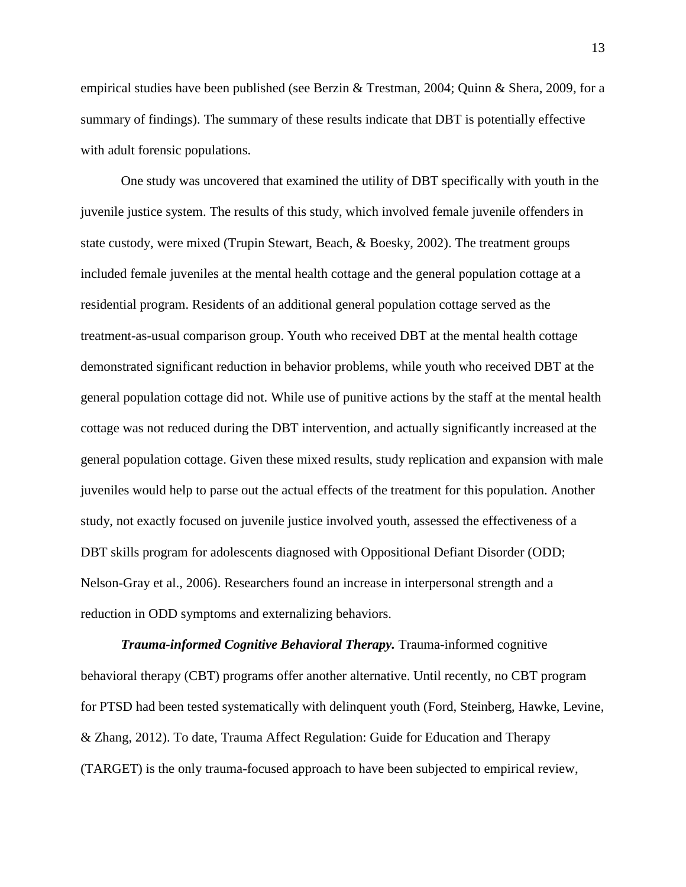empirical studies have been published (see Berzin & Trestman, 2004; Quinn & Shera, 2009, for a summary of findings). The summary of these results indicate that DBT is potentially effective with adult forensic populations.

One study was uncovered that examined the utility of DBT specifically with youth in the juvenile justice system. The results of this study, which involved female juvenile offenders in state custody, were mixed (Trupin Stewart, Beach, & Boesky, 2002). The treatment groups included female juveniles at the mental health cottage and the general population cottage at a residential program. Residents of an additional general population cottage served as the treatment-as-usual comparison group. Youth who received DBT at the mental health cottage demonstrated significant reduction in behavior problems, while youth who received DBT at the general population cottage did not. While use of punitive actions by the staff at the mental health cottage was not reduced during the DBT intervention, and actually significantly increased at the general population cottage. Given these mixed results, study replication and expansion with male juveniles would help to parse out the actual effects of the treatment for this population. Another study, not exactly focused on juvenile justice involved youth, assessed the effectiveness of a DBT skills program for adolescents diagnosed with Oppositional Defiant Disorder (ODD; Nelson-Gray et al., 2006). Researchers found an increase in interpersonal strength and a reduction in ODD symptoms and externalizing behaviors.

*Trauma-informed Cognitive Behavioral Therapy.* Trauma-informed cognitive behavioral therapy (CBT) programs offer another alternative. Until recently, no CBT program for PTSD had been tested systematically with delinquent youth (Ford, Steinberg, Hawke, Levine, & Zhang, 2012). To date, Trauma Affect Regulation: Guide for Education and Therapy (TARGET) is the only trauma-focused approach to have been subjected to empirical review,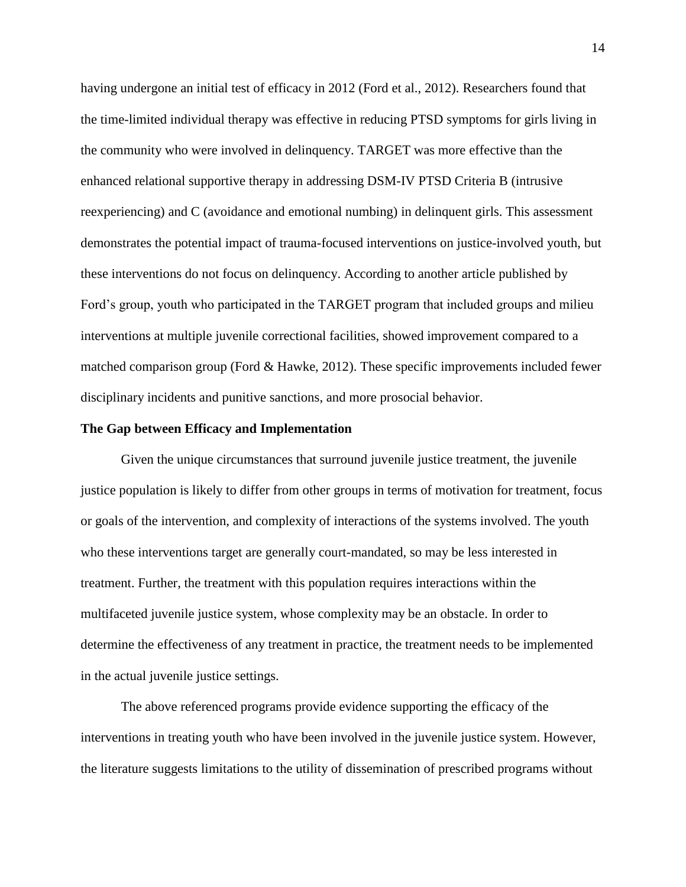having undergone an initial test of efficacy in 2012 (Ford et al., 2012). Researchers found that the time-limited individual therapy was effective in reducing PTSD symptoms for girls living in the community who were involved in delinquency. TARGET was more effective than the enhanced relational supportive therapy in addressing DSM-IV PTSD Criteria B (intrusive reexperiencing) and C (avoidance and emotional numbing) in delinquent girls. This assessment demonstrates the potential impact of trauma-focused interventions on justice-involved youth, but these interventions do not focus on delinquency. According to another article published by Ford's group, youth who participated in the TARGET program that included groups and milieu interventions at multiple juvenile correctional facilities, showed improvement compared to a matched comparison group (Ford  $\&$  Hawke, 2012). These specific improvements included fewer disciplinary incidents and punitive sanctions, and more prosocial behavior.

#### **The Gap between Efficacy and Implementation**

Given the unique circumstances that surround juvenile justice treatment, the juvenile justice population is likely to differ from other groups in terms of motivation for treatment, focus or goals of the intervention, and complexity of interactions of the systems involved. The youth who these interventions target are generally court-mandated, so may be less interested in treatment. Further, the treatment with this population requires interactions within the multifaceted juvenile justice system, whose complexity may be an obstacle. In order to determine the effectiveness of any treatment in practice, the treatment needs to be implemented in the actual juvenile justice settings.

The above referenced programs provide evidence supporting the efficacy of the interventions in treating youth who have been involved in the juvenile justice system. However, the literature suggests limitations to the utility of dissemination of prescribed programs without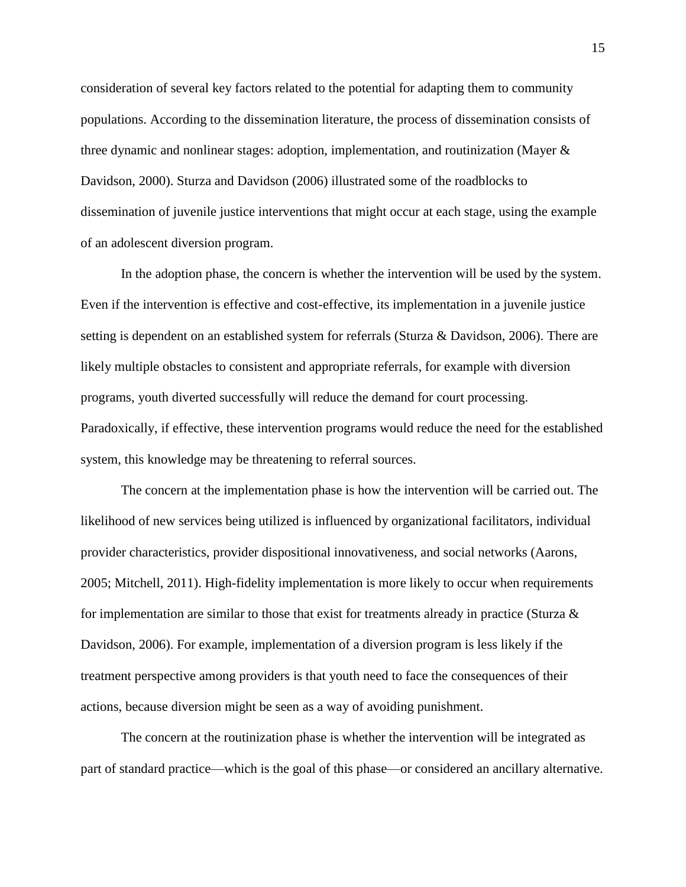consideration of several key factors related to the potential for adapting them to community populations. According to the dissemination literature, the process of dissemination consists of three dynamic and nonlinear stages: adoption, implementation, and routinization (Mayer & Davidson, 2000). Sturza and Davidson (2006) illustrated some of the roadblocks to dissemination of juvenile justice interventions that might occur at each stage, using the example of an adolescent diversion program.

In the adoption phase, the concern is whether the intervention will be used by the system. Even if the intervention is effective and cost-effective, its implementation in a juvenile justice setting is dependent on an established system for referrals (Sturza & Davidson, 2006). There are likely multiple obstacles to consistent and appropriate referrals, for example with diversion programs, youth diverted successfully will reduce the demand for court processing. Paradoxically, if effective, these intervention programs would reduce the need for the established system, this knowledge may be threatening to referral sources.

The concern at the implementation phase is how the intervention will be carried out. The likelihood of new services being utilized is influenced by organizational facilitators, individual provider characteristics, provider dispositional innovativeness, and social networks (Aarons, 2005; Mitchell, 2011). High-fidelity implementation is more likely to occur when requirements for implementation are similar to those that exist for treatments already in practice (Sturza  $\&$ Davidson, 2006). For example, implementation of a diversion program is less likely if the treatment perspective among providers is that youth need to face the consequences of their actions, because diversion might be seen as a way of avoiding punishment.

The concern at the routinization phase is whether the intervention will be integrated as part of standard practice—which is the goal of this phase—or considered an ancillary alternative.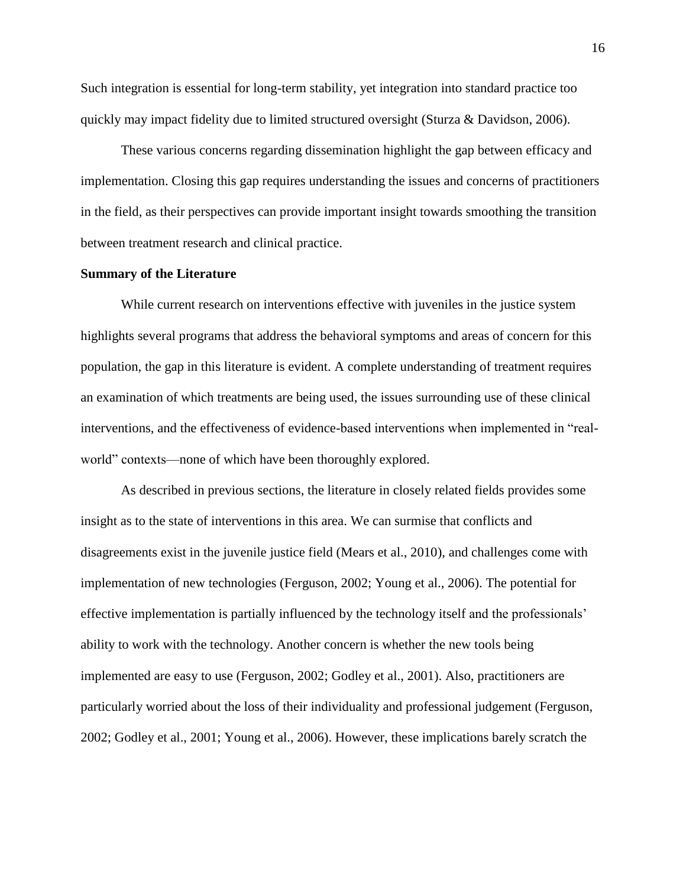Such integration is essential for long-term stability, yet integration into standard practice too quickly may impact fidelity due to limited structured oversight (Sturza & Davidson, 2006).

These various concerns regarding dissemination highlight the gap between efficacy and implementation. Closing this gap requires understanding the issues and concerns of practitioners in the field, as their perspectives can provide important insight towards smoothing the transition between treatment research and clinical practice.

#### **Summary of the Literature**

While current research on interventions effective with juveniles in the justice system highlights several programs that address the behavioral symptoms and areas of concern for this population, the gap in this literature is evident. A complete understanding of treatment requires an examination of which treatments are being used, the issues surrounding use of these clinical interventions, and the effectiveness of evidence-based interventions when implemented in "realworld" contexts—none of which have been thoroughly explored.

As described in previous sections, the literature in closely related fields provides some insight as to the state of interventions in this area. We can surmise that conflicts and disagreements exist in the juvenile justice field (Mears et al., 2010), and challenges come with implementation of new technologies (Ferguson, 2002; Young et al., 2006). The potential for effective implementation is partially influenced by the technology itself and the professionals' ability to work with the technology. Another concern is whether the new tools being implemented are easy to use (Ferguson, 2002; Godley et al., 2001). Also, practitioners are particularly worried about the loss of their individuality and professional judgement (Ferguson, 2002; Godley et al., 2001; Young et al., 2006). However, these implications barely scratch the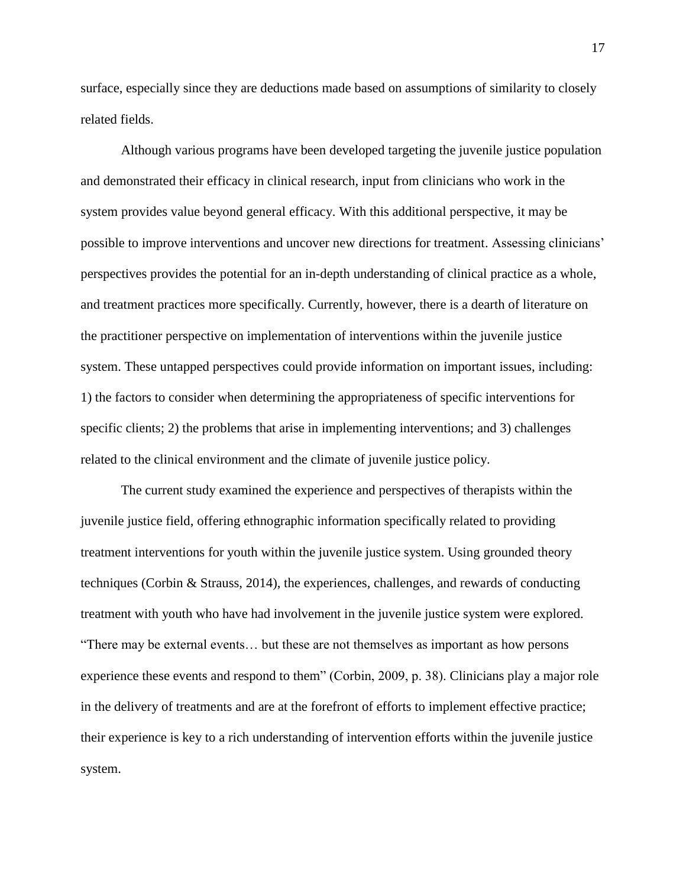surface, especially since they are deductions made based on assumptions of similarity to closely related fields.

Although various programs have been developed targeting the juvenile justice population and demonstrated their efficacy in clinical research, input from clinicians who work in the system provides value beyond general efficacy. With this additional perspective, it may be possible to improve interventions and uncover new directions for treatment. Assessing clinicians' perspectives provides the potential for an in-depth understanding of clinical practice as a whole, and treatment practices more specifically. Currently, however, there is a dearth of literature on the practitioner perspective on implementation of interventions within the juvenile justice system. These untapped perspectives could provide information on important issues, including: 1) the factors to consider when determining the appropriateness of specific interventions for specific clients; 2) the problems that arise in implementing interventions; and 3) challenges related to the clinical environment and the climate of juvenile justice policy.

The current study examined the experience and perspectives of therapists within the juvenile justice field, offering ethnographic information specifically related to providing treatment interventions for youth within the juvenile justice system. Using grounded theory techniques (Corbin & Strauss, 2014), the experiences, challenges, and rewards of conducting treatment with youth who have had involvement in the juvenile justice system were explored. "There may be external events… but these are not themselves as important as how persons experience these events and respond to them" (Corbin, 2009, p. 38). Clinicians play a major role in the delivery of treatments and are at the forefront of efforts to implement effective practice; their experience is key to a rich understanding of intervention efforts within the juvenile justice system.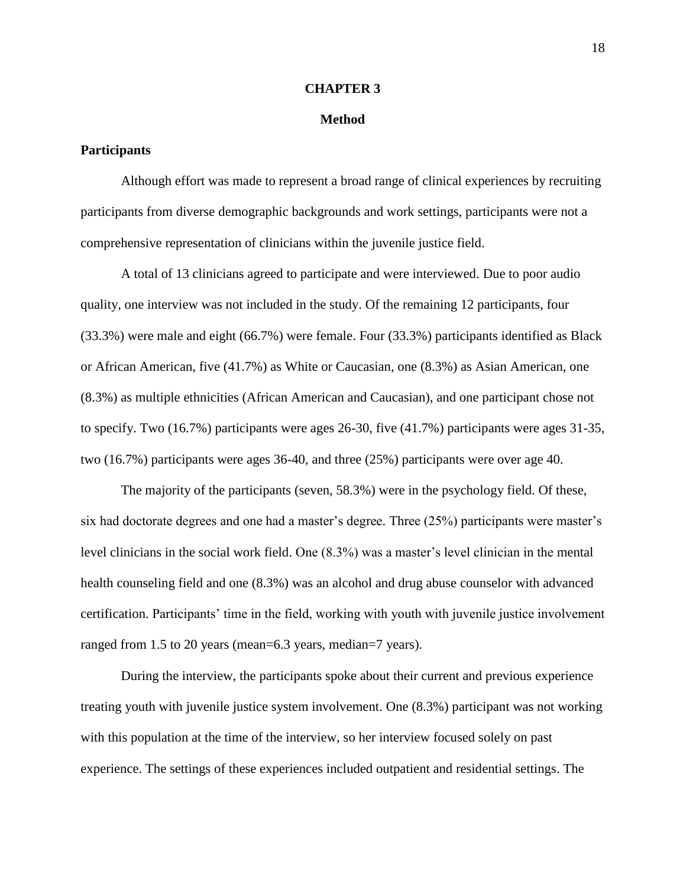#### **CHAPTER 3**

#### **Method**

#### **Participants**

Although effort was made to represent a broad range of clinical experiences by recruiting participants from diverse demographic backgrounds and work settings, participants were not a comprehensive representation of clinicians within the juvenile justice field.

A total of 13 clinicians agreed to participate and were interviewed. Due to poor audio quality, one interview was not included in the study. Of the remaining 12 participants, four (33.3%) were male and eight (66.7%) were female. Four (33.3%) participants identified as Black or African American, five (41.7%) as White or Caucasian, one (8.3%) as Asian American, one (8.3%) as multiple ethnicities (African American and Caucasian), and one participant chose not to specify. Two (16.7%) participants were ages 26-30, five (41.7%) participants were ages 31-35, two (16.7%) participants were ages 36-40, and three (25%) participants were over age 40.

The majority of the participants (seven, 58.3%) were in the psychology field. Of these, six had doctorate degrees and one had a master's degree. Three (25%) participants were master's level clinicians in the social work field. One (8.3%) was a master's level clinician in the mental health counseling field and one (8.3%) was an alcohol and drug abuse counselor with advanced certification. Participants' time in the field, working with youth with juvenile justice involvement ranged from 1.5 to 20 years (mean=6.3 years, median=7 years).

During the interview, the participants spoke about their current and previous experience treating youth with juvenile justice system involvement. One (8.3%) participant was not working with this population at the time of the interview, so her interview focused solely on past experience. The settings of these experiences included outpatient and residential settings. The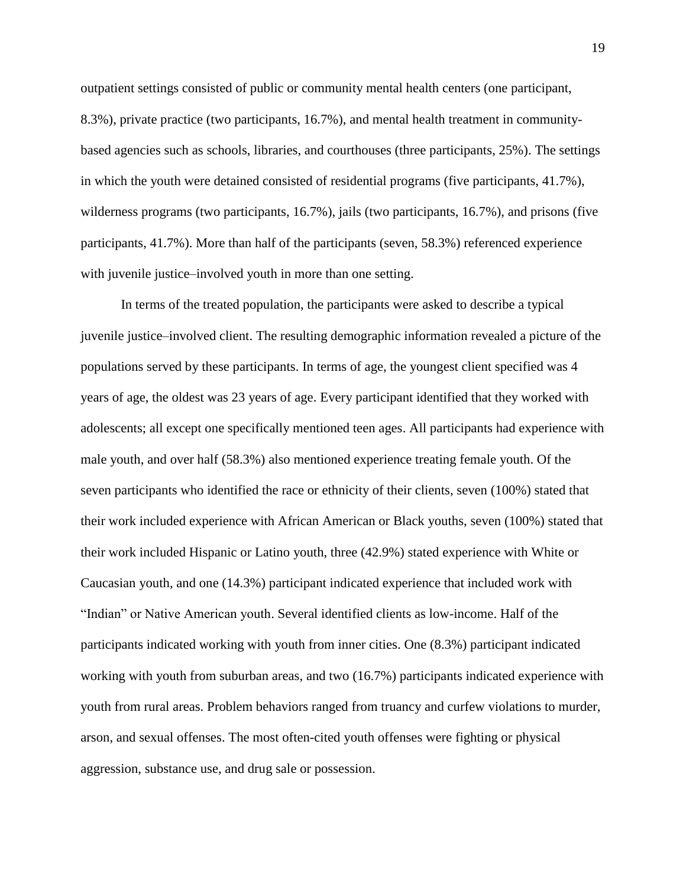outpatient settings consisted of public or community mental health centers (one participant, 8.3%), private practice (two participants, 16.7%), and mental health treatment in communitybased agencies such as schools, libraries, and courthouses (three participants, 25%). The settings in which the youth were detained consisted of residential programs (five participants, 41.7%), wilderness programs (two participants, 16.7%), jails (two participants, 16.7%), and prisons (five participants, 41.7%). More than half of the participants (seven, 58.3%) referenced experience with juvenile justice–involved youth in more than one setting.

In terms of the treated population, the participants were asked to describe a typical juvenile justice–involved client. The resulting demographic information revealed a picture of the populations served by these participants. In terms of age, the youngest client specified was 4 years of age, the oldest was 23 years of age. Every participant identified that they worked with adolescents; all except one specifically mentioned teen ages. All participants had experience with male youth, and over half (58.3%) also mentioned experience treating female youth. Of the seven participants who identified the race or ethnicity of their clients, seven (100%) stated that their work included experience with African American or Black youths, seven (100%) stated that their work included Hispanic or Latino youth, three (42.9%) stated experience with White or Caucasian youth, and one (14.3%) participant indicated experience that included work with "Indian" or Native American youth. Several identified clients as low-income. Half of the participants indicated working with youth from inner cities. One (8.3%) participant indicated working with youth from suburban areas, and two (16.7%) participants indicated experience with youth from rural areas. Problem behaviors ranged from truancy and curfew violations to murder, arson, and sexual offenses. The most often-cited youth offenses were fighting or physical aggression, substance use, and drug sale or possession.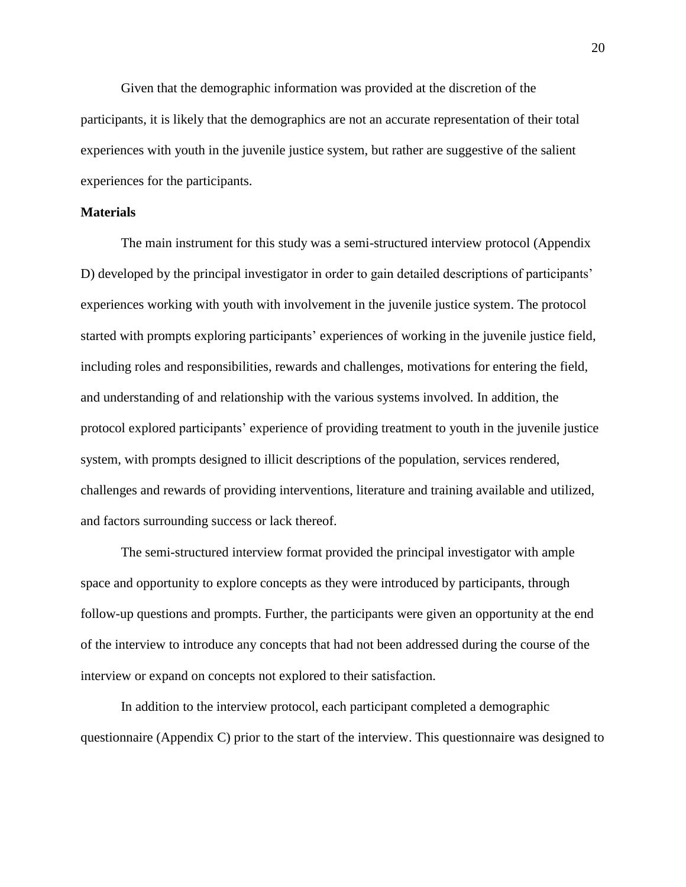Given that the demographic information was provided at the discretion of the participants, it is likely that the demographics are not an accurate representation of their total experiences with youth in the juvenile justice system, but rather are suggestive of the salient experiences for the participants.

## **Materials**

The main instrument for this study was a semi-structured interview protocol (Appendix D) developed by the principal investigator in order to gain detailed descriptions of participants' experiences working with youth with involvement in the juvenile justice system. The protocol started with prompts exploring participants' experiences of working in the juvenile justice field, including roles and responsibilities, rewards and challenges, motivations for entering the field, and understanding of and relationship with the various systems involved. In addition, the protocol explored participants' experience of providing treatment to youth in the juvenile justice system, with prompts designed to illicit descriptions of the population, services rendered, challenges and rewards of providing interventions, literature and training available and utilized, and factors surrounding success or lack thereof.

The semi-structured interview format provided the principal investigator with ample space and opportunity to explore concepts as they were introduced by participants, through follow-up questions and prompts. Further, the participants were given an opportunity at the end of the interview to introduce any concepts that had not been addressed during the course of the interview or expand on concepts not explored to their satisfaction.

In addition to the interview protocol, each participant completed a demographic questionnaire (Appendix C) prior to the start of the interview. This questionnaire was designed to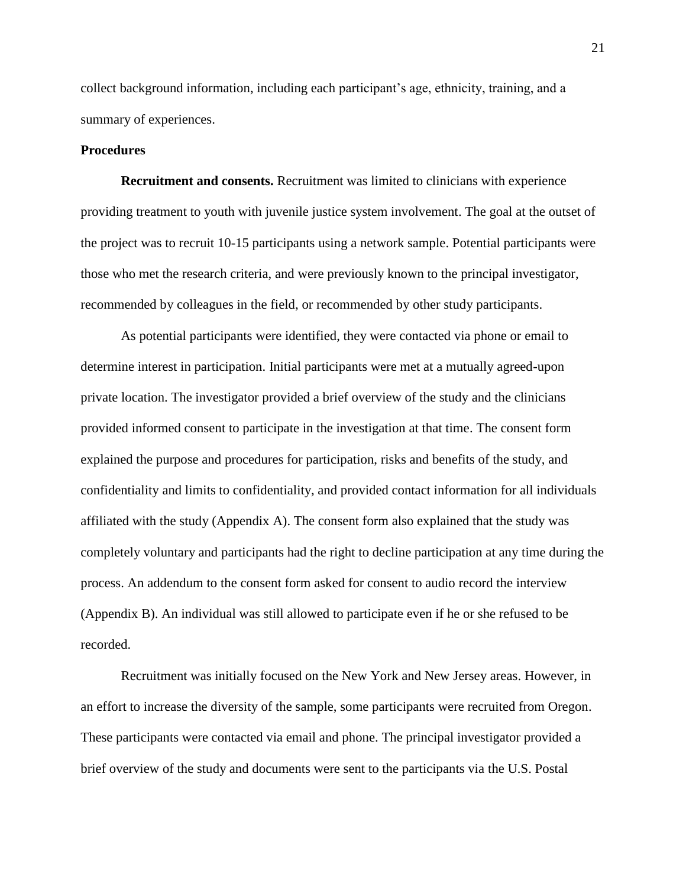collect background information, including each participant's age, ethnicity, training, and a summary of experiences.

## **Procedures**

**Recruitment and consents.** Recruitment was limited to clinicians with experience providing treatment to youth with juvenile justice system involvement. The goal at the outset of the project was to recruit 10-15 participants using a network sample. Potential participants were those who met the research criteria, and were previously known to the principal investigator, recommended by colleagues in the field, or recommended by other study participants.

As potential participants were identified, they were contacted via phone or email to determine interest in participation. Initial participants were met at a mutually agreed-upon private location. The investigator provided a brief overview of the study and the clinicians provided informed consent to participate in the investigation at that time. The consent form explained the purpose and procedures for participation, risks and benefits of the study, and confidentiality and limits to confidentiality, and provided contact information for all individuals affiliated with the study (Appendix A). The consent form also explained that the study was completely voluntary and participants had the right to decline participation at any time during the process. An addendum to the consent form asked for consent to audio record the interview (Appendix B). An individual was still allowed to participate even if he or she refused to be recorded.

Recruitment was initially focused on the New York and New Jersey areas. However, in an effort to increase the diversity of the sample, some participants were recruited from Oregon. These participants were contacted via email and phone. The principal investigator provided a brief overview of the study and documents were sent to the participants via the U.S. Postal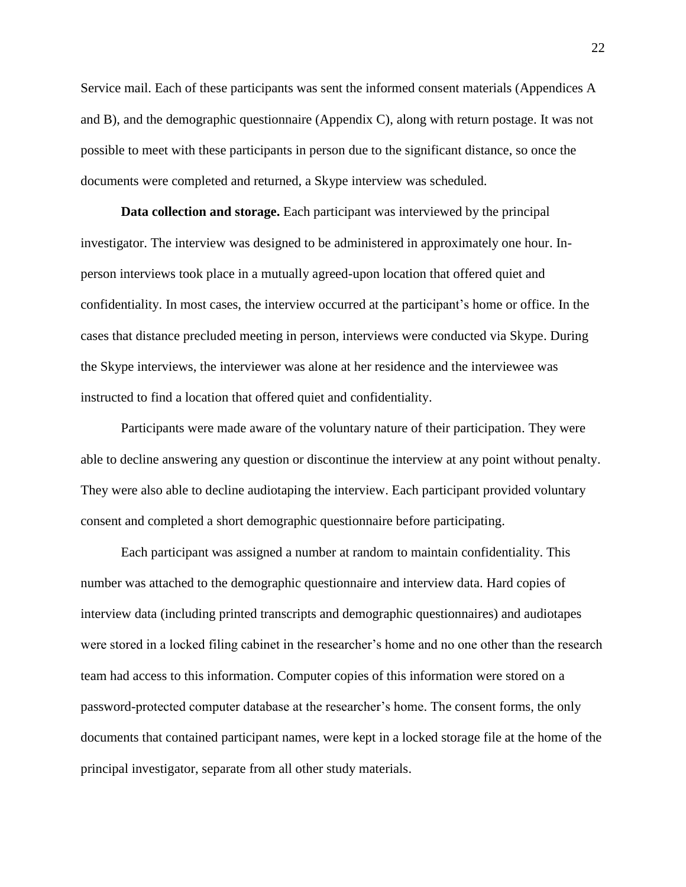Service mail. Each of these participants was sent the informed consent materials (Appendices A and B), and the demographic questionnaire (Appendix C), along with return postage. It was not possible to meet with these participants in person due to the significant distance, so once the documents were completed and returned, a Skype interview was scheduled.

**Data collection and storage.** Each participant was interviewed by the principal investigator. The interview was designed to be administered in approximately one hour. Inperson interviews took place in a mutually agreed-upon location that offered quiet and confidentiality. In most cases, the interview occurred at the participant's home or office. In the cases that distance precluded meeting in person, interviews were conducted via Skype. During the Skype interviews, the interviewer was alone at her residence and the interviewee was instructed to find a location that offered quiet and confidentiality.

Participants were made aware of the voluntary nature of their participation. They were able to decline answering any question or discontinue the interview at any point without penalty. They were also able to decline audiotaping the interview. Each participant provided voluntary consent and completed a short demographic questionnaire before participating.

Each participant was assigned a number at random to maintain confidentiality. This number was attached to the demographic questionnaire and interview data. Hard copies of interview data (including printed transcripts and demographic questionnaires) and audiotapes were stored in a locked filing cabinet in the researcher's home and no one other than the research team had access to this information. Computer copies of this information were stored on a password-protected computer database at the researcher's home. The consent forms, the only documents that contained participant names, were kept in a locked storage file at the home of the principal investigator, separate from all other study materials.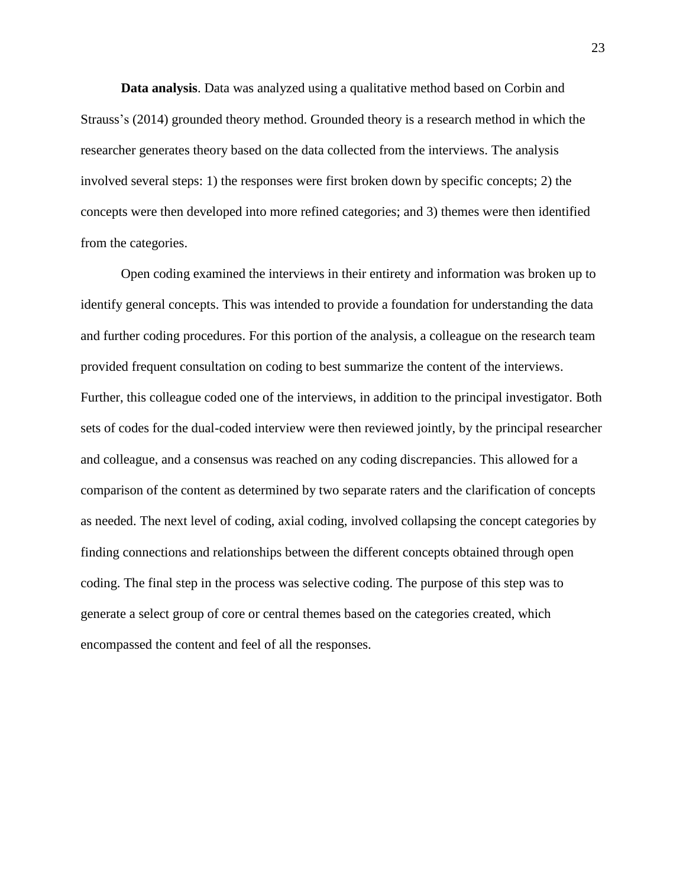**Data analysis**. Data was analyzed using a qualitative method based on Corbin and Strauss's (2014) grounded theory method. Grounded theory is a research method in which the researcher generates theory based on the data collected from the interviews. The analysis involved several steps: 1) the responses were first broken down by specific concepts; 2) the concepts were then developed into more refined categories; and 3) themes were then identified from the categories.

Open coding examined the interviews in their entirety and information was broken up to identify general concepts. This was intended to provide a foundation for understanding the data and further coding procedures. For this portion of the analysis, a colleague on the research team provided frequent consultation on coding to best summarize the content of the interviews. Further, this colleague coded one of the interviews, in addition to the principal investigator. Both sets of codes for the dual-coded interview were then reviewed jointly, by the principal researcher and colleague, and a consensus was reached on any coding discrepancies. This allowed for a comparison of the content as determined by two separate raters and the clarification of concepts as needed. The next level of coding, axial coding, involved collapsing the concept categories by finding connections and relationships between the different concepts obtained through open coding. The final step in the process was selective coding. The purpose of this step was to generate a select group of core or central themes based on the categories created, which encompassed the content and feel of all the responses.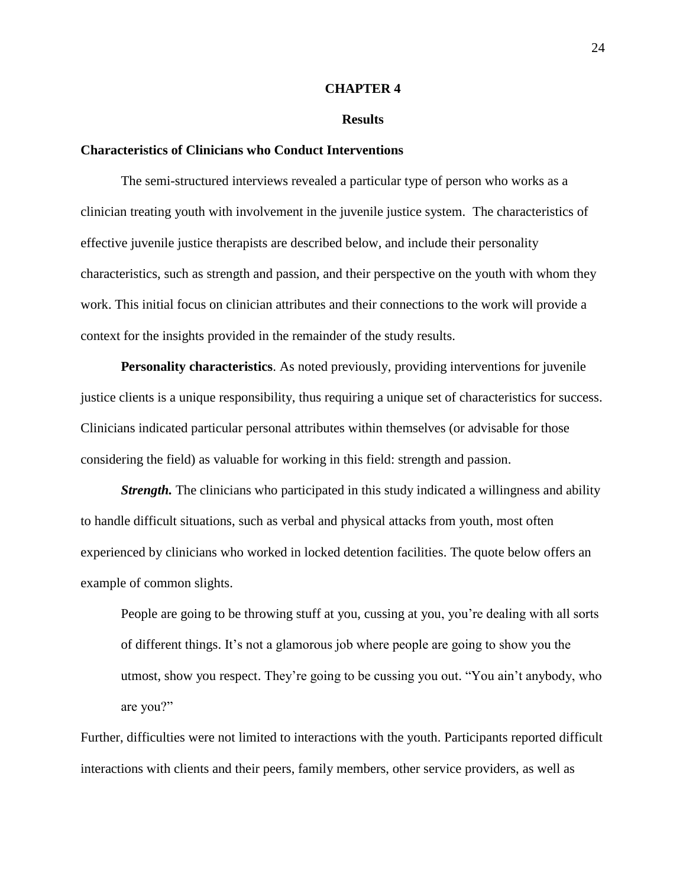#### **CHAPTER 4**

#### **Results**

## **Characteristics of Clinicians who Conduct Interventions**

The semi-structured interviews revealed a particular type of person who works as a clinician treating youth with involvement in the juvenile justice system. The characteristics of effective juvenile justice therapists are described below, and include their personality characteristics, such as strength and passion, and their perspective on the youth with whom they work. This initial focus on clinician attributes and their connections to the work will provide a context for the insights provided in the remainder of the study results.

**Personality characteristics**. As noted previously, providing interventions for juvenile justice clients is a unique responsibility, thus requiring a unique set of characteristics for success. Clinicians indicated particular personal attributes within themselves (or advisable for those considering the field) as valuable for working in this field: strength and passion.

*Strength.* The clinicians who participated in this study indicated a willingness and ability to handle difficult situations, such as verbal and physical attacks from youth, most often experienced by clinicians who worked in locked detention facilities. The quote below offers an example of common slights.

People are going to be throwing stuff at you, cussing at you, you're dealing with all sorts of different things. It's not a glamorous job where people are going to show you the utmost, show you respect. They're going to be cussing you out. "You ain't anybody, who are you?"

Further, difficulties were not limited to interactions with the youth. Participants reported difficult interactions with clients and their peers, family members, other service providers, as well as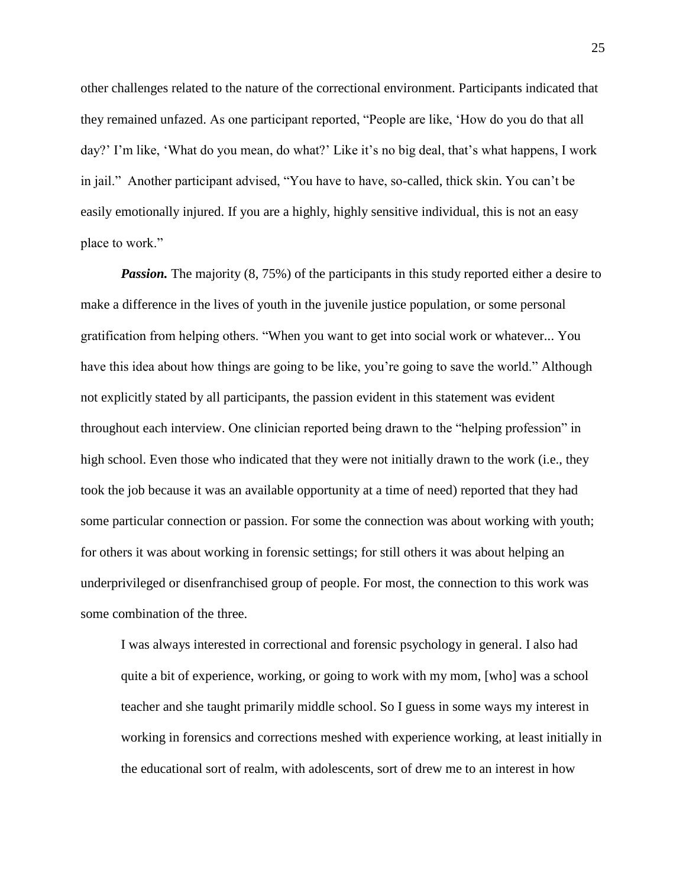other challenges related to the nature of the correctional environment. Participants indicated that they remained unfazed. As one participant reported, "People are like, 'How do you do that all day?' I'm like, 'What do you mean, do what?' Like it's no big deal, that's what happens, I work in jail." Another participant advised, "You have to have, so-called, thick skin. You can't be easily emotionally injured. If you are a highly, highly sensitive individual, this is not an easy place to work."

*Passion.* The majority (8, 75%) of the participants in this study reported either a desire to make a difference in the lives of youth in the juvenile justice population, or some personal gratification from helping others. "When you want to get into social work or whatever... You have this idea about how things are going to be like, you're going to save the world." Although not explicitly stated by all participants, the passion evident in this statement was evident throughout each interview. One clinician reported being drawn to the "helping profession" in high school. Even those who indicated that they were not initially drawn to the work (i.e., they took the job because it was an available opportunity at a time of need) reported that they had some particular connection or passion. For some the connection was about working with youth; for others it was about working in forensic settings; for still others it was about helping an underprivileged or disenfranchised group of people. For most, the connection to this work was some combination of the three.

I was always interested in correctional and forensic psychology in general. I also had quite a bit of experience, working, or going to work with my mom, [who] was a school teacher and she taught primarily middle school. So I guess in some ways my interest in working in forensics and corrections meshed with experience working, at least initially in the educational sort of realm, with adolescents, sort of drew me to an interest in how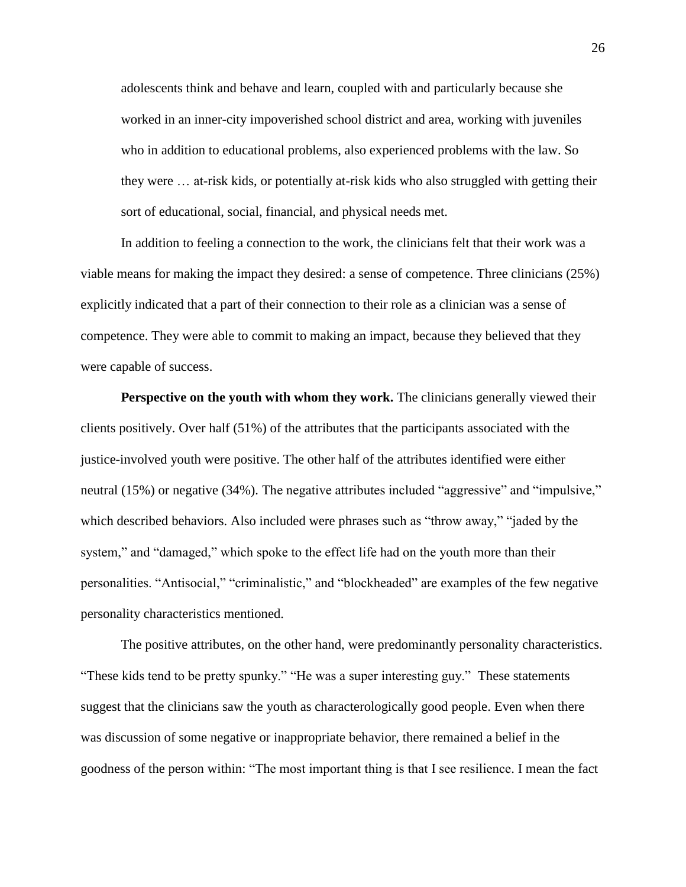adolescents think and behave and learn, coupled with and particularly because she worked in an inner-city impoverished school district and area, working with juveniles who in addition to educational problems, also experienced problems with the law. So they were … at-risk kids, or potentially at-risk kids who also struggled with getting their sort of educational, social, financial, and physical needs met.

In addition to feeling a connection to the work, the clinicians felt that their work was a viable means for making the impact they desired: a sense of competence. Three clinicians (25%) explicitly indicated that a part of their connection to their role as a clinician was a sense of competence. They were able to commit to making an impact, because they believed that they were capable of success.

**Perspective on the youth with whom they work.** The clinicians generally viewed their clients positively. Over half (51%) of the attributes that the participants associated with the justice-involved youth were positive. The other half of the attributes identified were either neutral (15%) or negative (34%). The negative attributes included "aggressive" and "impulsive," which described behaviors. Also included were phrases such as "throw away," "jaded by the system," and "damaged," which spoke to the effect life had on the youth more than their personalities. "Antisocial," "criminalistic," and "blockheaded" are examples of the few negative personality characteristics mentioned.

The positive attributes, on the other hand, were predominantly personality characteristics. "These kids tend to be pretty spunky." "He was a super interesting guy." These statements suggest that the clinicians saw the youth as characterologically good people. Even when there was discussion of some negative or inappropriate behavior, there remained a belief in the goodness of the person within: "The most important thing is that I see resilience. I mean the fact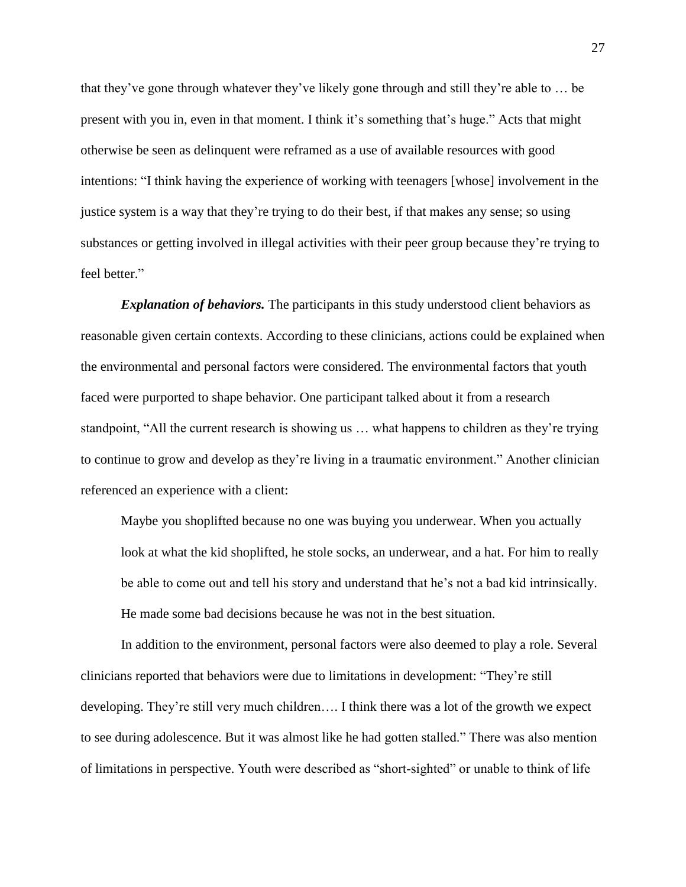that they've gone through whatever they've likely gone through and still they're able to … be present with you in, even in that moment. I think it's something that's huge." Acts that might otherwise be seen as delinquent were reframed as a use of available resources with good intentions: "I think having the experience of working with teenagers [whose] involvement in the justice system is a way that they're trying to do their best, if that makes any sense; so using substances or getting involved in illegal activities with their peer group because they're trying to feel better."

*Explanation of behaviors.* The participants in this study understood client behaviors as reasonable given certain contexts. According to these clinicians, actions could be explained when the environmental and personal factors were considered. The environmental factors that youth faced were purported to shape behavior. One participant talked about it from a research standpoint, "All the current research is showing us … what happens to children as they're trying to continue to grow and develop as they're living in a traumatic environment." Another clinician referenced an experience with a client:

Maybe you shoplifted because no one was buying you underwear. When you actually look at what the kid shoplifted, he stole socks, an underwear, and a hat. For him to really be able to come out and tell his story and understand that he's not a bad kid intrinsically. He made some bad decisions because he was not in the best situation.

In addition to the environment, personal factors were also deemed to play a role. Several clinicians reported that behaviors were due to limitations in development: "They're still developing. They're still very much children…. I think there was a lot of the growth we expect to see during adolescence. But it was almost like he had gotten stalled." There was also mention of limitations in perspective. Youth were described as "short-sighted" or unable to think of life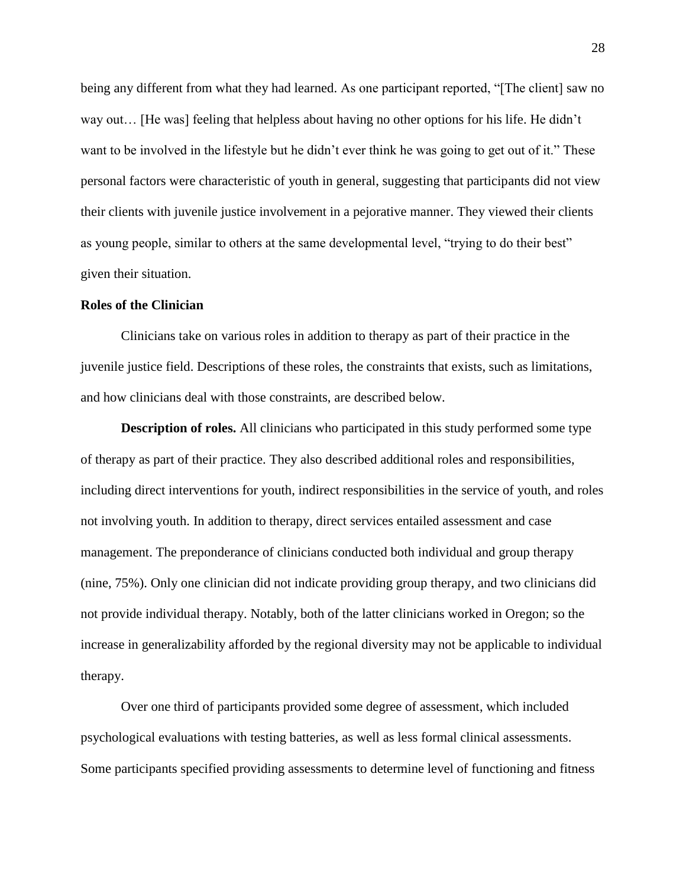being any different from what they had learned. As one participant reported, "[The client] saw no way out… [He was] feeling that helpless about having no other options for his life. He didn't want to be involved in the lifestyle but he didn't ever think he was going to get out of it." These personal factors were characteristic of youth in general, suggesting that participants did not view their clients with juvenile justice involvement in a pejorative manner. They viewed their clients as young people, similar to others at the same developmental level, "trying to do their best" given their situation.

## **Roles of the Clinician**

Clinicians take on various roles in addition to therapy as part of their practice in the juvenile justice field. Descriptions of these roles, the constraints that exists, such as limitations, and how clinicians deal with those constraints, are described below.

**Description of roles.** All clinicians who participated in this study performed some type of therapy as part of their practice. They also described additional roles and responsibilities, including direct interventions for youth, indirect responsibilities in the service of youth, and roles not involving youth. In addition to therapy, direct services entailed assessment and case management. The preponderance of clinicians conducted both individual and group therapy (nine, 75%). Only one clinician did not indicate providing group therapy, and two clinicians did not provide individual therapy. Notably, both of the latter clinicians worked in Oregon; so the increase in generalizability afforded by the regional diversity may not be applicable to individual therapy.

Over one third of participants provided some degree of assessment, which included psychological evaluations with testing batteries, as well as less formal clinical assessments. Some participants specified providing assessments to determine level of functioning and fitness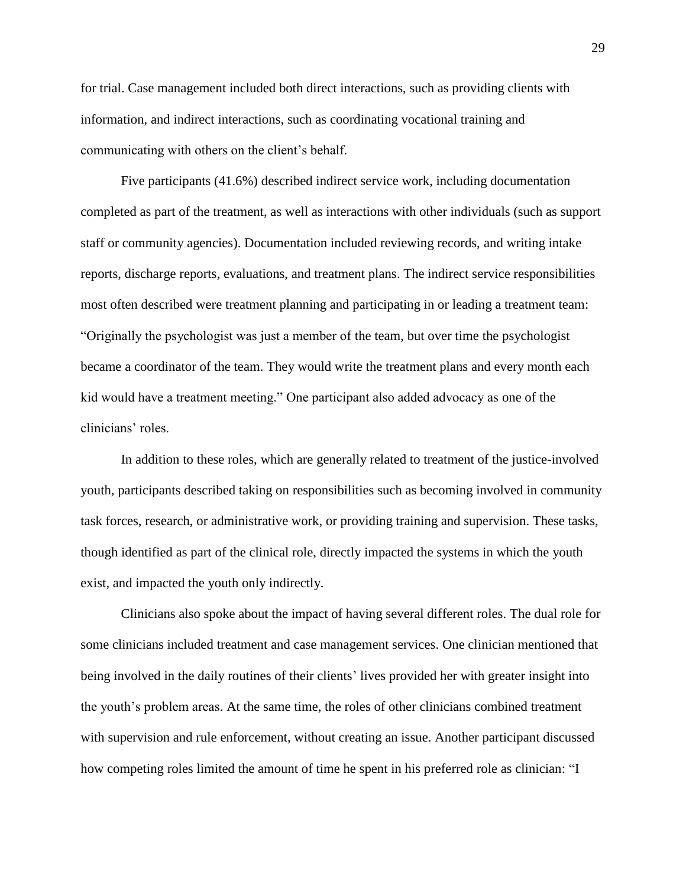for trial. Case management included both direct interactions, such as providing clients with information, and indirect interactions, such as coordinating vocational training and communicating with others on the client's behalf.

Five participants (41.6%) described indirect service work, including documentation completed as part of the treatment, as well as interactions with other individuals (such as support staff or community agencies). Documentation included reviewing records, and writing intake reports, discharge reports, evaluations, and treatment plans. The indirect service responsibilities most often described were treatment planning and participating in or leading a treatment team: "Originally the psychologist was just a member of the team, but over time the psychologist became a coordinator of the team. They would write the treatment plans and every month each kid would have a treatment meeting." One participant also added advocacy as one of the clinicians' roles.

In addition to these roles, which are generally related to treatment of the justice-involved youth, participants described taking on responsibilities such as becoming involved in community task forces, research, or administrative work, or providing training and supervision. These tasks, though identified as part of the clinical role, directly impacted the systems in which the youth exist, and impacted the youth only indirectly.

Clinicians also spoke about the impact of having several different roles. The dual role for some clinicians included treatment and case management services. One clinician mentioned that being involved in the daily routines of their clients' lives provided her with greater insight into the youth's problem areas. At the same time, the roles of other clinicians combined treatment with supervision and rule enforcement, without creating an issue. Another participant discussed how competing roles limited the amount of time he spent in his preferred role as clinician: "I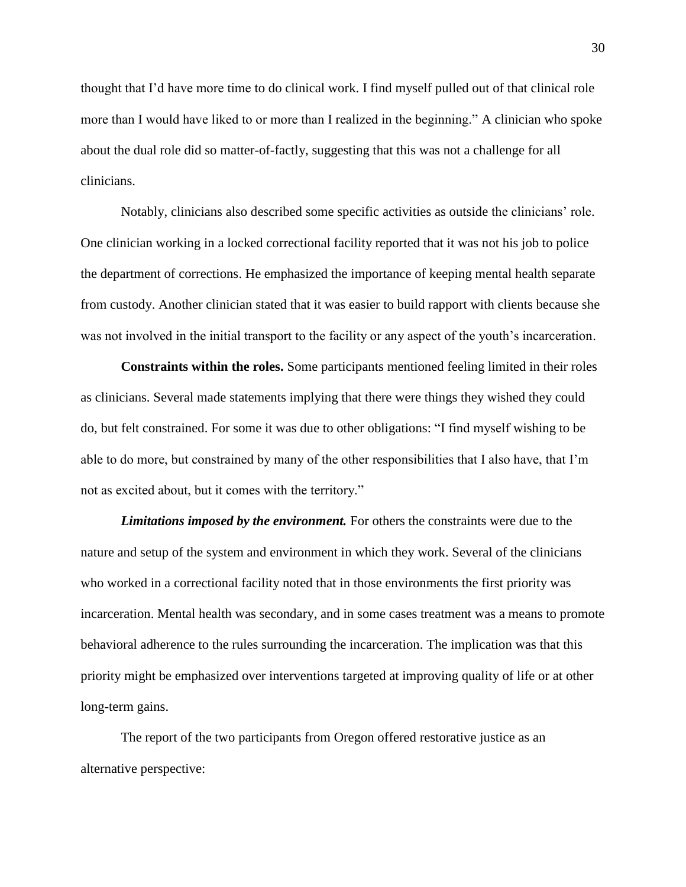thought that I'd have more time to do clinical work. I find myself pulled out of that clinical role more than I would have liked to or more than I realized in the beginning." A clinician who spoke about the dual role did so matter-of-factly, suggesting that this was not a challenge for all clinicians.

Notably, clinicians also described some specific activities as outside the clinicians' role. One clinician working in a locked correctional facility reported that it was not his job to police the department of corrections. He emphasized the importance of keeping mental health separate from custody. Another clinician stated that it was easier to build rapport with clients because she was not involved in the initial transport to the facility or any aspect of the youth's incarceration.

**Constraints within the roles.** Some participants mentioned feeling limited in their roles as clinicians. Several made statements implying that there were things they wished they could do, but felt constrained. For some it was due to other obligations: "I find myself wishing to be able to do more, but constrained by many of the other responsibilities that I also have, that I'm not as excited about, but it comes with the territory."

*Limitations imposed by the environment.* For others the constraints were due to the nature and setup of the system and environment in which they work. Several of the clinicians who worked in a correctional facility noted that in those environments the first priority was incarceration. Mental health was secondary, and in some cases treatment was a means to promote behavioral adherence to the rules surrounding the incarceration. The implication was that this priority might be emphasized over interventions targeted at improving quality of life or at other long-term gains.

The report of the two participants from Oregon offered restorative justice as an alternative perspective: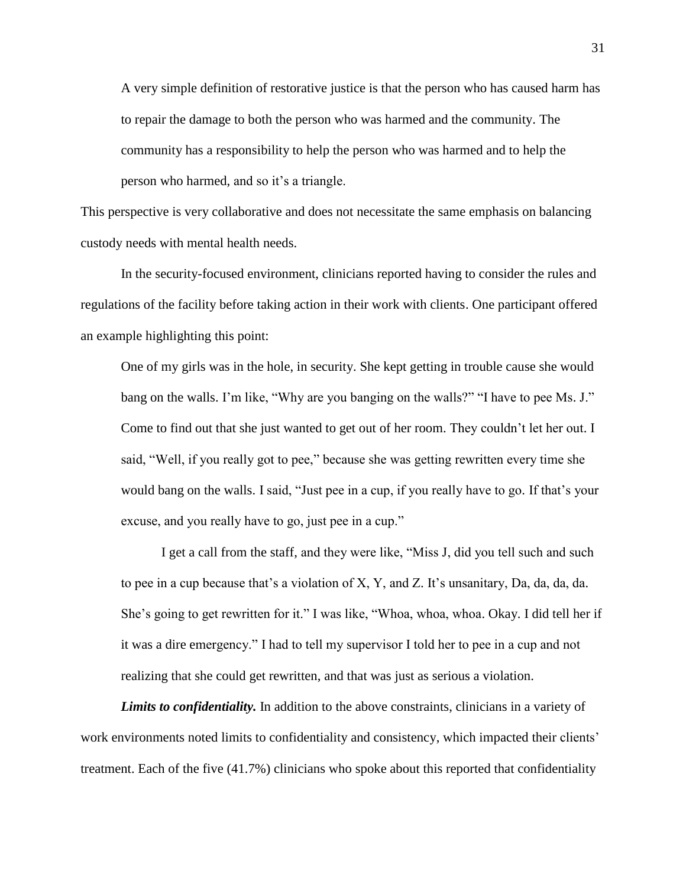A very simple definition of restorative justice is that the person who has caused harm has to repair the damage to both the person who was harmed and the community. The community has a responsibility to help the person who was harmed and to help the person who harmed, and so it's a triangle.

This perspective is very collaborative and does not necessitate the same emphasis on balancing custody needs with mental health needs.

In the security-focused environment, clinicians reported having to consider the rules and regulations of the facility before taking action in their work with clients. One participant offered an example highlighting this point:

One of my girls was in the hole, in security. She kept getting in trouble cause she would bang on the walls. I'm like, "Why are you banging on the walls?" "I have to pee Ms. J." Come to find out that she just wanted to get out of her room. They couldn't let her out. I said, "Well, if you really got to pee," because she was getting rewritten every time she would bang on the walls. I said, "Just pee in a cup, if you really have to go. If that's your excuse, and you really have to go, just pee in a cup."

I get a call from the staff, and they were like, "Miss J, did you tell such and such to pee in a cup because that's a violation of X, Y, and Z. It's unsanitary, Da, da, da, da. She's going to get rewritten for it." I was like, "Whoa, whoa, whoa. Okay. I did tell her if it was a dire emergency." I had to tell my supervisor I told her to pee in a cup and not realizing that she could get rewritten, and that was just as serious a violation.

*Limits to confidentiality.* In addition to the above constraints, clinicians in a variety of work environments noted limits to confidentiality and consistency, which impacted their clients' treatment. Each of the five (41.7%) clinicians who spoke about this reported that confidentiality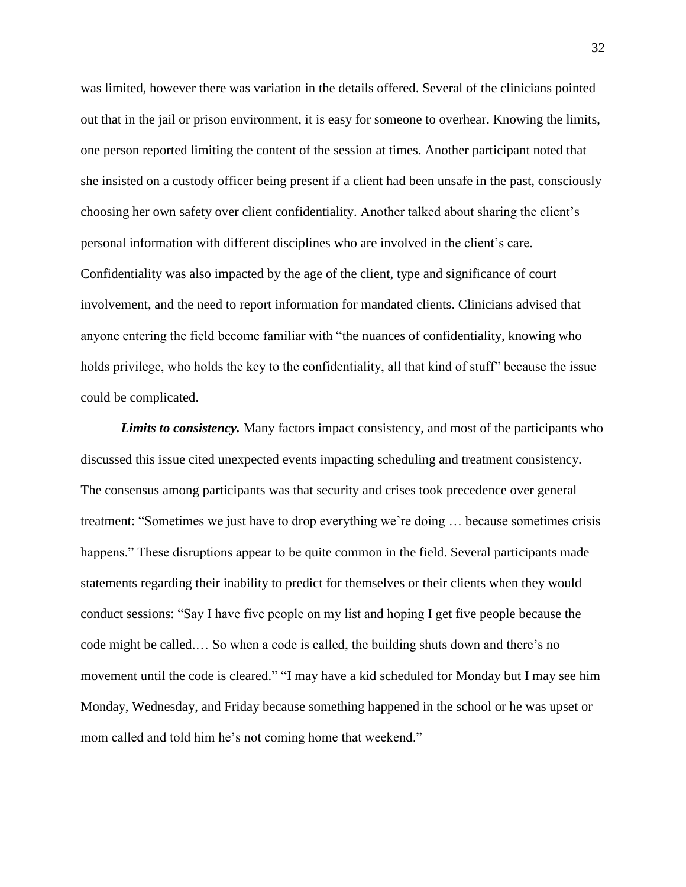was limited, however there was variation in the details offered. Several of the clinicians pointed out that in the jail or prison environment, it is easy for someone to overhear. Knowing the limits, one person reported limiting the content of the session at times. Another participant noted that she insisted on a custody officer being present if a client had been unsafe in the past, consciously choosing her own safety over client confidentiality. Another talked about sharing the client's personal information with different disciplines who are involved in the client's care. Confidentiality was also impacted by the age of the client, type and significance of court involvement, and the need to report information for mandated clients. Clinicians advised that anyone entering the field become familiar with "the nuances of confidentiality, knowing who holds privilege, who holds the key to the confidentiality, all that kind of stuff" because the issue could be complicated.

*Limits to consistency.* Many factors impact consistency, and most of the participants who discussed this issue cited unexpected events impacting scheduling and treatment consistency. The consensus among participants was that security and crises took precedence over general treatment: "Sometimes we just have to drop everything we're doing … because sometimes crisis happens." These disruptions appear to be quite common in the field. Several participants made statements regarding their inability to predict for themselves or their clients when they would conduct sessions: "Say I have five people on my list and hoping I get five people because the code might be called.… So when a code is called, the building shuts down and there's no movement until the code is cleared." "I may have a kid scheduled for Monday but I may see him Monday, Wednesday, and Friday because something happened in the school or he was upset or mom called and told him he's not coming home that weekend."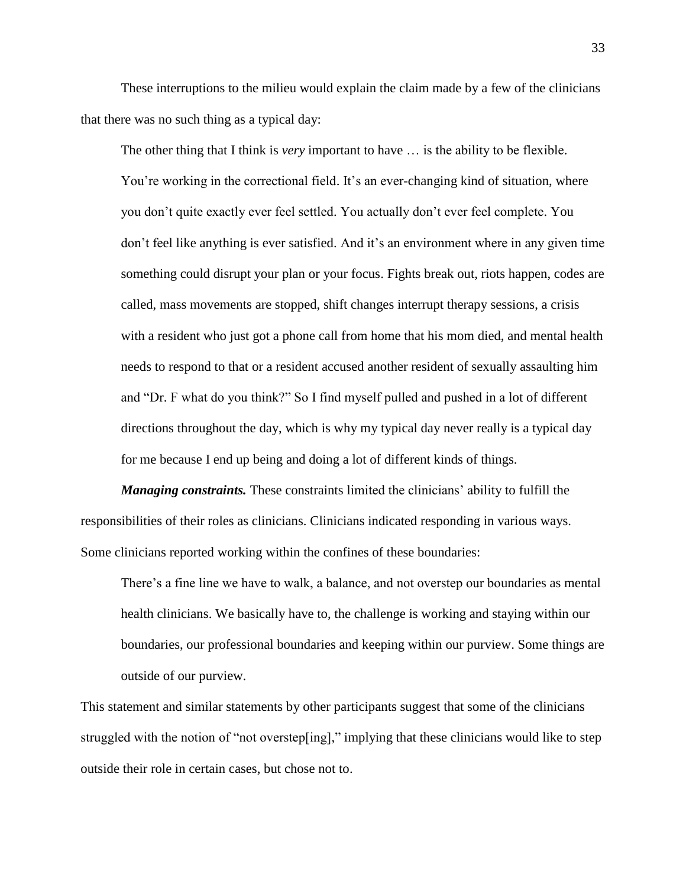These interruptions to the milieu would explain the claim made by a few of the clinicians that there was no such thing as a typical day:

The other thing that I think is *very* important to have … is the ability to be flexible. You're working in the correctional field. It's an ever-changing kind of situation, where you don't quite exactly ever feel settled. You actually don't ever feel complete. You don't feel like anything is ever satisfied. And it's an environment where in any given time something could disrupt your plan or your focus. Fights break out, riots happen, codes are called, mass movements are stopped, shift changes interrupt therapy sessions, a crisis with a resident who just got a phone call from home that his mom died, and mental health needs to respond to that or a resident accused another resident of sexually assaulting him and "Dr. F what do you think?" So I find myself pulled and pushed in a lot of different directions throughout the day, which is why my typical day never really is a typical day for me because I end up being and doing a lot of different kinds of things.

*Managing constraints.* These constraints limited the clinicians' ability to fulfill the responsibilities of their roles as clinicians. Clinicians indicated responding in various ways. Some clinicians reported working within the confines of these boundaries:

There's a fine line we have to walk, a balance, and not overstep our boundaries as mental health clinicians. We basically have to, the challenge is working and staying within our boundaries, our professional boundaries and keeping within our purview. Some things are outside of our purview.

This statement and similar statements by other participants suggest that some of the clinicians struggled with the notion of "not overstep[ing]," implying that these clinicians would like to step outside their role in certain cases, but chose not to.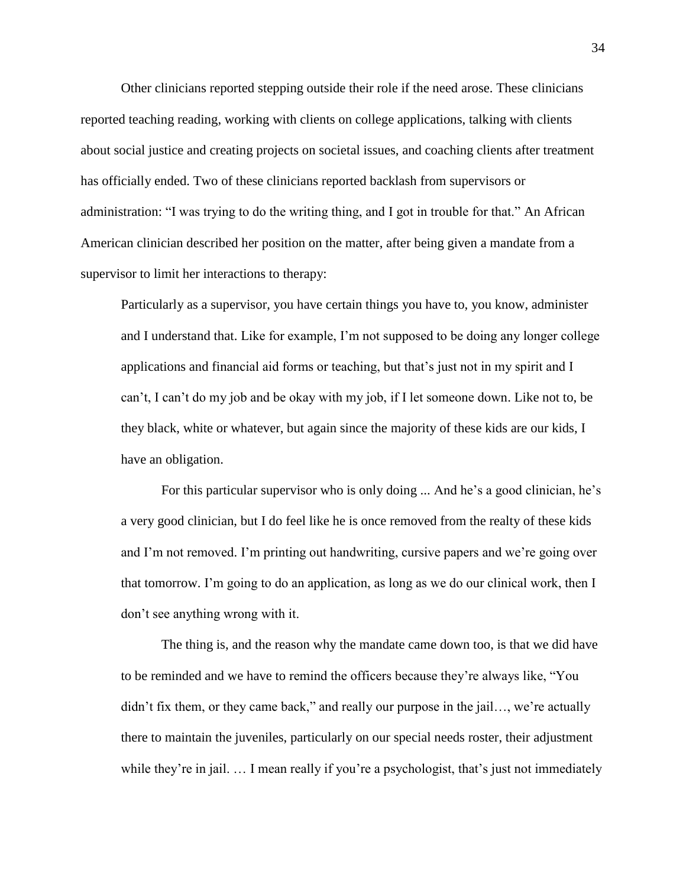Other clinicians reported stepping outside their role if the need arose. These clinicians reported teaching reading, working with clients on college applications, talking with clients about social justice and creating projects on societal issues, and coaching clients after treatment has officially ended. Two of these clinicians reported backlash from supervisors or administration: "I was trying to do the writing thing, and I got in trouble for that." An African American clinician described her position on the matter, after being given a mandate from a supervisor to limit her interactions to therapy:

Particularly as a supervisor, you have certain things you have to, you know, administer and I understand that. Like for example, I'm not supposed to be doing any longer college applications and financial aid forms or teaching, but that's just not in my spirit and I can't, I can't do my job and be okay with my job, if I let someone down. Like not to, be they black, white or whatever, but again since the majority of these kids are our kids, I have an obligation.

For this particular supervisor who is only doing ... And he's a good clinician, he's a very good clinician, but I do feel like he is once removed from the realty of these kids and I'm not removed. I'm printing out handwriting, cursive papers and we're going over that tomorrow. I'm going to do an application, as long as we do our clinical work, then I don't see anything wrong with it.

The thing is, and the reason why the mandate came down too, is that we did have to be reminded and we have to remind the officers because they're always like, "You didn't fix them, or they came back," and really our purpose in the jail…, we're actually there to maintain the juveniles, particularly on our special needs roster, their adjustment while they're in jail. ... I mean really if you're a psychologist, that's just not immediately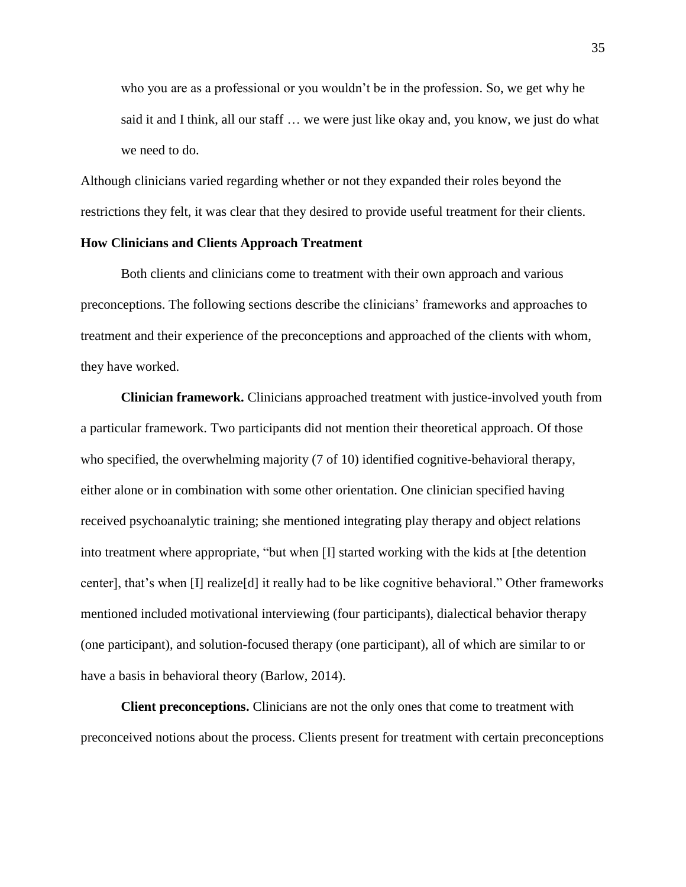who you are as a professional or you wouldn't be in the profession. So, we get why he said it and I think, all our staff … we were just like okay and, you know, we just do what we need to do.

Although clinicians varied regarding whether or not they expanded their roles beyond the restrictions they felt, it was clear that they desired to provide useful treatment for their clients.

# **How Clinicians and Clients Approach Treatment**

Both clients and clinicians come to treatment with their own approach and various preconceptions. The following sections describe the clinicians' frameworks and approaches to treatment and their experience of the preconceptions and approached of the clients with whom, they have worked.

**Clinician framework.** Clinicians approached treatment with justice-involved youth from a particular framework. Two participants did not mention their theoretical approach. Of those who specified, the overwhelming majority (7 of 10) identified cognitive-behavioral therapy, either alone or in combination with some other orientation. One clinician specified having received psychoanalytic training; she mentioned integrating play therapy and object relations into treatment where appropriate, "but when [I] started working with the kids at [the detention center], that's when [I] realize[d] it really had to be like cognitive behavioral." Other frameworks mentioned included motivational interviewing (four participants), dialectical behavior therapy (one participant), and solution-focused therapy (one participant), all of which are similar to or have a basis in behavioral theory (Barlow, 2014).

**Client preconceptions.** Clinicians are not the only ones that come to treatment with preconceived notions about the process. Clients present for treatment with certain preconceptions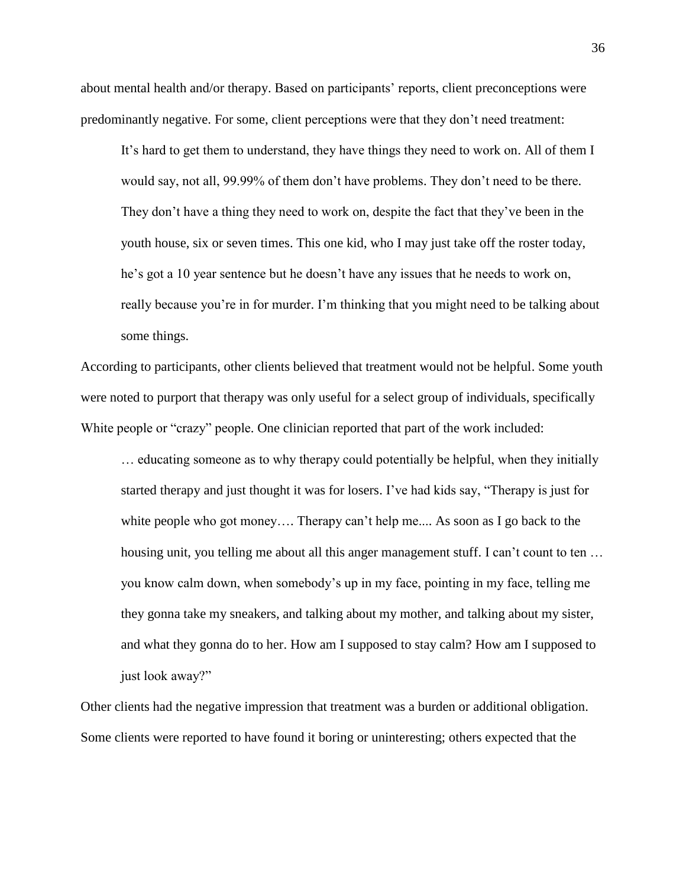about mental health and/or therapy. Based on participants' reports, client preconceptions were predominantly negative. For some, client perceptions were that they don't need treatment:

It's hard to get them to understand, they have things they need to work on. All of them I would say, not all, 99.99% of them don't have problems. They don't need to be there. They don't have a thing they need to work on, despite the fact that they've been in the youth house, six or seven times. This one kid, who I may just take off the roster today, he's got a 10 year sentence but he doesn't have any issues that he needs to work on, really because you're in for murder. I'm thinking that you might need to be talking about some things.

According to participants, other clients believed that treatment would not be helpful. Some youth were noted to purport that therapy was only useful for a select group of individuals, specifically White people or "crazy" people. One clinician reported that part of the work included:

… educating someone as to why therapy could potentially be helpful, when they initially started therapy and just thought it was for losers. I've had kids say, "Therapy is just for white people who got money.... Therapy can't help me.... As soon as I go back to the housing unit, you telling me about all this anger management stuff. I can't count to ten ... you know calm down, when somebody's up in my face, pointing in my face, telling me they gonna take my sneakers, and talking about my mother, and talking about my sister, and what they gonna do to her. How am I supposed to stay calm? How am I supposed to just look away?"

Other clients had the negative impression that treatment was a burden or additional obligation. Some clients were reported to have found it boring or uninteresting; others expected that the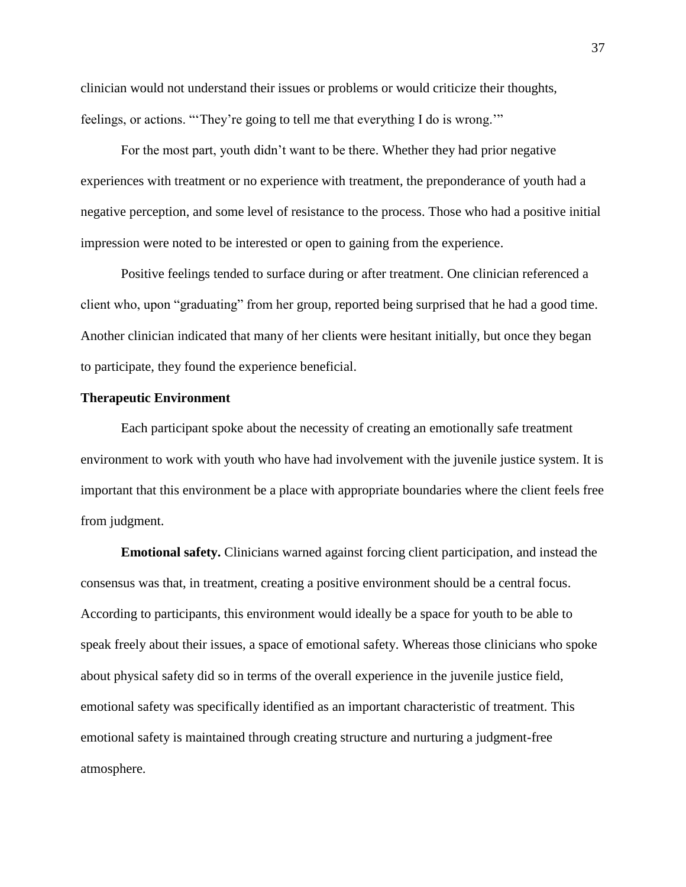clinician would not understand their issues or problems or would criticize their thoughts, feelings, or actions. "'They're going to tell me that everything I do is wrong.'"

For the most part, youth didn't want to be there. Whether they had prior negative experiences with treatment or no experience with treatment, the preponderance of youth had a negative perception, and some level of resistance to the process. Those who had a positive initial impression were noted to be interested or open to gaining from the experience.

Positive feelings tended to surface during or after treatment. One clinician referenced a client who, upon "graduating" from her group, reported being surprised that he had a good time. Another clinician indicated that many of her clients were hesitant initially, but once they began to participate, they found the experience beneficial.

## **Therapeutic Environment**

Each participant spoke about the necessity of creating an emotionally safe treatment environment to work with youth who have had involvement with the juvenile justice system. It is important that this environment be a place with appropriate boundaries where the client feels free from judgment.

**Emotional safety.** Clinicians warned against forcing client participation, and instead the consensus was that, in treatment, creating a positive environment should be a central focus. According to participants, this environment would ideally be a space for youth to be able to speak freely about their issues, a space of emotional safety. Whereas those clinicians who spoke about physical safety did so in terms of the overall experience in the juvenile justice field, emotional safety was specifically identified as an important characteristic of treatment. This emotional safety is maintained through creating structure and nurturing a judgment-free atmosphere.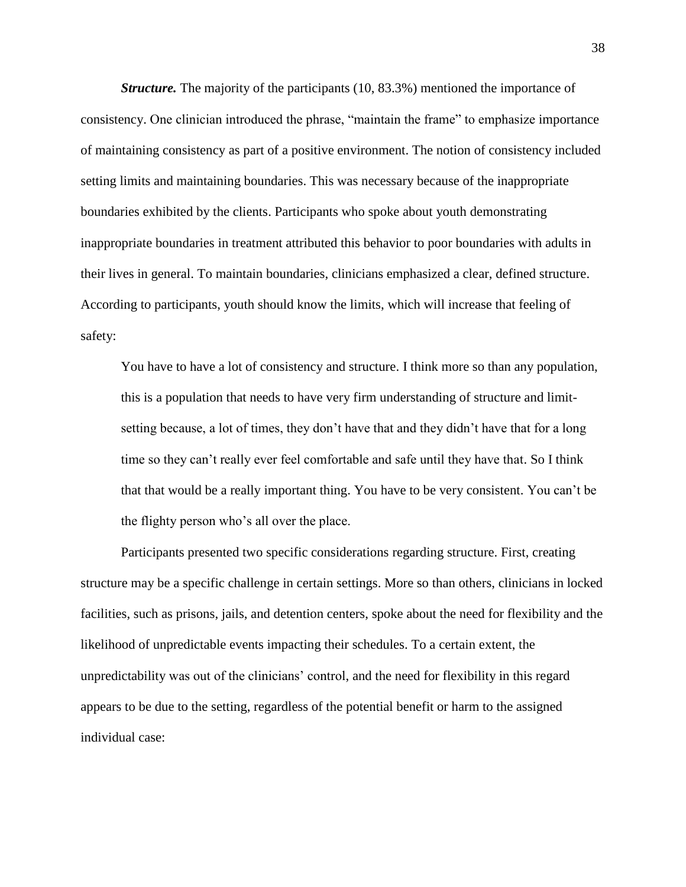*Structure.* The majority of the participants (10, 83.3%) mentioned the importance of consistency. One clinician introduced the phrase, "maintain the frame" to emphasize importance of maintaining consistency as part of a positive environment. The notion of consistency included setting limits and maintaining boundaries. This was necessary because of the inappropriate boundaries exhibited by the clients. Participants who spoke about youth demonstrating inappropriate boundaries in treatment attributed this behavior to poor boundaries with adults in their lives in general. To maintain boundaries, clinicians emphasized a clear, defined structure. According to participants, youth should know the limits, which will increase that feeling of safety:

You have to have a lot of consistency and structure. I think more so than any population, this is a population that needs to have very firm understanding of structure and limitsetting because, a lot of times, they don't have that and they didn't have that for a long time so they can't really ever feel comfortable and safe until they have that. So I think that that would be a really important thing. You have to be very consistent. You can't be the flighty person who's all over the place.

Participants presented two specific considerations regarding structure. First, creating structure may be a specific challenge in certain settings. More so than others, clinicians in locked facilities, such as prisons, jails, and detention centers, spoke about the need for flexibility and the likelihood of unpredictable events impacting their schedules. To a certain extent, the unpredictability was out of the clinicians' control, and the need for flexibility in this regard appears to be due to the setting, regardless of the potential benefit or harm to the assigned individual case: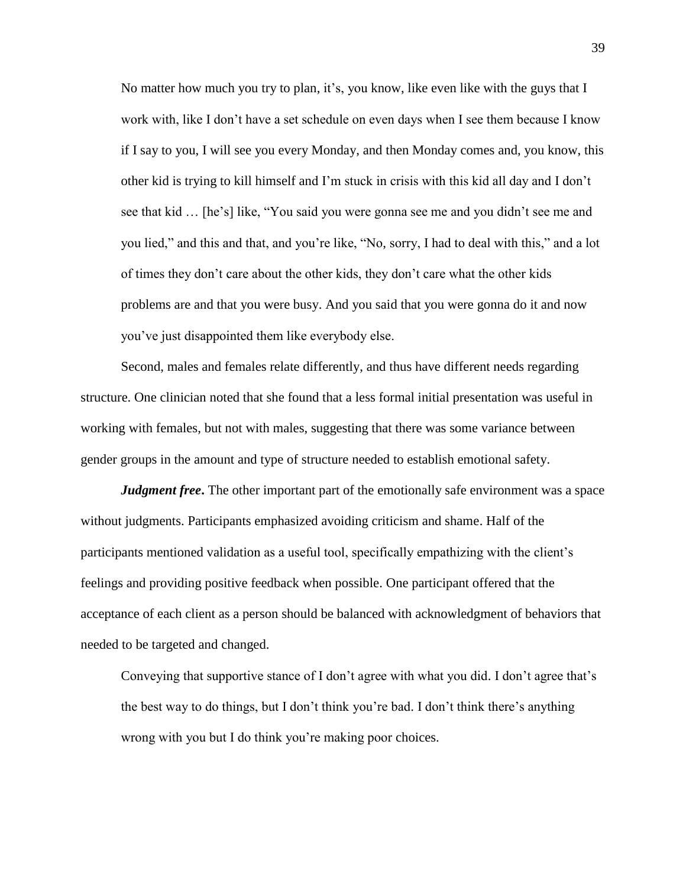No matter how much you try to plan, it's, you know, like even like with the guys that I work with, like I don't have a set schedule on even days when I see them because I know if I say to you, I will see you every Monday, and then Monday comes and, you know, this other kid is trying to kill himself and I'm stuck in crisis with this kid all day and I don't see that kid … [he's] like, "You said you were gonna see me and you didn't see me and you lied," and this and that, and you're like, "No, sorry, I had to deal with this," and a lot of times they don't care about the other kids, they don't care what the other kids problems are and that you were busy. And you said that you were gonna do it and now you've just disappointed them like everybody else.

Second, males and females relate differently, and thus have different needs regarding structure. One clinician noted that she found that a less formal initial presentation was useful in working with females, but not with males, suggesting that there was some variance between gender groups in the amount and type of structure needed to establish emotional safety.

*Judgment free***.** The other important part of the emotionally safe environment was a space without judgments. Participants emphasized avoiding criticism and shame. Half of the participants mentioned validation as a useful tool, specifically empathizing with the client's feelings and providing positive feedback when possible. One participant offered that the acceptance of each client as a person should be balanced with acknowledgment of behaviors that needed to be targeted and changed.

Conveying that supportive stance of I don't agree with what you did. I don't agree that's the best way to do things, but I don't think you're bad. I don't think there's anything wrong with you but I do think you're making poor choices.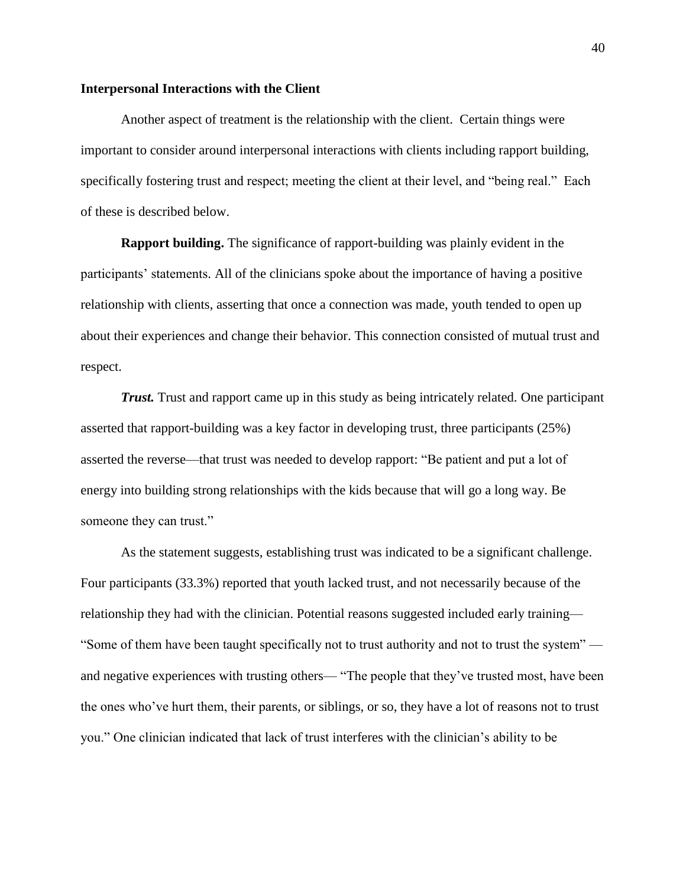## **Interpersonal Interactions with the Client**

Another aspect of treatment is the relationship with the client. Certain things were important to consider around interpersonal interactions with clients including rapport building, specifically fostering trust and respect; meeting the client at their level, and "being real." Each of these is described below.

**Rapport building.** The significance of rapport-building was plainly evident in the participants' statements. All of the clinicians spoke about the importance of having a positive relationship with clients, asserting that once a connection was made, youth tended to open up about their experiences and change their behavior. This connection consisted of mutual trust and respect.

*Trust.* Trust and rapport came up in this study as being intricately related. One participant asserted that rapport-building was a key factor in developing trust, three participants (25%) asserted the reverse—that trust was needed to develop rapport: "Be patient and put a lot of energy into building strong relationships with the kids because that will go a long way. Be someone they can trust."

As the statement suggests, establishing trust was indicated to be a significant challenge. Four participants (33.3%) reported that youth lacked trust, and not necessarily because of the relationship they had with the clinician. Potential reasons suggested included early training— "Some of them have been taught specifically not to trust authority and not to trust the system" and negative experiences with trusting others— "The people that they've trusted most, have been the ones who've hurt them, their parents, or siblings, or so, they have a lot of reasons not to trust you." One clinician indicated that lack of trust interferes with the clinician's ability to be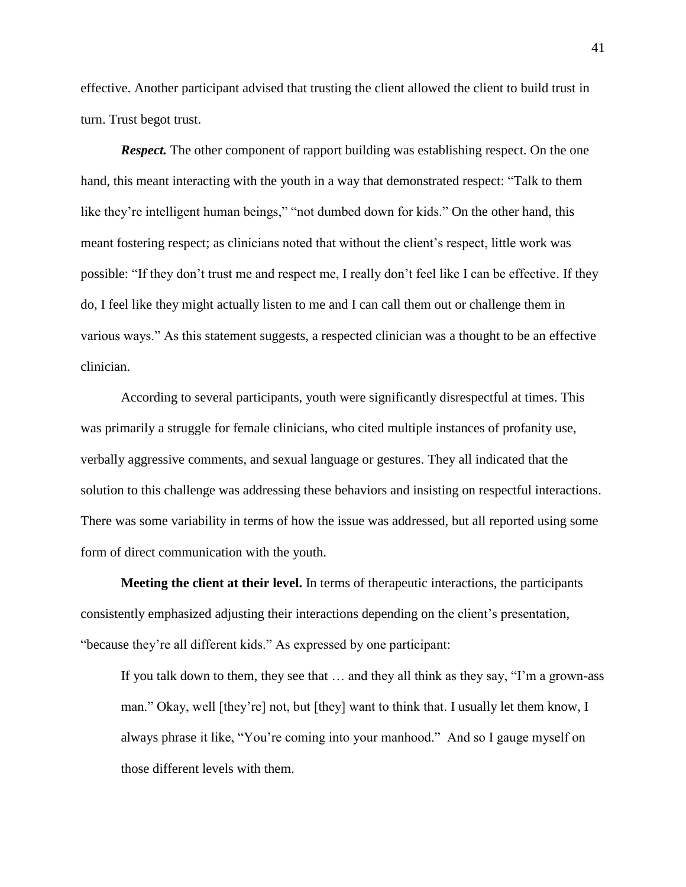effective. Another participant advised that trusting the client allowed the client to build trust in turn. Trust begot trust.

*Respect.* The other component of rapport building was establishing respect. On the one hand, this meant interacting with the youth in a way that demonstrated respect: "Talk to them like they're intelligent human beings," "not dumbed down for kids." On the other hand, this meant fostering respect; as clinicians noted that without the client's respect, little work was possible: "If they don't trust me and respect me, I really don't feel like I can be effective. If they do, I feel like they might actually listen to me and I can call them out or challenge them in various ways." As this statement suggests, a respected clinician was a thought to be an effective clinician.

According to several participants, youth were significantly disrespectful at times. This was primarily a struggle for female clinicians, who cited multiple instances of profanity use, verbally aggressive comments, and sexual language or gestures. They all indicated that the solution to this challenge was addressing these behaviors and insisting on respectful interactions. There was some variability in terms of how the issue was addressed, but all reported using some form of direct communication with the youth.

**Meeting the client at their level.** In terms of therapeutic interactions, the participants consistently emphasized adjusting their interactions depending on the client's presentation, "because they're all different kids." As expressed by one participant:

If you talk down to them, they see that … and they all think as they say, "I'm a grown-ass man." Okay, well [they're] not, but [they] want to think that. I usually let them know, I always phrase it like, "You're coming into your manhood." And so I gauge myself on those different levels with them.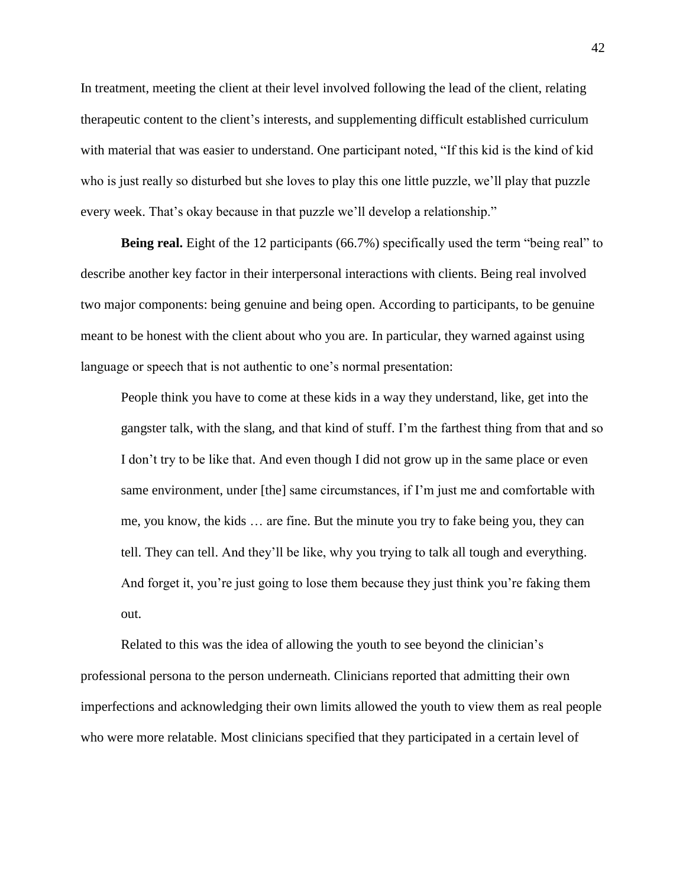In treatment, meeting the client at their level involved following the lead of the client, relating therapeutic content to the client's interests, and supplementing difficult established curriculum with material that was easier to understand. One participant noted, "If this kid is the kind of kid who is just really so disturbed but she loves to play this one little puzzle, we'll play that puzzle every week. That's okay because in that puzzle we'll develop a relationship."

**Being real.** Eight of the 12 participants (66.7%) specifically used the term "being real" to describe another key factor in their interpersonal interactions with clients. Being real involved two major components: being genuine and being open. According to participants, to be genuine meant to be honest with the client about who you are. In particular, they warned against using language or speech that is not authentic to one's normal presentation:

People think you have to come at these kids in a way they understand, like, get into the gangster talk, with the slang, and that kind of stuff. I'm the farthest thing from that and so I don't try to be like that. And even though I did not grow up in the same place or even same environment, under [the] same circumstances, if I'm just me and comfortable with me, you know, the kids … are fine. But the minute you try to fake being you, they can tell. They can tell. And they'll be like, why you trying to talk all tough and everything. And forget it, you're just going to lose them because they just think you're faking them out.

Related to this was the idea of allowing the youth to see beyond the clinician's professional persona to the person underneath. Clinicians reported that admitting their own imperfections and acknowledging their own limits allowed the youth to view them as real people who were more relatable. Most clinicians specified that they participated in a certain level of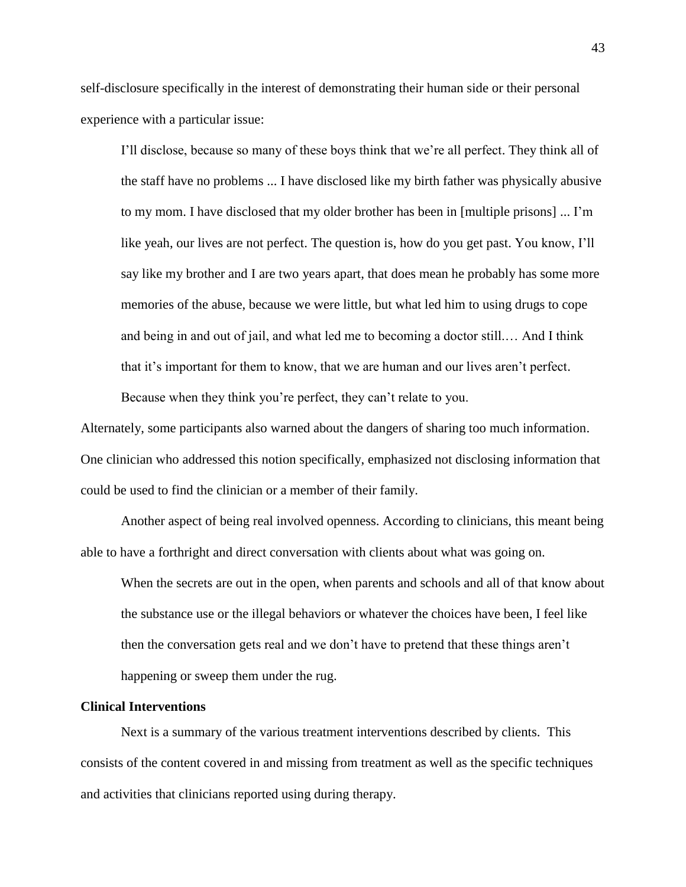self-disclosure specifically in the interest of demonstrating their human side or their personal experience with a particular issue:

I'll disclose, because so many of these boys think that we're all perfect. They think all of the staff have no problems ... I have disclosed like my birth father was physically abusive to my mom. I have disclosed that my older brother has been in [multiple prisons] ... I'm like yeah, our lives are not perfect. The question is, how do you get past. You know, I'll say like my brother and I are two years apart, that does mean he probably has some more memories of the abuse, because we were little, but what led him to using drugs to cope and being in and out of jail, and what led me to becoming a doctor still.… And I think that it's important for them to know, that we are human and our lives aren't perfect.

Because when they think you're perfect, they can't relate to you.

Alternately, some participants also warned about the dangers of sharing too much information. One clinician who addressed this notion specifically, emphasized not disclosing information that could be used to find the clinician or a member of their family.

Another aspect of being real involved openness. According to clinicians, this meant being able to have a forthright and direct conversation with clients about what was going on.

When the secrets are out in the open, when parents and schools and all of that know about the substance use or the illegal behaviors or whatever the choices have been, I feel like then the conversation gets real and we don't have to pretend that these things aren't happening or sweep them under the rug.

#### **Clinical Interventions**

Next is a summary of the various treatment interventions described by clients. This consists of the content covered in and missing from treatment as well as the specific techniques and activities that clinicians reported using during therapy.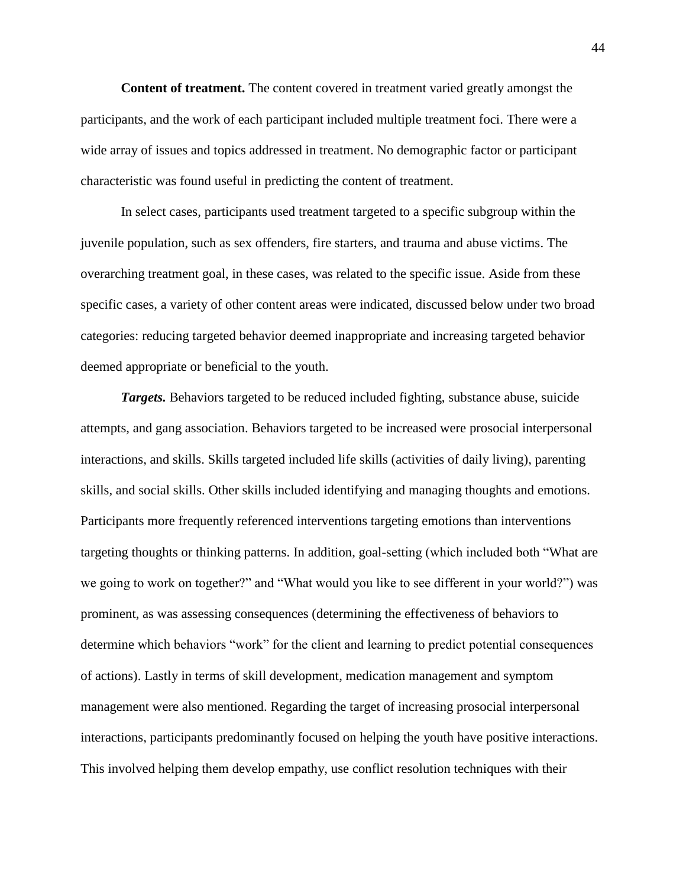**Content of treatment.** The content covered in treatment varied greatly amongst the participants, and the work of each participant included multiple treatment foci. There were a wide array of issues and topics addressed in treatment. No demographic factor or participant characteristic was found useful in predicting the content of treatment.

In select cases, participants used treatment targeted to a specific subgroup within the juvenile population, such as sex offenders, fire starters, and trauma and abuse victims. The overarching treatment goal, in these cases, was related to the specific issue. Aside from these specific cases, a variety of other content areas were indicated, discussed below under two broad categories: reducing targeted behavior deemed inappropriate and increasing targeted behavior deemed appropriate or beneficial to the youth.

*Targets.* Behaviors targeted to be reduced included fighting, substance abuse, suicide attempts, and gang association. Behaviors targeted to be increased were prosocial interpersonal interactions, and skills. Skills targeted included life skills (activities of daily living), parenting skills, and social skills. Other skills included identifying and managing thoughts and emotions. Participants more frequently referenced interventions targeting emotions than interventions targeting thoughts or thinking patterns. In addition, goal-setting (which included both "What are we going to work on together?" and "What would you like to see different in your world?") was prominent, as was assessing consequences (determining the effectiveness of behaviors to determine which behaviors "work" for the client and learning to predict potential consequences of actions). Lastly in terms of skill development, medication management and symptom management were also mentioned. Regarding the target of increasing prosocial interpersonal interactions, participants predominantly focused on helping the youth have positive interactions. This involved helping them develop empathy, use conflict resolution techniques with their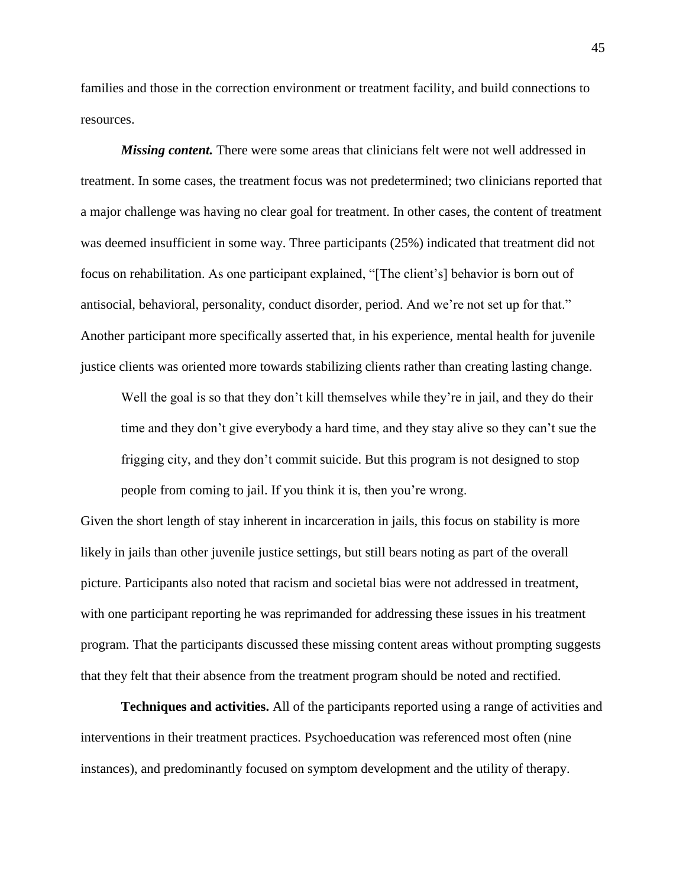families and those in the correction environment or treatment facility, and build connections to resources.

*Missing content.* There were some areas that clinicians felt were not well addressed in treatment. In some cases, the treatment focus was not predetermined; two clinicians reported that a major challenge was having no clear goal for treatment. In other cases, the content of treatment was deemed insufficient in some way. Three participants (25%) indicated that treatment did not focus on rehabilitation. As one participant explained, "[The client's] behavior is born out of antisocial, behavioral, personality, conduct disorder, period. And we're not set up for that." Another participant more specifically asserted that, in his experience, mental health for juvenile justice clients was oriented more towards stabilizing clients rather than creating lasting change.

Well the goal is so that they don't kill themselves while they're in jail, and they do their time and they don't give everybody a hard time, and they stay alive so they can't sue the frigging city, and they don't commit suicide. But this program is not designed to stop people from coming to jail. If you think it is, then you're wrong.

Given the short length of stay inherent in incarceration in jails, this focus on stability is more likely in jails than other juvenile justice settings, but still bears noting as part of the overall picture. Participants also noted that racism and societal bias were not addressed in treatment, with one participant reporting he was reprimanded for addressing these issues in his treatment program. That the participants discussed these missing content areas without prompting suggests that they felt that their absence from the treatment program should be noted and rectified.

**Techniques and activities.** All of the participants reported using a range of activities and interventions in their treatment practices. Psychoeducation was referenced most often (nine instances), and predominantly focused on symptom development and the utility of therapy.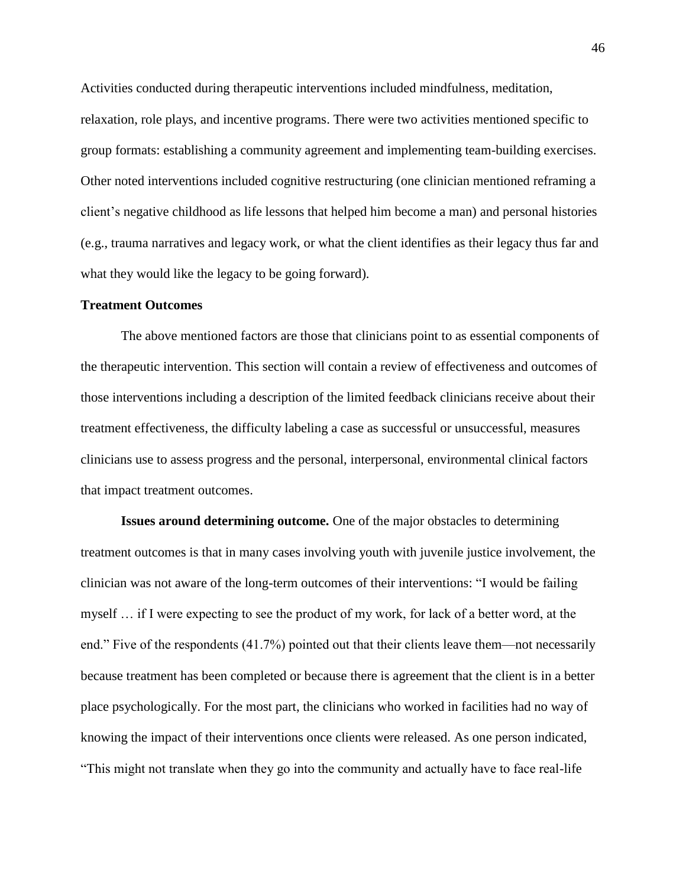Activities conducted during therapeutic interventions included mindfulness, meditation, relaxation, role plays, and incentive programs. There were two activities mentioned specific to group formats: establishing a community agreement and implementing team-building exercises. Other noted interventions included cognitive restructuring (one clinician mentioned reframing a client's negative childhood as life lessons that helped him become a man) and personal histories (e.g., trauma narratives and legacy work, or what the client identifies as their legacy thus far and what they would like the legacy to be going forward).

#### **Treatment Outcomes**

The above mentioned factors are those that clinicians point to as essential components of the therapeutic intervention. This section will contain a review of effectiveness and outcomes of those interventions including a description of the limited feedback clinicians receive about their treatment effectiveness, the difficulty labeling a case as successful or unsuccessful, measures clinicians use to assess progress and the personal, interpersonal, environmental clinical factors that impact treatment outcomes.

**Issues around determining outcome.** One of the major obstacles to determining treatment outcomes is that in many cases involving youth with juvenile justice involvement, the clinician was not aware of the long-term outcomes of their interventions: "I would be failing myself … if I were expecting to see the product of my work, for lack of a better word, at the end." Five of the respondents (41.7%) pointed out that their clients leave them—not necessarily because treatment has been completed or because there is agreement that the client is in a better place psychologically. For the most part, the clinicians who worked in facilities had no way of knowing the impact of their interventions once clients were released. As one person indicated, "This might not translate when they go into the community and actually have to face real-life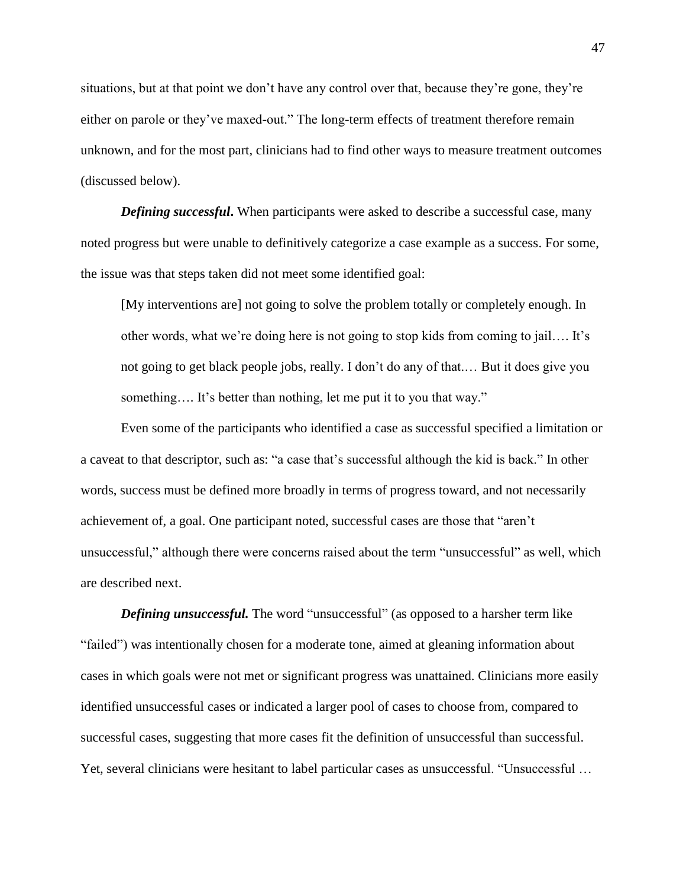situations, but at that point we don't have any control over that, because they're gone, they're either on parole or they've maxed-out." The long-term effects of treatment therefore remain unknown, and for the most part, clinicians had to find other ways to measure treatment outcomes (discussed below).

*Defining successful*. When participants were asked to describe a successful case, many noted progress but were unable to definitively categorize a case example as a success. For some, the issue was that steps taken did not meet some identified goal:

[My interventions are] not going to solve the problem totally or completely enough. In other words, what we're doing here is not going to stop kids from coming to jail…. It's not going to get black people jobs, really. I don't do any of that.… But it does give you something…. It's better than nothing, let me put it to you that way."

Even some of the participants who identified a case as successful specified a limitation or a caveat to that descriptor, such as: "a case that's successful although the kid is back." In other words, success must be defined more broadly in terms of progress toward, and not necessarily achievement of, a goal. One participant noted, successful cases are those that "aren't unsuccessful," although there were concerns raised about the term "unsuccessful" as well, which are described next.

*Defining unsuccessful.* The word "unsuccessful" (as opposed to a harsher term like "failed") was intentionally chosen for a moderate tone, aimed at gleaning information about cases in which goals were not met or significant progress was unattained. Clinicians more easily identified unsuccessful cases or indicated a larger pool of cases to choose from, compared to successful cases, suggesting that more cases fit the definition of unsuccessful than successful. Yet, several clinicians were hesitant to label particular cases as unsuccessful. "Unsuccessful …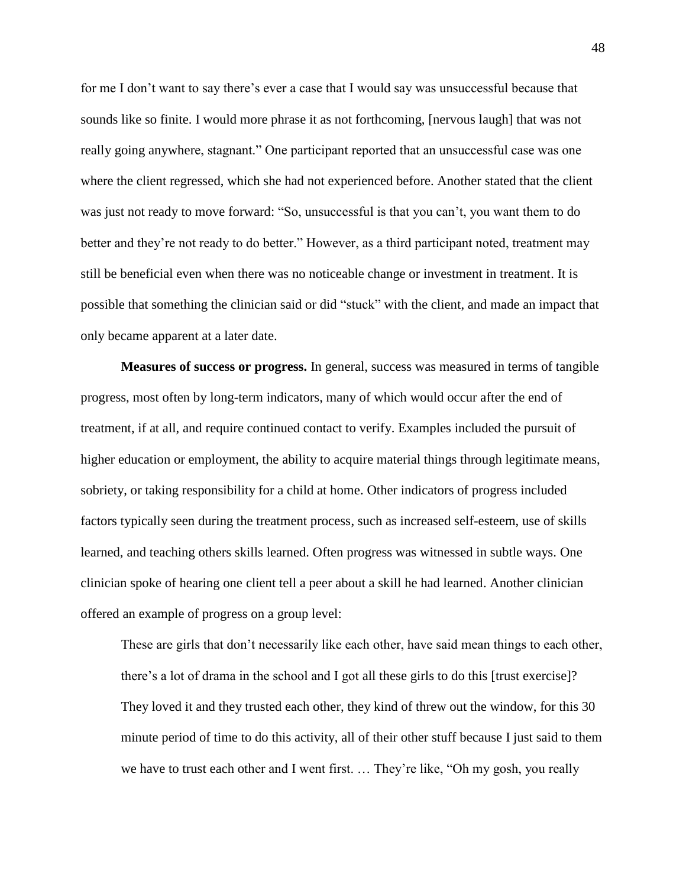for me I don't want to say there's ever a case that I would say was unsuccessful because that sounds like so finite. I would more phrase it as not forthcoming, [nervous laugh] that was not really going anywhere, stagnant." One participant reported that an unsuccessful case was one where the client regressed, which she had not experienced before. Another stated that the client was just not ready to move forward: "So, unsuccessful is that you can't, you want them to do better and they're not ready to do better." However, as a third participant noted, treatment may still be beneficial even when there was no noticeable change or investment in treatment. It is possible that something the clinician said or did "stuck" with the client, and made an impact that only became apparent at a later date.

**Measures of success or progress.** In general, success was measured in terms of tangible progress, most often by long-term indicators, many of which would occur after the end of treatment, if at all, and require continued contact to verify. Examples included the pursuit of higher education or employment, the ability to acquire material things through legitimate means, sobriety, or taking responsibility for a child at home. Other indicators of progress included factors typically seen during the treatment process, such as increased self-esteem, use of skills learned, and teaching others skills learned. Often progress was witnessed in subtle ways. One clinician spoke of hearing one client tell a peer about a skill he had learned. Another clinician offered an example of progress on a group level:

These are girls that don't necessarily like each other, have said mean things to each other, there's a lot of drama in the school and I got all these girls to do this [trust exercise]? They loved it and they trusted each other, they kind of threw out the window, for this 30 minute period of time to do this activity, all of their other stuff because I just said to them we have to trust each other and I went first. … They're like, "Oh my gosh, you really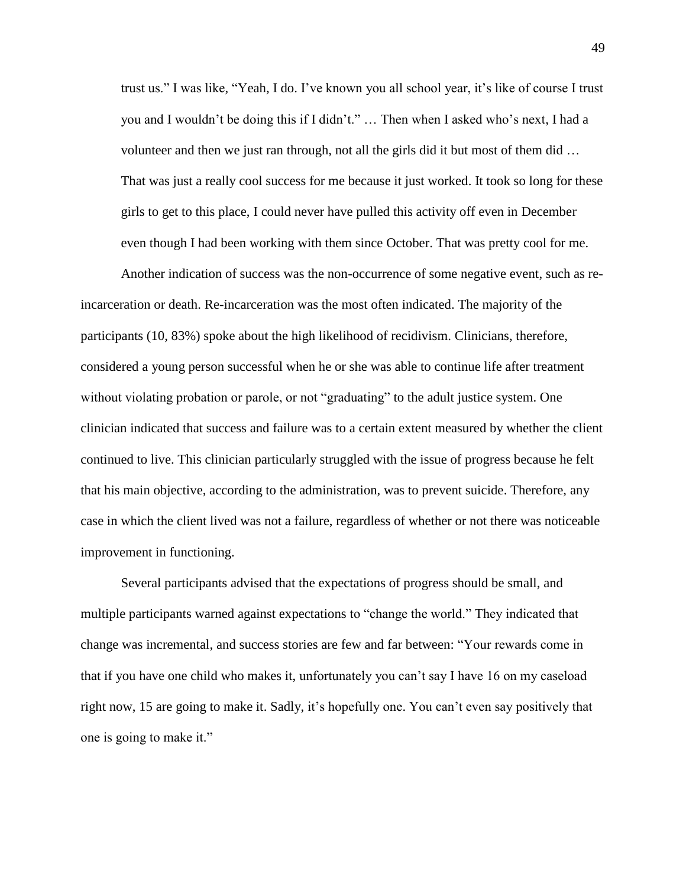trust us." I was like, "Yeah, I do. I've known you all school year, it's like of course I trust you and I wouldn't be doing this if I didn't." … Then when I asked who's next, I had a volunteer and then we just ran through, not all the girls did it but most of them did … That was just a really cool success for me because it just worked. It took so long for these girls to get to this place, I could never have pulled this activity off even in December even though I had been working with them since October. That was pretty cool for me.

Another indication of success was the non-occurrence of some negative event, such as reincarceration or death. Re-incarceration was the most often indicated. The majority of the participants (10, 83%) spoke about the high likelihood of recidivism. Clinicians, therefore, considered a young person successful when he or she was able to continue life after treatment without violating probation or parole, or not "graduating" to the adult justice system. One clinician indicated that success and failure was to a certain extent measured by whether the client continued to live. This clinician particularly struggled with the issue of progress because he felt that his main objective, according to the administration, was to prevent suicide. Therefore, any case in which the client lived was not a failure, regardless of whether or not there was noticeable improvement in functioning.

Several participants advised that the expectations of progress should be small, and multiple participants warned against expectations to "change the world." They indicated that change was incremental, and success stories are few and far between: "Your rewards come in that if you have one child who makes it, unfortunately you can't say I have 16 on my caseload right now, 15 are going to make it. Sadly, it's hopefully one. You can't even say positively that one is going to make it."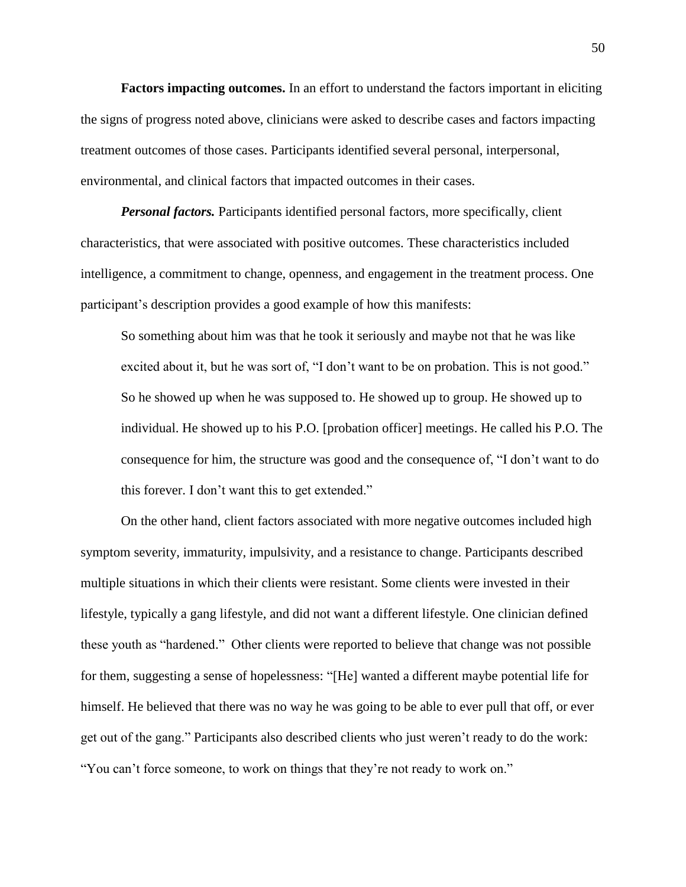**Factors impacting outcomes.** In an effort to understand the factors important in eliciting the signs of progress noted above, clinicians were asked to describe cases and factors impacting treatment outcomes of those cases. Participants identified several personal, interpersonal, environmental, and clinical factors that impacted outcomes in their cases.

*Personal factors.* Participants identified personal factors, more specifically, client characteristics, that were associated with positive outcomes. These characteristics included intelligence, a commitment to change, openness, and engagement in the treatment process. One participant's description provides a good example of how this manifests:

So something about him was that he took it seriously and maybe not that he was like excited about it, but he was sort of, "I don't want to be on probation. This is not good." So he showed up when he was supposed to. He showed up to group. He showed up to individual. He showed up to his P.O. [probation officer] meetings. He called his P.O. The consequence for him, the structure was good and the consequence of, "I don't want to do this forever. I don't want this to get extended."

On the other hand, client factors associated with more negative outcomes included high symptom severity, immaturity, impulsivity, and a resistance to change. Participants described multiple situations in which their clients were resistant. Some clients were invested in their lifestyle, typically a gang lifestyle, and did not want a different lifestyle. One clinician defined these youth as "hardened." Other clients were reported to believe that change was not possible for them, suggesting a sense of hopelessness: "[He] wanted a different maybe potential life for himself. He believed that there was no way he was going to be able to ever pull that off, or ever get out of the gang." Participants also described clients who just weren't ready to do the work: "You can't force someone, to work on things that they're not ready to work on."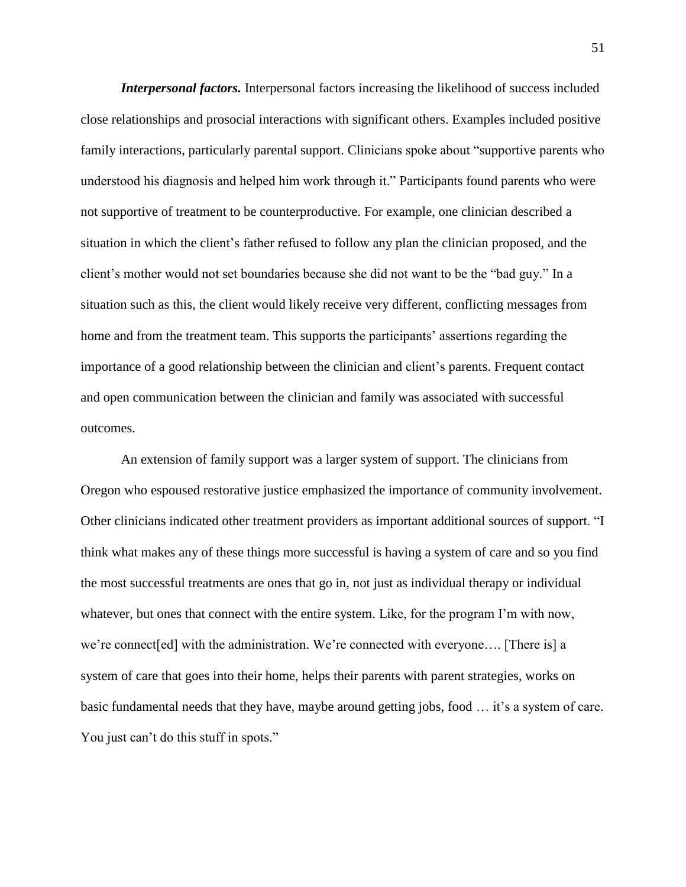*Interpersonal factors.* Interpersonal factors increasing the likelihood of success included close relationships and prosocial interactions with significant others. Examples included positive family interactions, particularly parental support. Clinicians spoke about "supportive parents who understood his diagnosis and helped him work through it." Participants found parents who were not supportive of treatment to be counterproductive. For example, one clinician described a situation in which the client's father refused to follow any plan the clinician proposed, and the client's mother would not set boundaries because she did not want to be the "bad guy." In a situation such as this, the client would likely receive very different, conflicting messages from home and from the treatment team. This supports the participants' assertions regarding the importance of a good relationship between the clinician and client's parents. Frequent contact and open communication between the clinician and family was associated with successful outcomes.

An extension of family support was a larger system of support. The clinicians from Oregon who espoused restorative justice emphasized the importance of community involvement. Other clinicians indicated other treatment providers as important additional sources of support. "I think what makes any of these things more successful is having a system of care and so you find the most successful treatments are ones that go in, not just as individual therapy or individual whatever, but ones that connect with the entire system. Like, for the program I'm with now, we're connect [ed] with the administration. We're connected with everyone.... [There is] a system of care that goes into their home, helps their parents with parent strategies, works on basic fundamental needs that they have, maybe around getting jobs, food … it's a system of care. You just can't do this stuff in spots."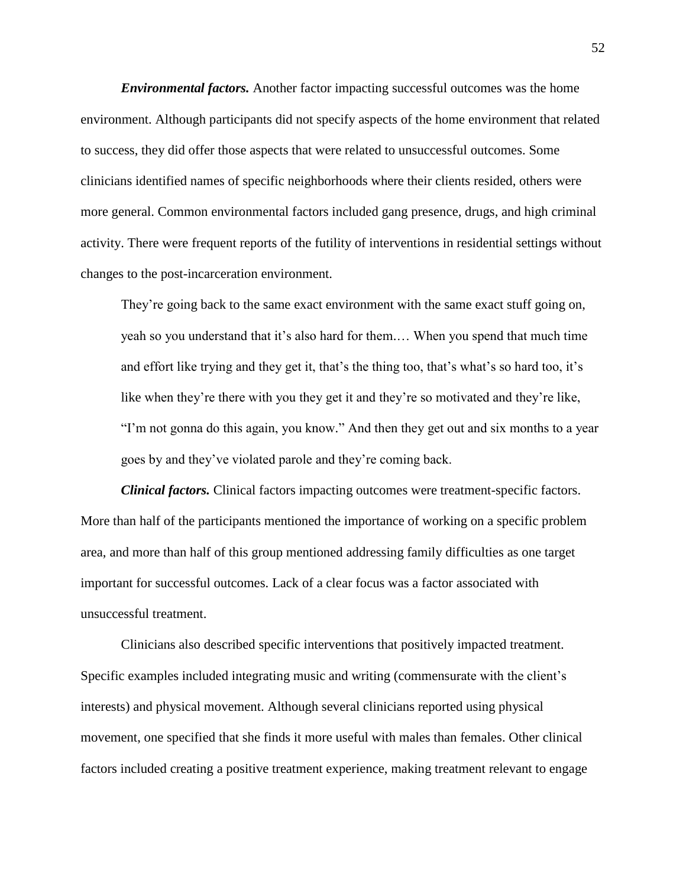*Environmental factors.* Another factor impacting successful outcomes was the home environment. Although participants did not specify aspects of the home environment that related to success, they did offer those aspects that were related to unsuccessful outcomes. Some clinicians identified names of specific neighborhoods where their clients resided, others were more general. Common environmental factors included gang presence, drugs, and high criminal activity. There were frequent reports of the futility of interventions in residential settings without changes to the post-incarceration environment.

They're going back to the same exact environment with the same exact stuff going on, yeah so you understand that it's also hard for them.… When you spend that much time and effort like trying and they get it, that's the thing too, that's what's so hard too, it's like when they're there with you they get it and they're so motivated and they're like, "I'm not gonna do this again, you know." And then they get out and six months to a year goes by and they've violated parole and they're coming back.

*Clinical factors.* Clinical factors impacting outcomes were treatment-specific factors. More than half of the participants mentioned the importance of working on a specific problem area, and more than half of this group mentioned addressing family difficulties as one target important for successful outcomes. Lack of a clear focus was a factor associated with unsuccessful treatment.

Clinicians also described specific interventions that positively impacted treatment. Specific examples included integrating music and writing (commensurate with the client's interests) and physical movement. Although several clinicians reported using physical movement, one specified that she finds it more useful with males than females. Other clinical factors included creating a positive treatment experience, making treatment relevant to engage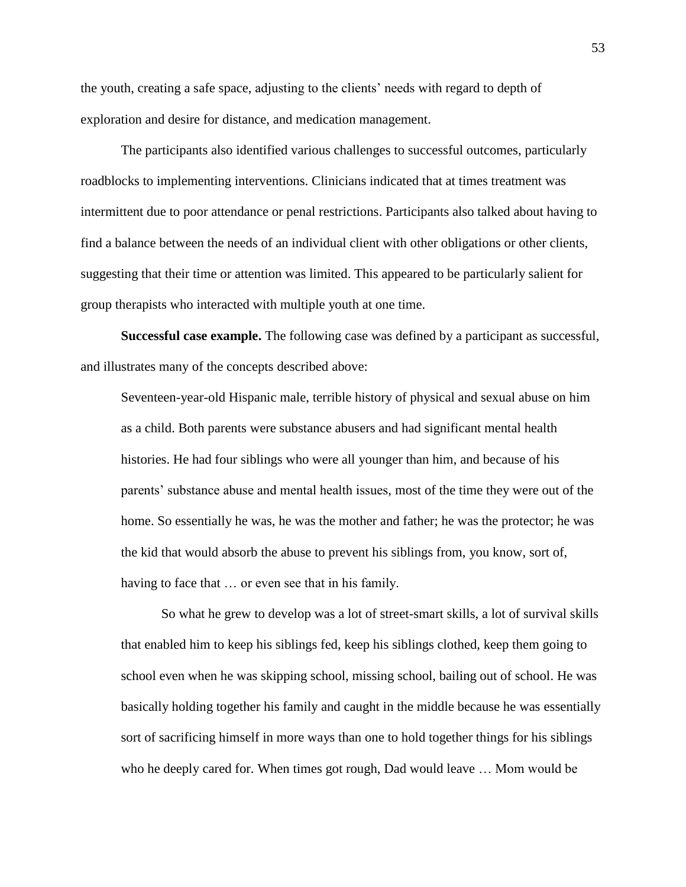the youth, creating a safe space, adjusting to the clients' needs with regard to depth of exploration and desire for distance, and medication management.

The participants also identified various challenges to successful outcomes, particularly roadblocks to implementing interventions. Clinicians indicated that at times treatment was intermittent due to poor attendance or penal restrictions. Participants also talked about having to find a balance between the needs of an individual client with other obligations or other clients, suggesting that their time or attention was limited. This appeared to be particularly salient for group therapists who interacted with multiple youth at one time.

**Successful case example.** The following case was defined by a participant as successful, and illustrates many of the concepts described above:

Seventeen-year-old Hispanic male, terrible history of physical and sexual abuse on him as a child. Both parents were substance abusers and had significant mental health histories. He had four siblings who were all younger than him, and because of his parents' substance abuse and mental health issues, most of the time they were out of the home. So essentially he was, he was the mother and father; he was the protector; he was the kid that would absorb the abuse to prevent his siblings from, you know, sort of, having to face that … or even see that in his family.

So what he grew to develop was a lot of street-smart skills, a lot of survival skills that enabled him to keep his siblings fed, keep his siblings clothed, keep them going to school even when he was skipping school, missing school, bailing out of school. He was basically holding together his family and caught in the middle because he was essentially sort of sacrificing himself in more ways than one to hold together things for his siblings who he deeply cared for. When times got rough, Dad would leave … Mom would be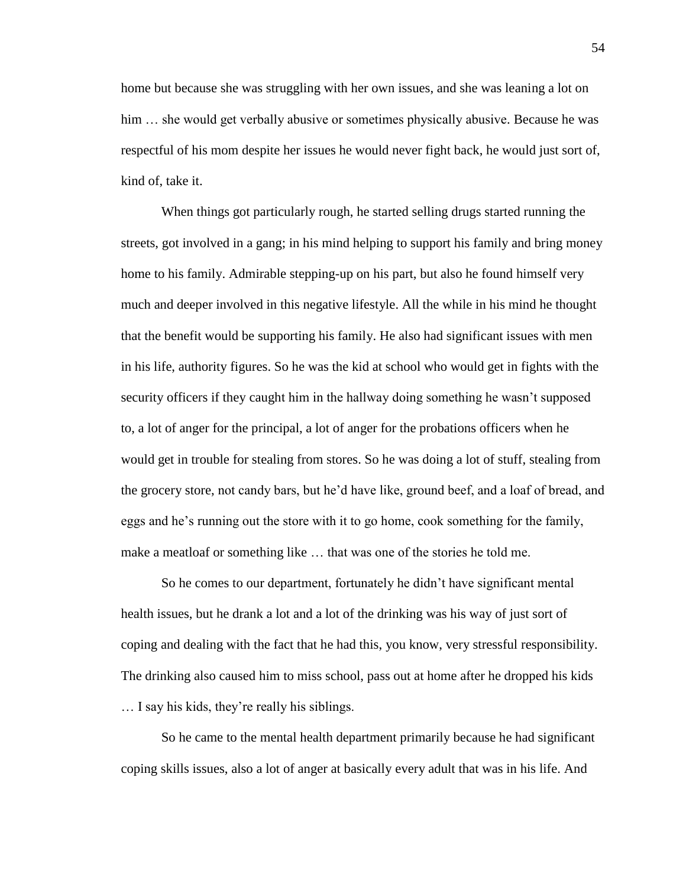home but because she was struggling with her own issues, and she was leaning a lot on him  $\ldots$  she would get verbally abusive or sometimes physically abusive. Because he was respectful of his mom despite her issues he would never fight back, he would just sort of, kind of, take it.

When things got particularly rough, he started selling drugs started running the streets, got involved in a gang; in his mind helping to support his family and bring money home to his family. Admirable stepping-up on his part, but also he found himself very much and deeper involved in this negative lifestyle. All the while in his mind he thought that the benefit would be supporting his family. He also had significant issues with men in his life, authority figures. So he was the kid at school who would get in fights with the security officers if they caught him in the hallway doing something he wasn't supposed to, a lot of anger for the principal, a lot of anger for the probations officers when he would get in trouble for stealing from stores. So he was doing a lot of stuff, stealing from the grocery store, not candy bars, but he'd have like, ground beef, and a loaf of bread, and eggs and he's running out the store with it to go home, cook something for the family, make a meatloaf or something like … that was one of the stories he told me.

So he comes to our department, fortunately he didn't have significant mental health issues, but he drank a lot and a lot of the drinking was his way of just sort of coping and dealing with the fact that he had this, you know, very stressful responsibility. The drinking also caused him to miss school, pass out at home after he dropped his kids … I say his kids, they're really his siblings.

So he came to the mental health department primarily because he had significant coping skills issues, also a lot of anger at basically every adult that was in his life. And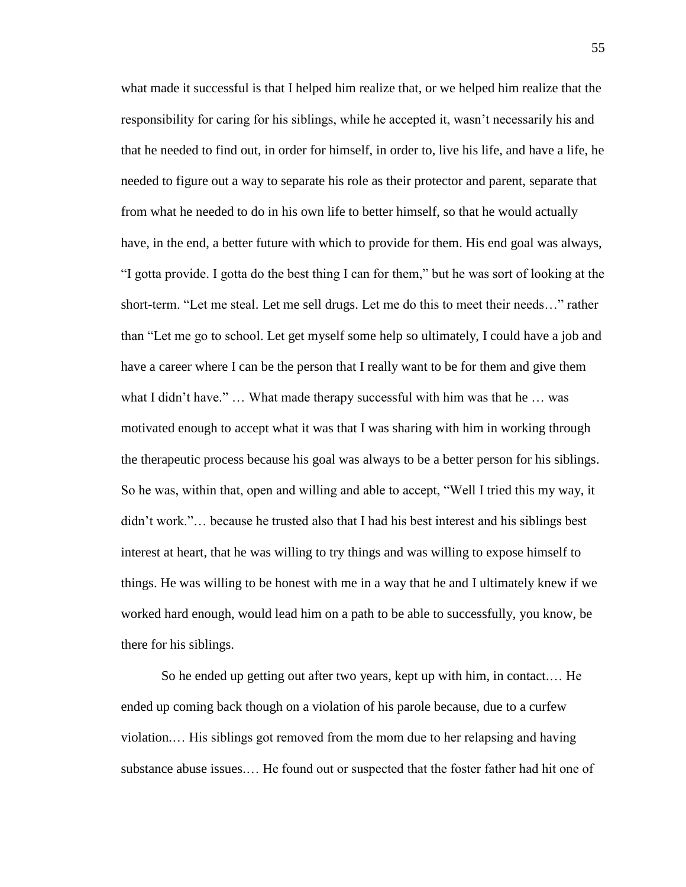what made it successful is that I helped him realize that, or we helped him realize that the responsibility for caring for his siblings, while he accepted it, wasn't necessarily his and that he needed to find out, in order for himself, in order to, live his life, and have a life, he needed to figure out a way to separate his role as their protector and parent, separate that from what he needed to do in his own life to better himself, so that he would actually have, in the end, a better future with which to provide for them. His end goal was always, "I gotta provide. I gotta do the best thing I can for them," but he was sort of looking at the short-term. "Let me steal. Let me sell drugs. Let me do this to meet their needs…" rather than "Let me go to school. Let get myself some help so ultimately, I could have a job and have a career where I can be the person that I really want to be for them and give them what I didn't have." … What made therapy successful with him was that he … was motivated enough to accept what it was that I was sharing with him in working through the therapeutic process because his goal was always to be a better person for his siblings. So he was, within that, open and willing and able to accept, "Well I tried this my way, it didn't work."… because he trusted also that I had his best interest and his siblings best interest at heart, that he was willing to try things and was willing to expose himself to things. He was willing to be honest with me in a way that he and I ultimately knew if we worked hard enough, would lead him on a path to be able to successfully, you know, be there for his siblings.

So he ended up getting out after two years, kept up with him, in contact.… He ended up coming back though on a violation of his parole because, due to a curfew violation.… His siblings got removed from the mom due to her relapsing and having substance abuse issues.… He found out or suspected that the foster father had hit one of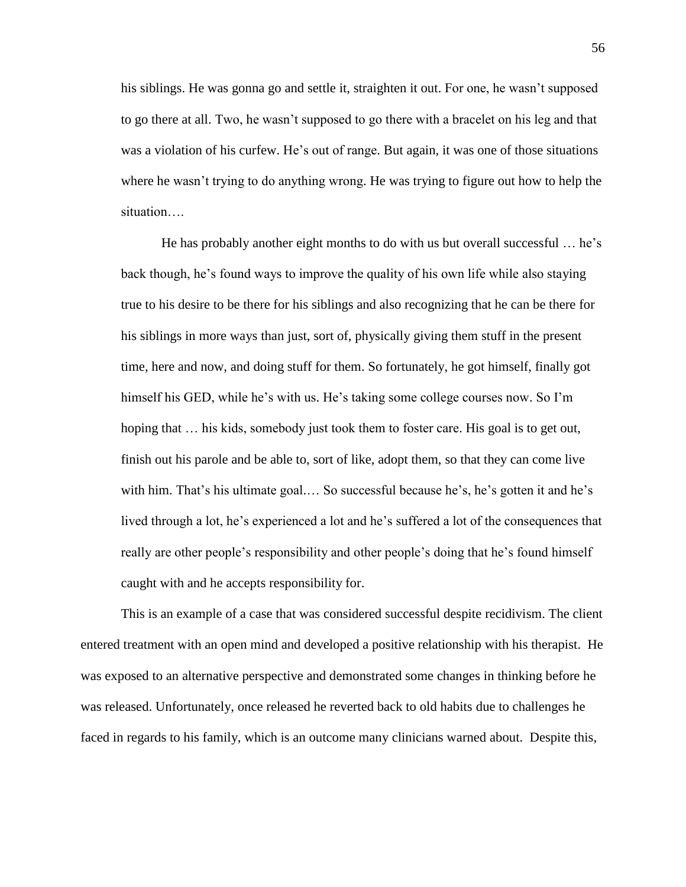his siblings. He was gonna go and settle it, straighten it out. For one, he wasn't supposed to go there at all. Two, he wasn't supposed to go there with a bracelet on his leg and that was a violation of his curfew. He's out of range. But again, it was one of those situations where he wasn't trying to do anything wrong. He was trying to figure out how to help the situation….

He has probably another eight months to do with us but overall successful … he's back though, he's found ways to improve the quality of his own life while also staying true to his desire to be there for his siblings and also recognizing that he can be there for his siblings in more ways than just, sort of, physically giving them stuff in the present time, here and now, and doing stuff for them. So fortunately, he got himself, finally got himself his GED, while he's with us. He's taking some college courses now. So I'm hoping that  $\ldots$  his kids, somebody just took them to foster care. His goal is to get out, finish out his parole and be able to, sort of like, adopt them, so that they can come live with him. That's his ultimate goal.... So successful because he's, he's gotten it and he's lived through a lot, he's experienced a lot and he's suffered a lot of the consequences that really are other people's responsibility and other people's doing that he's found himself caught with and he accepts responsibility for.

This is an example of a case that was considered successful despite recidivism. The client entered treatment with an open mind and developed a positive relationship with his therapist. He was exposed to an alternative perspective and demonstrated some changes in thinking before he was released. Unfortunately, once released he reverted back to old habits due to challenges he faced in regards to his family, which is an outcome many clinicians warned about. Despite this,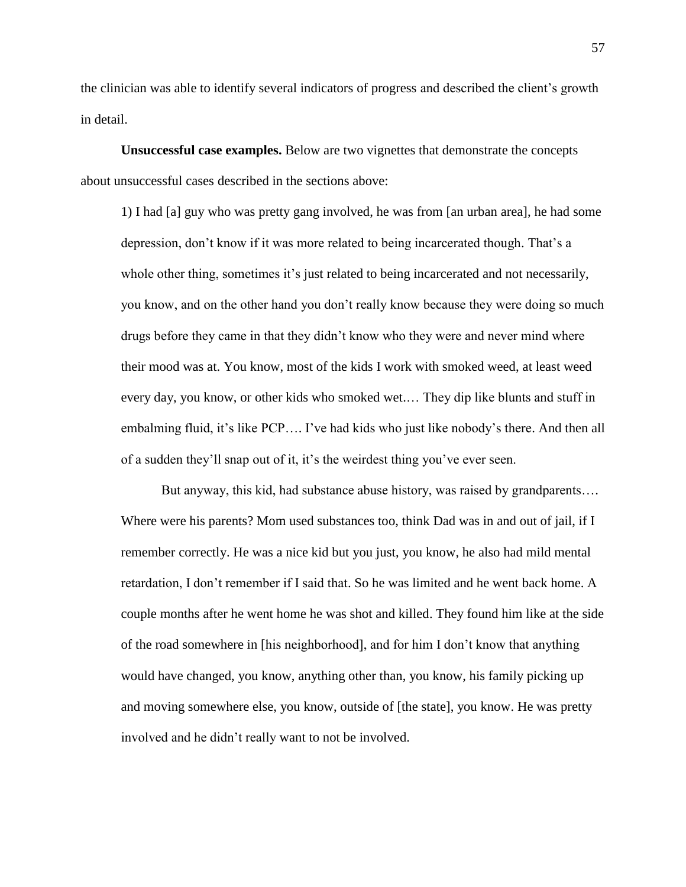the clinician was able to identify several indicators of progress and described the client's growth in detail.

**Unsuccessful case examples.** Below are two vignettes that demonstrate the concepts about unsuccessful cases described in the sections above:

1) I had [a] guy who was pretty gang involved, he was from [an urban area], he had some depression, don't know if it was more related to being incarcerated though. That's a whole other thing, sometimes it's just related to being incarcerated and not necessarily, you know, and on the other hand you don't really know because they were doing so much drugs before they came in that they didn't know who they were and never mind where their mood was at. You know, most of the kids I work with smoked weed, at least weed every day, you know, or other kids who smoked wet.… They dip like blunts and stuff in embalming fluid, it's like PCP…. I've had kids who just like nobody's there. And then all of a sudden they'll snap out of it, it's the weirdest thing you've ever seen.

But anyway, this kid, had substance abuse history, was raised by grandparents…. Where were his parents? Mom used substances too, think Dad was in and out of jail, if I remember correctly. He was a nice kid but you just, you know, he also had mild mental retardation, I don't remember if I said that. So he was limited and he went back home. A couple months after he went home he was shot and killed. They found him like at the side of the road somewhere in [his neighborhood], and for him I don't know that anything would have changed, you know, anything other than, you know, his family picking up and moving somewhere else, you know, outside of [the state], you know. He was pretty involved and he didn't really want to not be involved.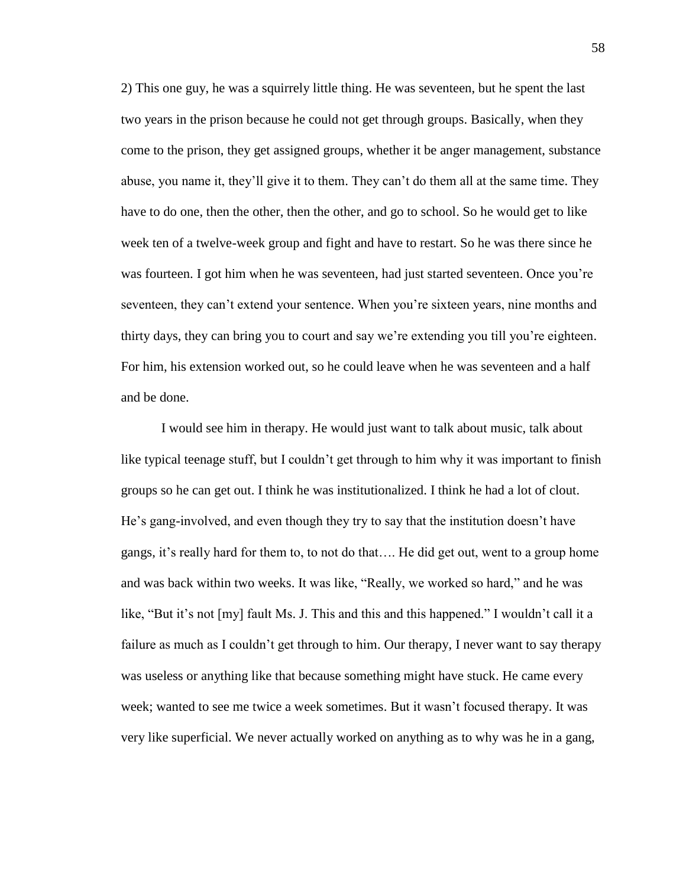2) This one guy, he was a squirrely little thing. He was seventeen, but he spent the last two years in the prison because he could not get through groups. Basically, when they come to the prison, they get assigned groups, whether it be anger management, substance abuse, you name it, they'll give it to them. They can't do them all at the same time. They have to do one, then the other, then the other, and go to school. So he would get to like week ten of a twelve-week group and fight and have to restart. So he was there since he was fourteen. I got him when he was seventeen, had just started seventeen. Once you're seventeen, they can't extend your sentence. When you're sixteen years, nine months and thirty days, they can bring you to court and say we're extending you till you're eighteen. For him, his extension worked out, so he could leave when he was seventeen and a half and be done.

I would see him in therapy. He would just want to talk about music, talk about like typical teenage stuff, but I couldn't get through to him why it was important to finish groups so he can get out. I think he was institutionalized. I think he had a lot of clout. He's gang-involved, and even though they try to say that the institution doesn't have gangs, it's really hard for them to, to not do that…. He did get out, went to a group home and was back within two weeks. It was like, "Really, we worked so hard," and he was like, "But it's not [my] fault Ms. J. This and this and this happened." I wouldn't call it a failure as much as I couldn't get through to him. Our therapy, I never want to say therapy was useless or anything like that because something might have stuck. He came every week; wanted to see me twice a week sometimes. But it wasn't focused therapy. It was very like superficial. We never actually worked on anything as to why was he in a gang,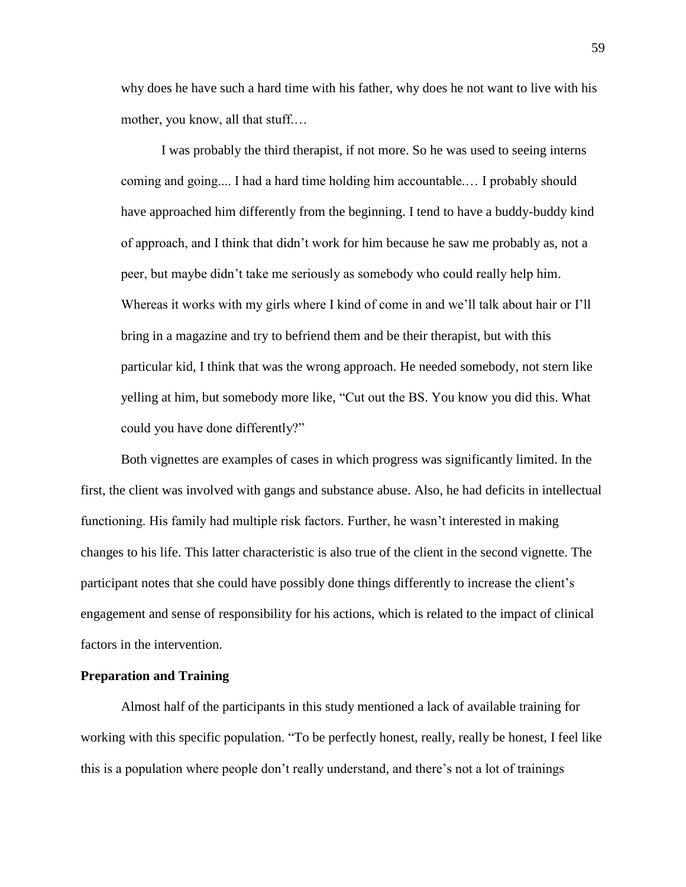why does he have such a hard time with his father, why does he not want to live with his mother, you know, all that stuff.…

I was probably the third therapist, if not more. So he was used to seeing interns coming and going.... I had a hard time holding him accountable.… I probably should have approached him differently from the beginning. I tend to have a buddy-buddy kind of approach, and I think that didn't work for him because he saw me probably as, not a peer, but maybe didn't take me seriously as somebody who could really help him. Whereas it works with my girls where I kind of come in and we'll talk about hair or I'll bring in a magazine and try to befriend them and be their therapist, but with this particular kid, I think that was the wrong approach. He needed somebody, not stern like yelling at him, but somebody more like, "Cut out the BS. You know you did this. What could you have done differently?"

Both vignettes are examples of cases in which progress was significantly limited. In the first, the client was involved with gangs and substance abuse. Also, he had deficits in intellectual functioning. His family had multiple risk factors. Further, he wasn't interested in making changes to his life. This latter characteristic is also true of the client in the second vignette. The participant notes that she could have possibly done things differently to increase the client's engagement and sense of responsibility for his actions, which is related to the impact of clinical factors in the intervention.

#### **Preparation and Training**

Almost half of the participants in this study mentioned a lack of available training for working with this specific population. "To be perfectly honest, really, really be honest, I feel like this is a population where people don't really understand, and there's not a lot of trainings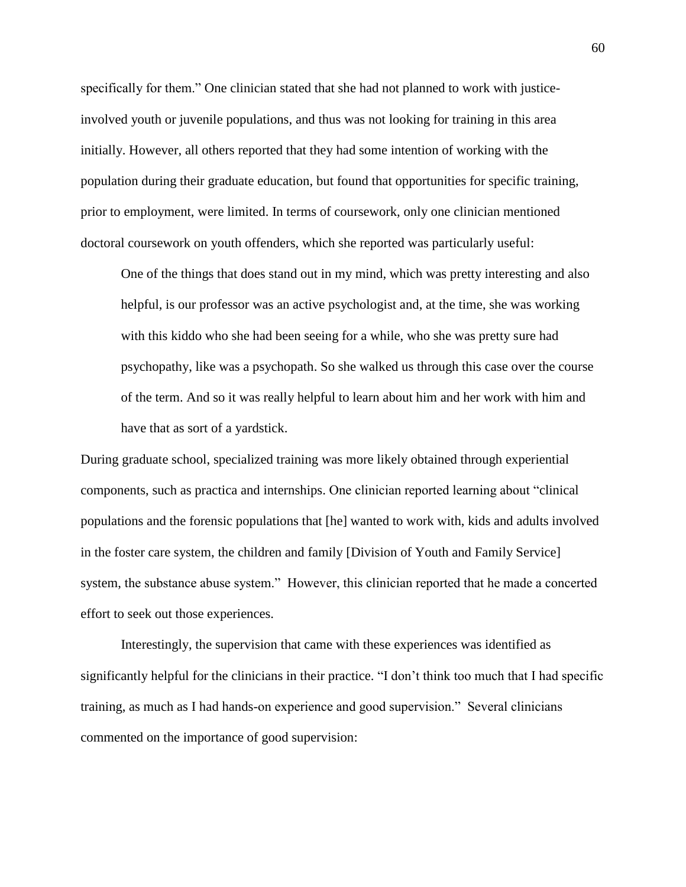specifically for them." One clinician stated that she had not planned to work with justiceinvolved youth or juvenile populations, and thus was not looking for training in this area initially. However, all others reported that they had some intention of working with the population during their graduate education, but found that opportunities for specific training, prior to employment, were limited. In terms of coursework, only one clinician mentioned doctoral coursework on youth offenders, which she reported was particularly useful:

One of the things that does stand out in my mind, which was pretty interesting and also helpful, is our professor was an active psychologist and, at the time, she was working with this kiddo who she had been seeing for a while, who she was pretty sure had psychopathy, like was a psychopath. So she walked us through this case over the course of the term. And so it was really helpful to learn about him and her work with him and have that as sort of a yardstick.

During graduate school, specialized training was more likely obtained through experiential components, such as practica and internships. One clinician reported learning about "clinical populations and the forensic populations that [he] wanted to work with, kids and adults involved in the foster care system, the children and family [Division of Youth and Family Service] system, the substance abuse system." However, this clinician reported that he made a concerted effort to seek out those experiences.

Interestingly, the supervision that came with these experiences was identified as significantly helpful for the clinicians in their practice. "I don't think too much that I had specific training, as much as I had hands-on experience and good supervision." Several clinicians commented on the importance of good supervision: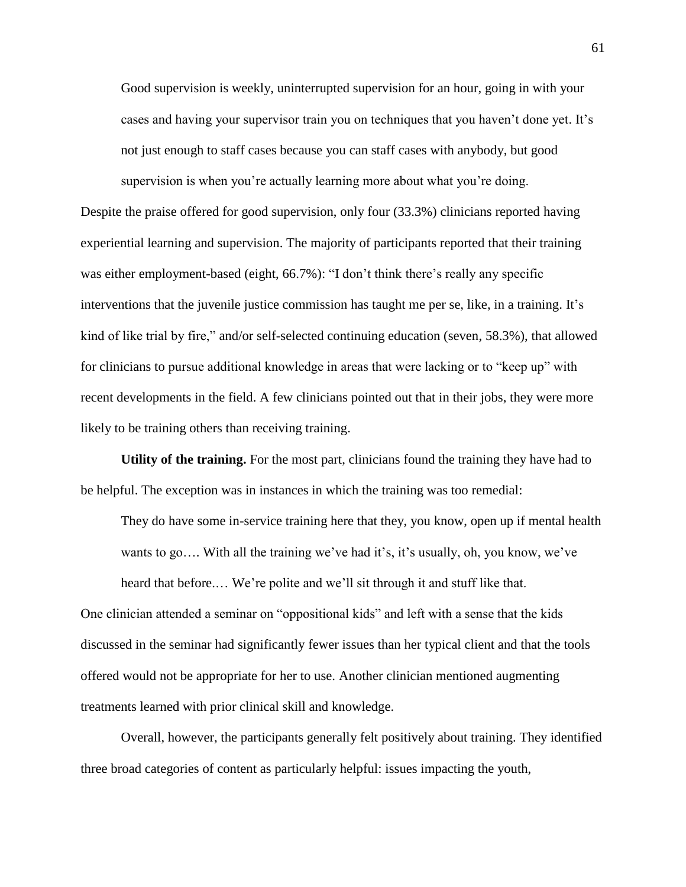Good supervision is weekly, uninterrupted supervision for an hour, going in with your cases and having your supervisor train you on techniques that you haven't done yet. It's not just enough to staff cases because you can staff cases with anybody, but good supervision is when you're actually learning more about what you're doing.

Despite the praise offered for good supervision, only four (33.3%) clinicians reported having experiential learning and supervision. The majority of participants reported that their training was either employment-based (eight, 66.7%): "I don't think there's really any specific interventions that the juvenile justice commission has taught me per se, like, in a training. It's kind of like trial by fire," and/or self-selected continuing education (seven, 58.3%), that allowed for clinicians to pursue additional knowledge in areas that were lacking or to "keep up" with recent developments in the field. A few clinicians pointed out that in their jobs, they were more likely to be training others than receiving training.

**Utility of the training.** For the most part, clinicians found the training they have had to be helpful. The exception was in instances in which the training was too remedial:

They do have some in-service training here that they, you know, open up if mental health wants to go…. With all the training we've had it's, it's usually, oh, you know, we've heard that before.… We're polite and we'll sit through it and stuff like that.

One clinician attended a seminar on "oppositional kids" and left with a sense that the kids discussed in the seminar had significantly fewer issues than her typical client and that the tools offered would not be appropriate for her to use. Another clinician mentioned augmenting treatments learned with prior clinical skill and knowledge.

Overall, however, the participants generally felt positively about training. They identified three broad categories of content as particularly helpful: issues impacting the youth,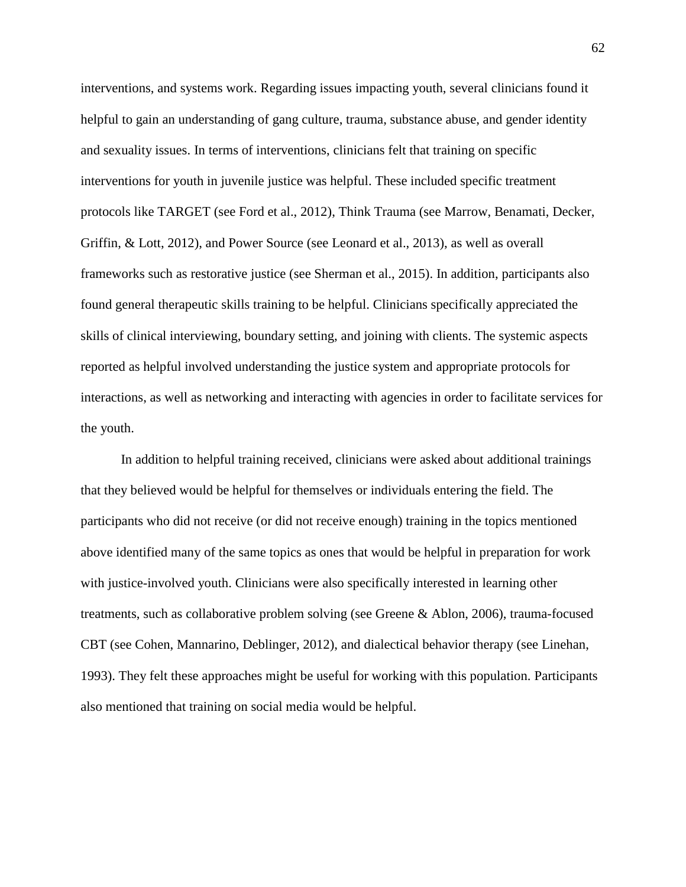interventions, and systems work. Regarding issues impacting youth, several clinicians found it helpful to gain an understanding of gang culture, trauma, substance abuse, and gender identity and sexuality issues. In terms of interventions, clinicians felt that training on specific interventions for youth in juvenile justice was helpful. These included specific treatment protocols like TARGET (see Ford et al., 2012), Think Trauma (see Marrow, Benamati, Decker, Griffin, & Lott, 2012), and Power Source (see Leonard et al., 2013), as well as overall frameworks such as restorative justice (see Sherman et al., 2015). In addition, participants also found general therapeutic skills training to be helpful. Clinicians specifically appreciated the skills of clinical interviewing, boundary setting, and joining with clients. The systemic aspects reported as helpful involved understanding the justice system and appropriate protocols for interactions, as well as networking and interacting with agencies in order to facilitate services for the youth.

In addition to helpful training received, clinicians were asked about additional trainings that they believed would be helpful for themselves or individuals entering the field. The participants who did not receive (or did not receive enough) training in the topics mentioned above identified many of the same topics as ones that would be helpful in preparation for work with justice-involved youth. Clinicians were also specifically interested in learning other treatments, such as collaborative problem solving (see Greene & Ablon, 2006), trauma-focused CBT (see Cohen, Mannarino, Deblinger, 2012), and dialectical behavior therapy (see Linehan, 1993). They felt these approaches might be useful for working with this population. Participants also mentioned that training on social media would be helpful.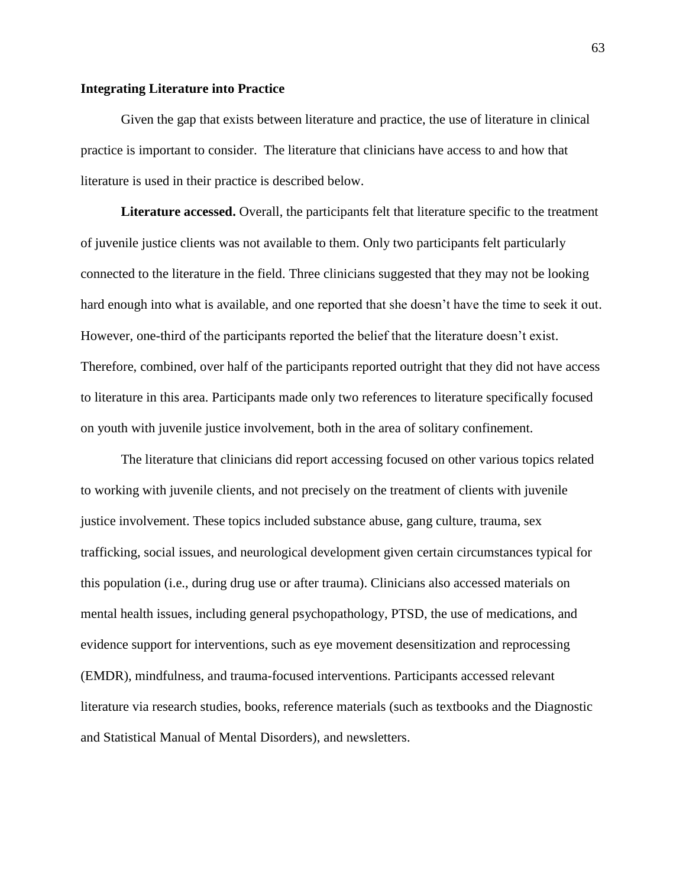## **Integrating Literature into Practice**

Given the gap that exists between literature and practice, the use of literature in clinical practice is important to consider. The literature that clinicians have access to and how that literature is used in their practice is described below.

**Literature accessed.** Overall, the participants felt that literature specific to the treatment of juvenile justice clients was not available to them. Only two participants felt particularly connected to the literature in the field. Three clinicians suggested that they may not be looking hard enough into what is available, and one reported that she doesn't have the time to seek it out. However, one-third of the participants reported the belief that the literature doesn't exist. Therefore, combined, over half of the participants reported outright that they did not have access to literature in this area. Participants made only two references to literature specifically focused on youth with juvenile justice involvement, both in the area of solitary confinement.

The literature that clinicians did report accessing focused on other various topics related to working with juvenile clients, and not precisely on the treatment of clients with juvenile justice involvement. These topics included substance abuse, gang culture, trauma, sex trafficking, social issues, and neurological development given certain circumstances typical for this population (i.e., during drug use or after trauma). Clinicians also accessed materials on mental health issues, including general psychopathology, PTSD, the use of medications, and evidence support for interventions, such as eye movement desensitization and reprocessing (EMDR), mindfulness, and trauma-focused interventions. Participants accessed relevant literature via research studies, books, reference materials (such as textbooks and the Diagnostic and Statistical Manual of Mental Disorders), and newsletters.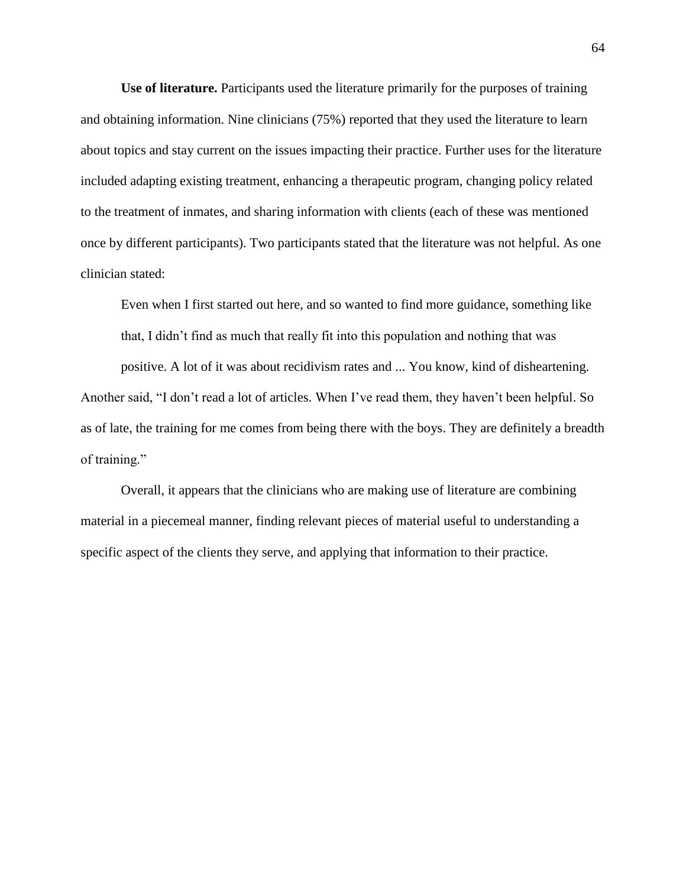**Use of literature.** Participants used the literature primarily for the purposes of training and obtaining information. Nine clinicians (75%) reported that they used the literature to learn about topics and stay current on the issues impacting their practice. Further uses for the literature included adapting existing treatment, enhancing a therapeutic program, changing policy related to the treatment of inmates, and sharing information with clients (each of these was mentioned once by different participants). Two participants stated that the literature was not helpful. As one clinician stated:

Even when I first started out here, and so wanted to find more guidance, something like that, I didn't find as much that really fit into this population and nothing that was

positive. A lot of it was about recidivism rates and ... You know, kind of disheartening. Another said, "I don't read a lot of articles. When I've read them, they haven't been helpful. So as of late, the training for me comes from being there with the boys. They are definitely a breadth of training."

Overall, it appears that the clinicians who are making use of literature are combining material in a piecemeal manner, finding relevant pieces of material useful to understanding a specific aspect of the clients they serve, and applying that information to their practice.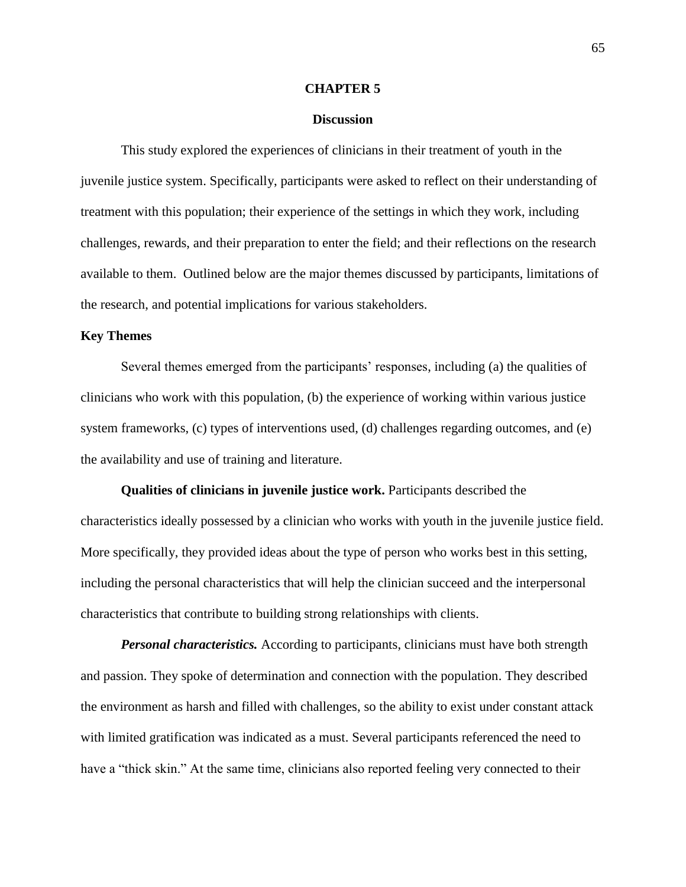#### **CHAPTER 5**

### **Discussion**

This study explored the experiences of clinicians in their treatment of youth in the juvenile justice system. Specifically, participants were asked to reflect on their understanding of treatment with this population; their experience of the settings in which they work, including challenges, rewards, and their preparation to enter the field; and their reflections on the research available to them. Outlined below are the major themes discussed by participants, limitations of the research, and potential implications for various stakeholders.

## **Key Themes**

Several themes emerged from the participants' responses, including (a) the qualities of clinicians who work with this population, (b) the experience of working within various justice system frameworks, (c) types of interventions used, (d) challenges regarding outcomes, and (e) the availability and use of training and literature.

**Qualities of clinicians in juvenile justice work.** Participants described the characteristics ideally possessed by a clinician who works with youth in the juvenile justice field. More specifically, they provided ideas about the type of person who works best in this setting, including the personal characteristics that will help the clinician succeed and the interpersonal characteristics that contribute to building strong relationships with clients.

*Personal characteristics.* According to participants, clinicians must have both strength and passion. They spoke of determination and connection with the population. They described the environment as harsh and filled with challenges, so the ability to exist under constant attack with limited gratification was indicated as a must. Several participants referenced the need to have a "thick skin." At the same time, clinicians also reported feeling very connected to their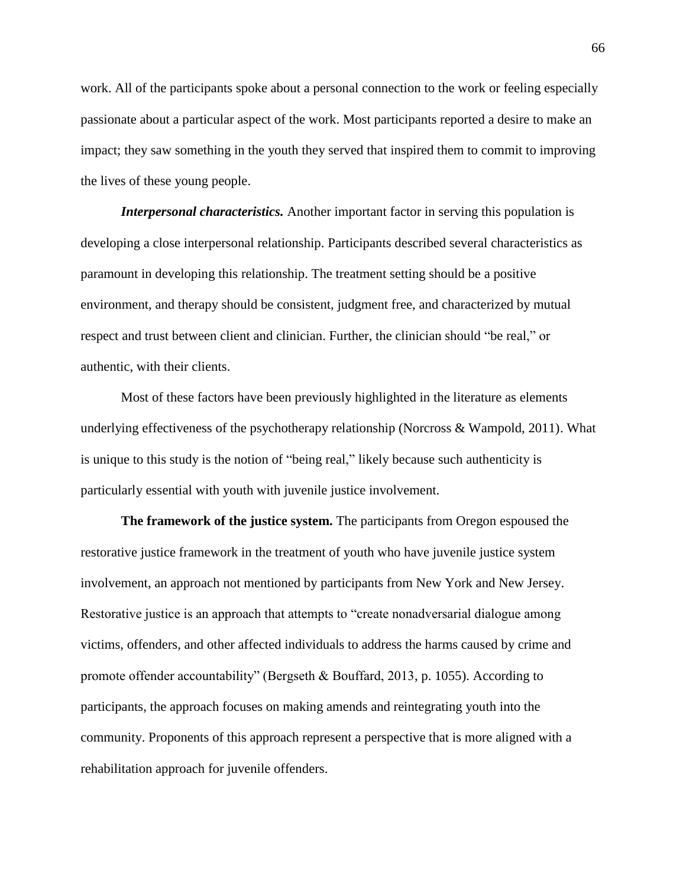work. All of the participants spoke about a personal connection to the work or feeling especially passionate about a particular aspect of the work. Most participants reported a desire to make an impact; they saw something in the youth they served that inspired them to commit to improving the lives of these young people.

*Interpersonal characteristics.* Another important factor in serving this population is developing a close interpersonal relationship. Participants described several characteristics as paramount in developing this relationship. The treatment setting should be a positive environment, and therapy should be consistent, judgment free, and characterized by mutual respect and trust between client and clinician. Further, the clinician should "be real," or authentic, with their clients.

Most of these factors have been previously highlighted in the literature as elements underlying effectiveness of the psychotherapy relationship (Norcross & Wampold, 2011). What is unique to this study is the notion of "being real," likely because such authenticity is particularly essential with youth with juvenile justice involvement.

**The framework of the justice system.** The participants from Oregon espoused the restorative justice framework in the treatment of youth who have juvenile justice system involvement, an approach not mentioned by participants from New York and New Jersey. Restorative justice is an approach that attempts to "create nonadversarial dialogue among victims, offenders, and other affected individuals to address the harms caused by crime and promote offender accountability" (Bergseth & Bouffard, 2013, p. 1055). According to participants, the approach focuses on making amends and reintegrating youth into the community. Proponents of this approach represent a perspective that is more aligned with a rehabilitation approach for juvenile offenders.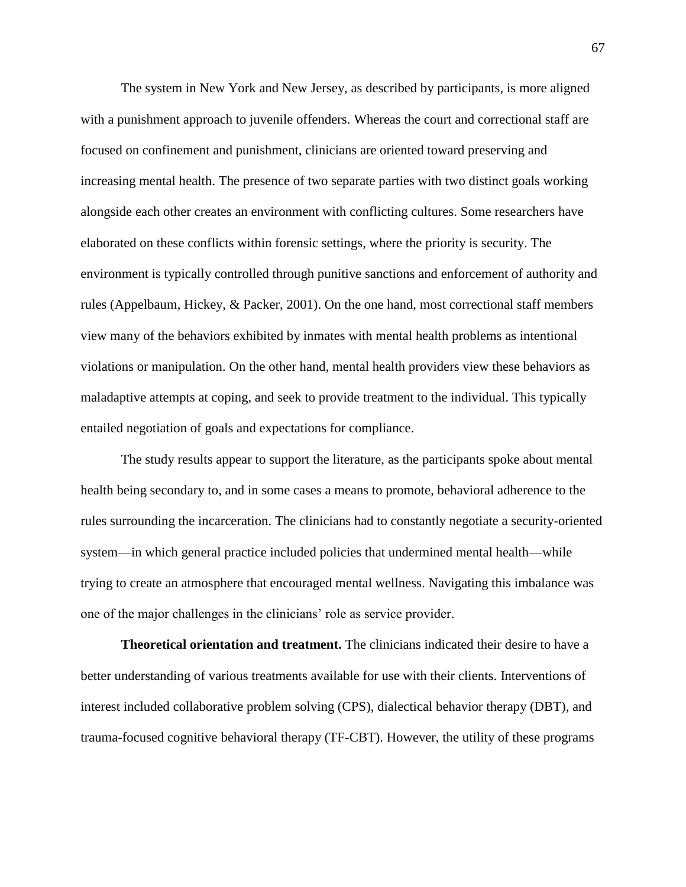The system in New York and New Jersey, as described by participants, is more aligned with a punishment approach to juvenile offenders. Whereas the court and correctional staff are focused on confinement and punishment, clinicians are oriented toward preserving and increasing mental health. The presence of two separate parties with two distinct goals working alongside each other creates an environment with conflicting cultures. Some researchers have elaborated on these conflicts within forensic settings, where the priority is security. The environment is typically controlled through punitive sanctions and enforcement of authority and rules (Appelbaum, Hickey, & Packer, 2001). On the one hand, most correctional staff members view many of the behaviors exhibited by inmates with mental health problems as intentional violations or manipulation. On the other hand, mental health providers view these behaviors as maladaptive attempts at coping, and seek to provide treatment to the individual. This typically entailed negotiation of goals and expectations for compliance.

The study results appear to support the literature, as the participants spoke about mental health being secondary to, and in some cases a means to promote, behavioral adherence to the rules surrounding the incarceration. The clinicians had to constantly negotiate a security-oriented system—in which general practice included policies that undermined mental health—while trying to create an atmosphere that encouraged mental wellness. Navigating this imbalance was one of the major challenges in the clinicians' role as service provider.

**Theoretical orientation and treatment.** The clinicians indicated their desire to have a better understanding of various treatments available for use with their clients. Interventions of interest included collaborative problem solving (CPS), dialectical behavior therapy (DBT), and trauma-focused cognitive behavioral therapy (TF-CBT). However, the utility of these programs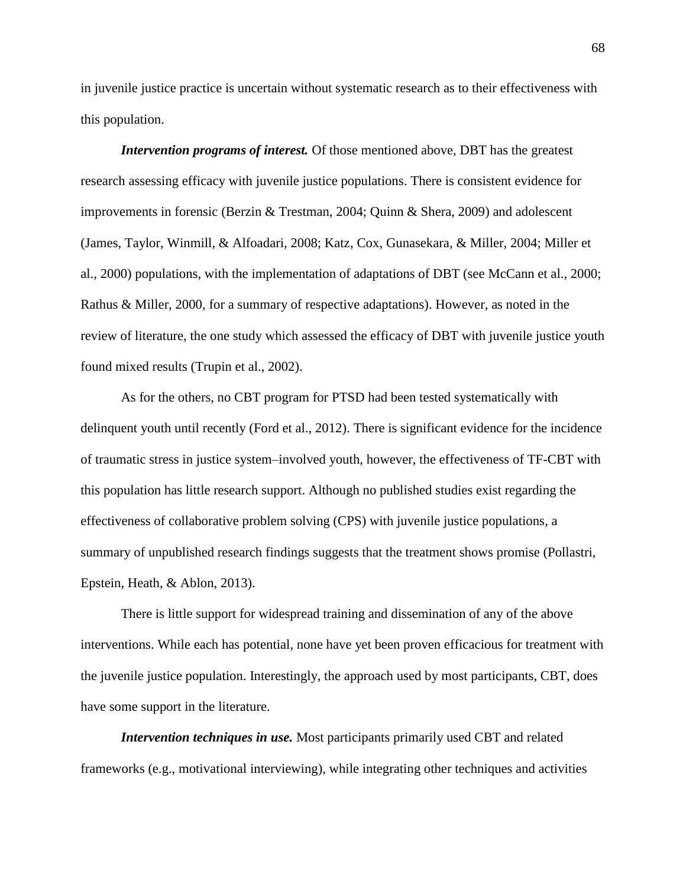in juvenile justice practice is uncertain without systematic research as to their effectiveness with this population.

*Intervention programs of interest.* Of those mentioned above, DBT has the greatest research assessing efficacy with juvenile justice populations. There is consistent evidence for improvements in forensic (Berzin & Trestman, 2004; Quinn & Shera, 2009) and adolescent (James, Taylor, Winmill, & Alfoadari, 2008; Katz, Cox, Gunasekara, & Miller, 2004; Miller et al., 2000) populations, with the implementation of adaptations of DBT (see McCann et al., 2000; Rathus & Miller, 2000, for a summary of respective adaptations). However, as noted in the review of literature, the one study which assessed the efficacy of DBT with juvenile justice youth found mixed results (Trupin et al., 2002).

As for the others, no CBT program for PTSD had been tested systematically with delinquent youth until recently (Ford et al., 2012). There is significant evidence for the incidence of traumatic stress in justice system–involved youth, however, the effectiveness of TF-CBT with this population has little research support. Although no published studies exist regarding the effectiveness of collaborative problem solving (CPS) with juvenile justice populations, a summary of unpublished research findings suggests that the treatment shows promise (Pollastri, Epstein, Heath, & Ablon, 2013).

There is little support for widespread training and dissemination of any of the above interventions. While each has potential, none have yet been proven efficacious for treatment with the juvenile justice population. Interestingly, the approach used by most participants, CBT, does have some support in the literature.

*Intervention techniques in use.* Most participants primarily used CBT and related frameworks (e.g., motivational interviewing), while integrating other techniques and activities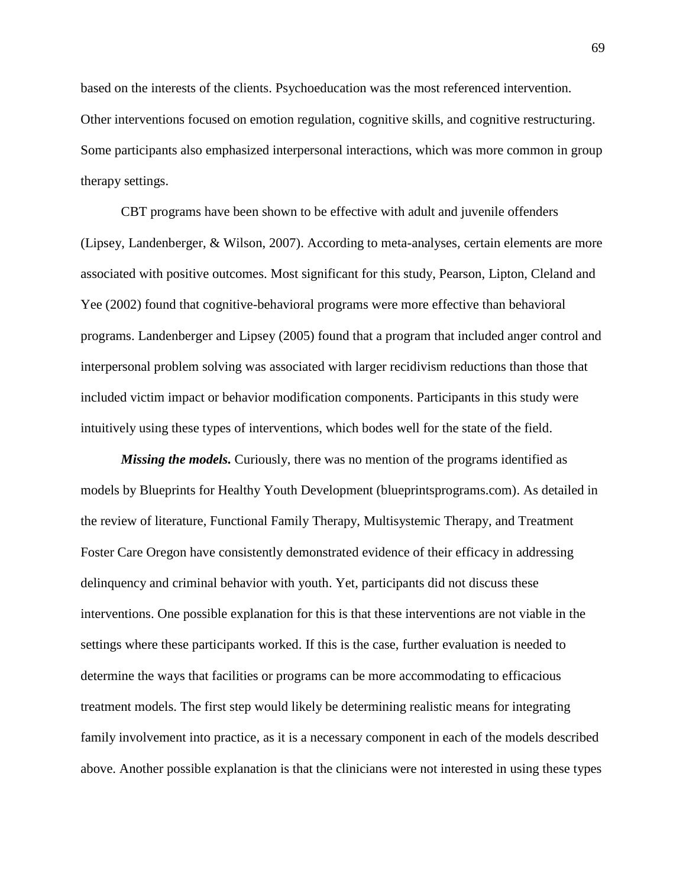based on the interests of the clients. Psychoeducation was the most referenced intervention. Other interventions focused on emotion regulation, cognitive skills, and cognitive restructuring. Some participants also emphasized interpersonal interactions, which was more common in group therapy settings.

CBT programs have been shown to be effective with adult and juvenile offenders (Lipsey, Landenberger, & Wilson, 2007). According to meta-analyses, certain elements are more associated with positive outcomes. Most significant for this study, Pearson, Lipton, Cleland and Yee (2002) found that cognitive-behavioral programs were more effective than behavioral programs. Landenberger and Lipsey (2005) found that a program that included anger control and interpersonal problem solving was associated with larger recidivism reductions than those that included victim impact or behavior modification components. Participants in this study were intuitively using these types of interventions, which bodes well for the state of the field.

*Missing the models.* Curiously, there was no mention of the programs identified as models by Blueprints for Healthy Youth Development (blueprintsprograms.com). As detailed in the review of literature, Functional Family Therapy, Multisystemic Therapy, and Treatment Foster Care Oregon have consistently demonstrated evidence of their efficacy in addressing delinquency and criminal behavior with youth. Yet, participants did not discuss these interventions. One possible explanation for this is that these interventions are not viable in the settings where these participants worked. If this is the case, further evaluation is needed to determine the ways that facilities or programs can be more accommodating to efficacious treatment models. The first step would likely be determining realistic means for integrating family involvement into practice, as it is a necessary component in each of the models described above. Another possible explanation is that the clinicians were not interested in using these types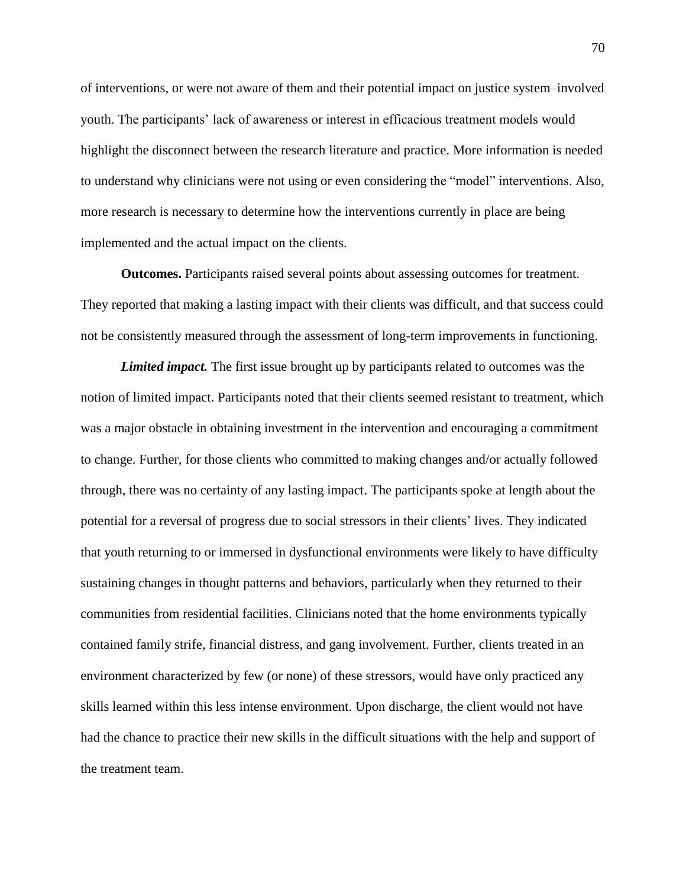of interventions, or were not aware of them and their potential impact on justice system–involved youth. The participants' lack of awareness or interest in efficacious treatment models would highlight the disconnect between the research literature and practice. More information is needed to understand why clinicians were not using or even considering the "model" interventions. Also, more research is necessary to determine how the interventions currently in place are being implemented and the actual impact on the clients.

**Outcomes.** Participants raised several points about assessing outcomes for treatment. They reported that making a lasting impact with their clients was difficult, and that success could not be consistently measured through the assessment of long-term improvements in functioning.

*Limited impact.* The first issue brought up by participants related to outcomes was the notion of limited impact. Participants noted that their clients seemed resistant to treatment, which was a major obstacle in obtaining investment in the intervention and encouraging a commitment to change. Further, for those clients who committed to making changes and/or actually followed through, there was no certainty of any lasting impact. The participants spoke at length about the potential for a reversal of progress due to social stressors in their clients' lives. They indicated that youth returning to or immersed in dysfunctional environments were likely to have difficulty sustaining changes in thought patterns and behaviors, particularly when they returned to their communities from residential facilities. Clinicians noted that the home environments typically contained family strife, financial distress, and gang involvement. Further, clients treated in an environment characterized by few (or none) of these stressors, would have only practiced any skills learned within this less intense environment. Upon discharge, the client would not have had the chance to practice their new skills in the difficult situations with the help and support of the treatment team.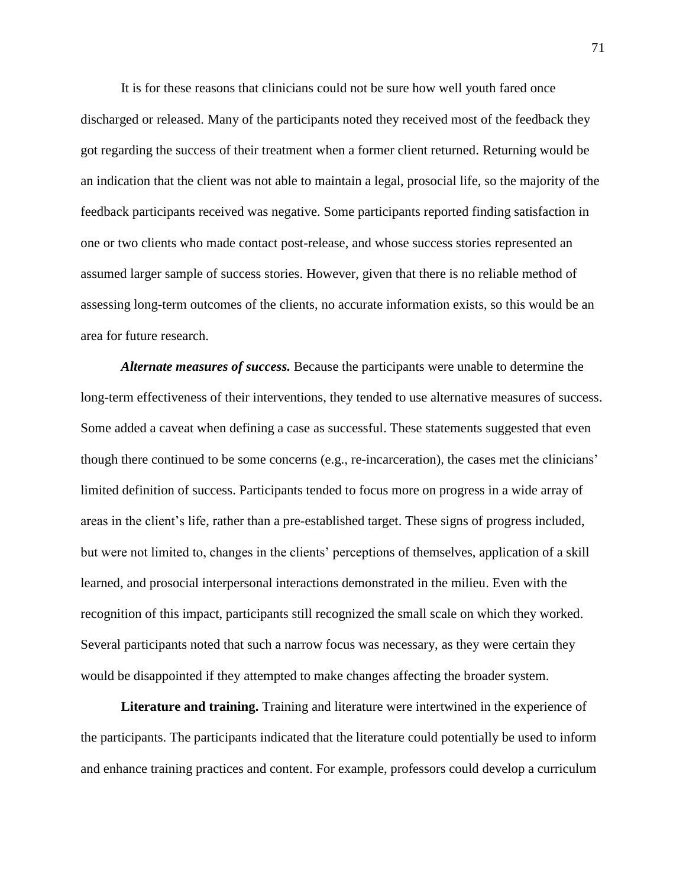It is for these reasons that clinicians could not be sure how well youth fared once discharged or released. Many of the participants noted they received most of the feedback they got regarding the success of their treatment when a former client returned. Returning would be an indication that the client was not able to maintain a legal, prosocial life, so the majority of the feedback participants received was negative. Some participants reported finding satisfaction in one or two clients who made contact post-release, and whose success stories represented an assumed larger sample of success stories. However, given that there is no reliable method of assessing long-term outcomes of the clients, no accurate information exists, so this would be an area for future research.

*Alternate measures of success.* Because the participants were unable to determine the long-term effectiveness of their interventions, they tended to use alternative measures of success. Some added a caveat when defining a case as successful. These statements suggested that even though there continued to be some concerns (e.g., re-incarceration), the cases met the clinicians' limited definition of success. Participants tended to focus more on progress in a wide array of areas in the client's life, rather than a pre-established target. These signs of progress included, but were not limited to, changes in the clients' perceptions of themselves, application of a skill learned, and prosocial interpersonal interactions demonstrated in the milieu. Even with the recognition of this impact, participants still recognized the small scale on which they worked. Several participants noted that such a narrow focus was necessary, as they were certain they would be disappointed if they attempted to make changes affecting the broader system.

**Literature and training.** Training and literature were intertwined in the experience of the participants. The participants indicated that the literature could potentially be used to inform and enhance training practices and content. For example, professors could develop a curriculum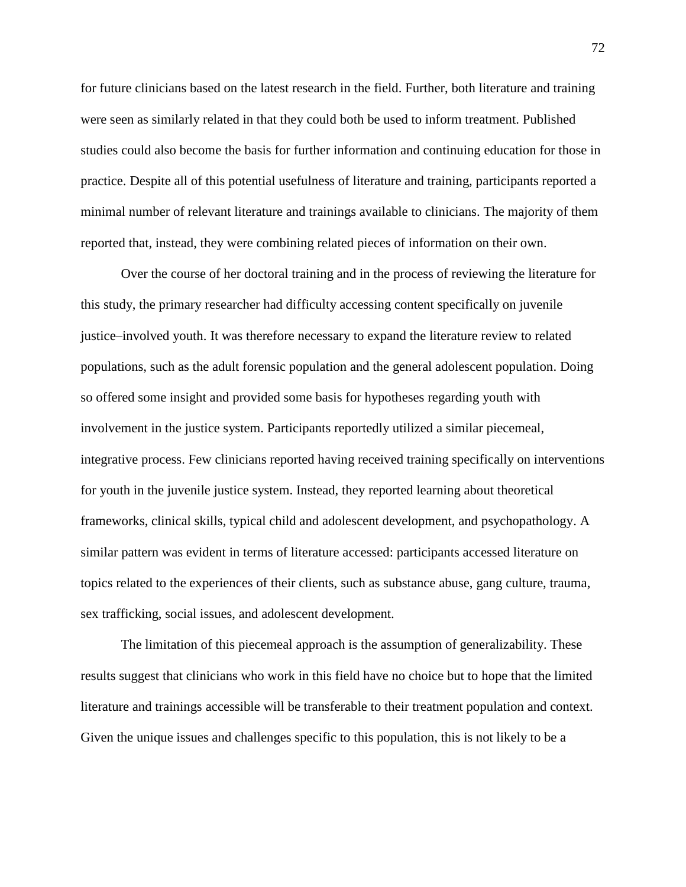for future clinicians based on the latest research in the field. Further, both literature and training were seen as similarly related in that they could both be used to inform treatment. Published studies could also become the basis for further information and continuing education for those in practice. Despite all of this potential usefulness of literature and training, participants reported a minimal number of relevant literature and trainings available to clinicians. The majority of them reported that, instead, they were combining related pieces of information on their own.

Over the course of her doctoral training and in the process of reviewing the literature for this study, the primary researcher had difficulty accessing content specifically on juvenile justice–involved youth. It was therefore necessary to expand the literature review to related populations, such as the adult forensic population and the general adolescent population. Doing so offered some insight and provided some basis for hypotheses regarding youth with involvement in the justice system. Participants reportedly utilized a similar piecemeal, integrative process. Few clinicians reported having received training specifically on interventions for youth in the juvenile justice system. Instead, they reported learning about theoretical frameworks, clinical skills, typical child and adolescent development, and psychopathology. A similar pattern was evident in terms of literature accessed: participants accessed literature on topics related to the experiences of their clients, such as substance abuse, gang culture, trauma, sex trafficking, social issues, and adolescent development.

The limitation of this piecemeal approach is the assumption of generalizability. These results suggest that clinicians who work in this field have no choice but to hope that the limited literature and trainings accessible will be transferable to their treatment population and context. Given the unique issues and challenges specific to this population, this is not likely to be a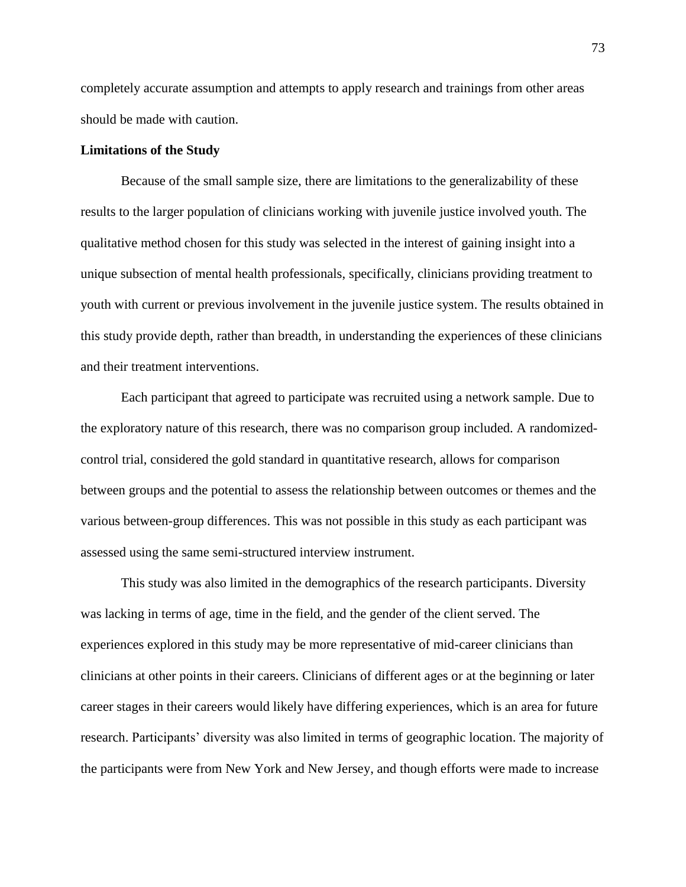completely accurate assumption and attempts to apply research and trainings from other areas should be made with caution.

### **Limitations of the Study**

Because of the small sample size, there are limitations to the generalizability of these results to the larger population of clinicians working with juvenile justice involved youth. The qualitative method chosen for this study was selected in the interest of gaining insight into a unique subsection of mental health professionals, specifically, clinicians providing treatment to youth with current or previous involvement in the juvenile justice system. The results obtained in this study provide depth, rather than breadth, in understanding the experiences of these clinicians and their treatment interventions.

Each participant that agreed to participate was recruited using a network sample. Due to the exploratory nature of this research, there was no comparison group included. A randomizedcontrol trial, considered the gold standard in quantitative research, allows for comparison between groups and the potential to assess the relationship between outcomes or themes and the various between-group differences. This was not possible in this study as each participant was assessed using the same semi-structured interview instrument.

This study was also limited in the demographics of the research participants. Diversity was lacking in terms of age, time in the field, and the gender of the client served. The experiences explored in this study may be more representative of mid-career clinicians than clinicians at other points in their careers. Clinicians of different ages or at the beginning or later career stages in their careers would likely have differing experiences, which is an area for future research. Participants' diversity was also limited in terms of geographic location. The majority of the participants were from New York and New Jersey, and though efforts were made to increase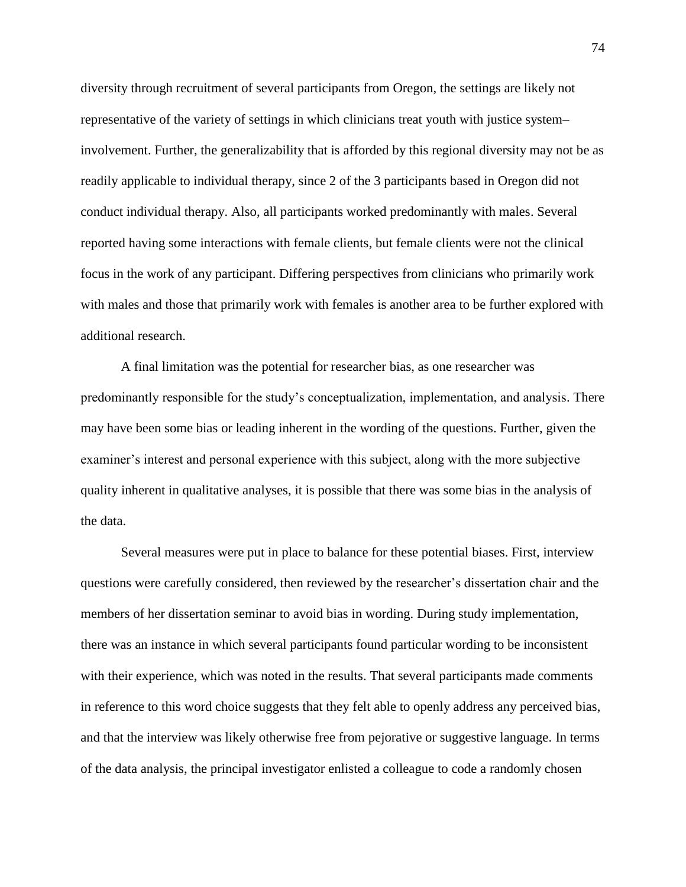diversity through recruitment of several participants from Oregon, the settings are likely not representative of the variety of settings in which clinicians treat youth with justice system– involvement. Further, the generalizability that is afforded by this regional diversity may not be as readily applicable to individual therapy, since 2 of the 3 participants based in Oregon did not conduct individual therapy. Also, all participants worked predominantly with males. Several reported having some interactions with female clients, but female clients were not the clinical focus in the work of any participant. Differing perspectives from clinicians who primarily work with males and those that primarily work with females is another area to be further explored with additional research.

A final limitation was the potential for researcher bias, as one researcher was predominantly responsible for the study's conceptualization, implementation, and analysis. There may have been some bias or leading inherent in the wording of the questions. Further, given the examiner's interest and personal experience with this subject, along with the more subjective quality inherent in qualitative analyses, it is possible that there was some bias in the analysis of the data.

Several measures were put in place to balance for these potential biases. First, interview questions were carefully considered, then reviewed by the researcher's dissertation chair and the members of her dissertation seminar to avoid bias in wording. During study implementation, there was an instance in which several participants found particular wording to be inconsistent with their experience, which was noted in the results. That several participants made comments in reference to this word choice suggests that they felt able to openly address any perceived bias, and that the interview was likely otherwise free from pejorative or suggestive language. In terms of the data analysis, the principal investigator enlisted a colleague to code a randomly chosen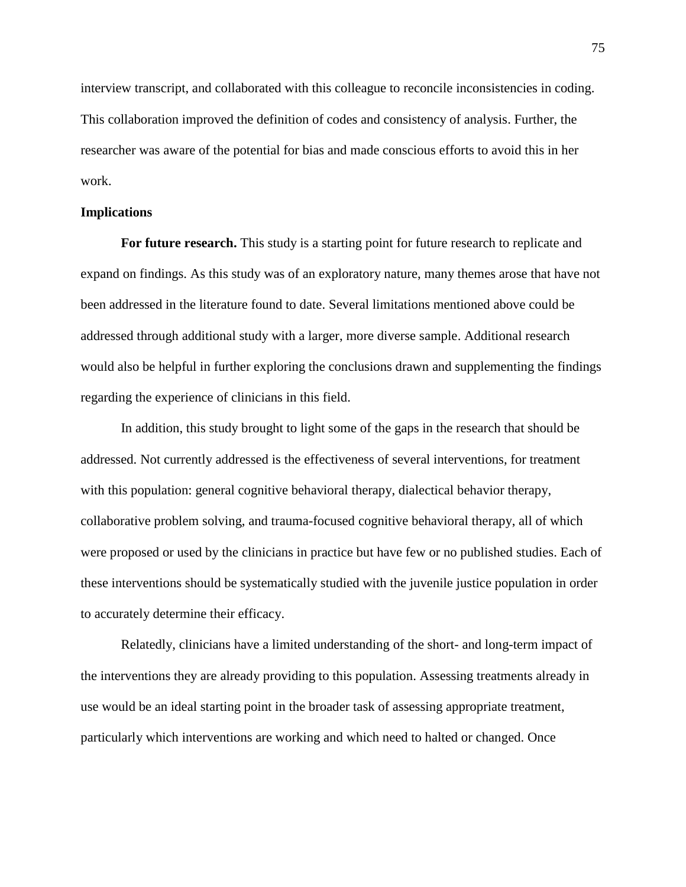interview transcript, and collaborated with this colleague to reconcile inconsistencies in coding. This collaboration improved the definition of codes and consistency of analysis. Further, the researcher was aware of the potential for bias and made conscious efforts to avoid this in her work.

## **Implications**

For future research. This study is a starting point for future research to replicate and expand on findings. As this study was of an exploratory nature, many themes arose that have not been addressed in the literature found to date. Several limitations mentioned above could be addressed through additional study with a larger, more diverse sample. Additional research would also be helpful in further exploring the conclusions drawn and supplementing the findings regarding the experience of clinicians in this field.

In addition, this study brought to light some of the gaps in the research that should be addressed. Not currently addressed is the effectiveness of several interventions, for treatment with this population: general cognitive behavioral therapy, dialectical behavior therapy, collaborative problem solving, and trauma-focused cognitive behavioral therapy, all of which were proposed or used by the clinicians in practice but have few or no published studies. Each of these interventions should be systematically studied with the juvenile justice population in order to accurately determine their efficacy.

Relatedly, clinicians have a limited understanding of the short- and long-term impact of the interventions they are already providing to this population. Assessing treatments already in use would be an ideal starting point in the broader task of assessing appropriate treatment, particularly which interventions are working and which need to halted or changed. Once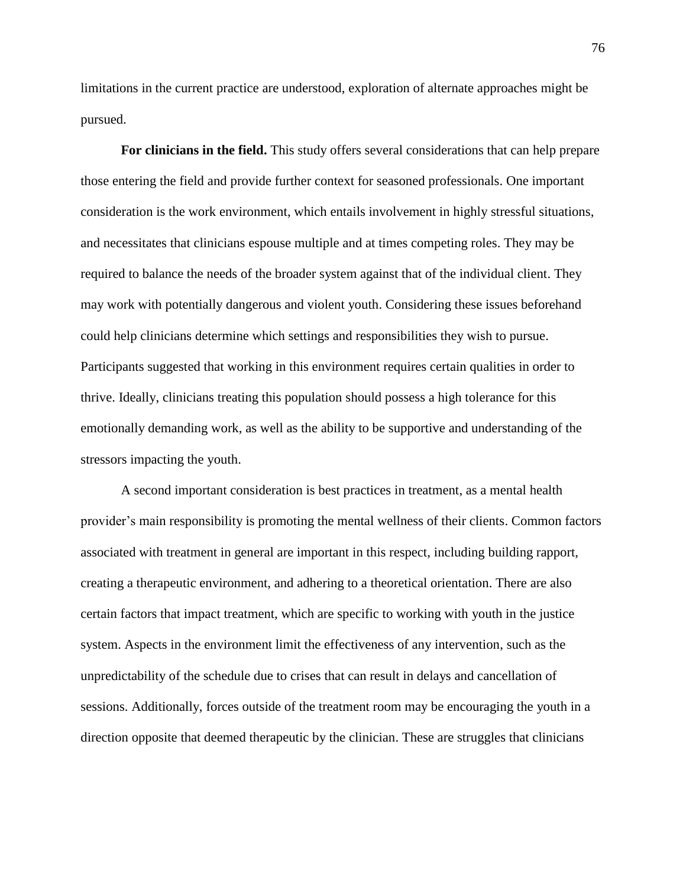limitations in the current practice are understood, exploration of alternate approaches might be pursued.

**For clinicians in the field.** This study offers several considerations that can help prepare those entering the field and provide further context for seasoned professionals. One important consideration is the work environment, which entails involvement in highly stressful situations, and necessitates that clinicians espouse multiple and at times competing roles. They may be required to balance the needs of the broader system against that of the individual client. They may work with potentially dangerous and violent youth. Considering these issues beforehand could help clinicians determine which settings and responsibilities they wish to pursue. Participants suggested that working in this environment requires certain qualities in order to thrive. Ideally, clinicians treating this population should possess a high tolerance for this emotionally demanding work, as well as the ability to be supportive and understanding of the stressors impacting the youth.

A second important consideration is best practices in treatment, as a mental health provider's main responsibility is promoting the mental wellness of their clients. Common factors associated with treatment in general are important in this respect, including building rapport, creating a therapeutic environment, and adhering to a theoretical orientation. There are also certain factors that impact treatment, which are specific to working with youth in the justice system. Aspects in the environment limit the effectiveness of any intervention, such as the unpredictability of the schedule due to crises that can result in delays and cancellation of sessions. Additionally, forces outside of the treatment room may be encouraging the youth in a direction opposite that deemed therapeutic by the clinician. These are struggles that clinicians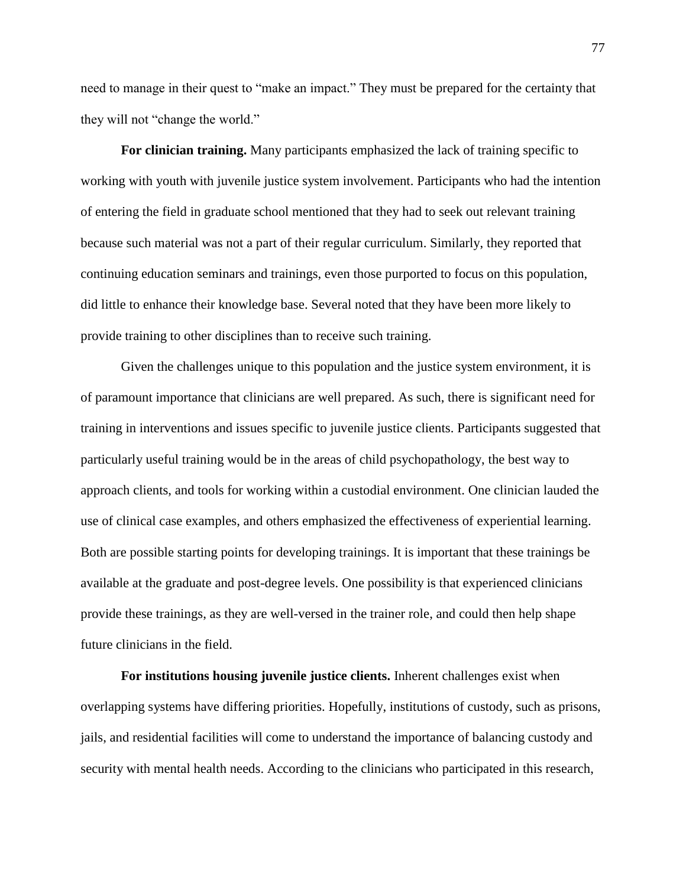need to manage in their quest to "make an impact." They must be prepared for the certainty that they will not "change the world."

**For clinician training.** Many participants emphasized the lack of training specific to working with youth with juvenile justice system involvement. Participants who had the intention of entering the field in graduate school mentioned that they had to seek out relevant training because such material was not a part of their regular curriculum. Similarly, they reported that continuing education seminars and trainings, even those purported to focus on this population, did little to enhance their knowledge base. Several noted that they have been more likely to provide training to other disciplines than to receive such training.

Given the challenges unique to this population and the justice system environment, it is of paramount importance that clinicians are well prepared. As such, there is significant need for training in interventions and issues specific to juvenile justice clients. Participants suggested that particularly useful training would be in the areas of child psychopathology, the best way to approach clients, and tools for working within a custodial environment. One clinician lauded the use of clinical case examples, and others emphasized the effectiveness of experiential learning. Both are possible starting points for developing trainings. It is important that these trainings be available at the graduate and post-degree levels. One possibility is that experienced clinicians provide these trainings, as they are well-versed in the trainer role, and could then help shape future clinicians in the field.

**For institutions housing juvenile justice clients.** Inherent challenges exist when overlapping systems have differing priorities. Hopefully, institutions of custody, such as prisons, jails, and residential facilities will come to understand the importance of balancing custody and security with mental health needs. According to the clinicians who participated in this research,

77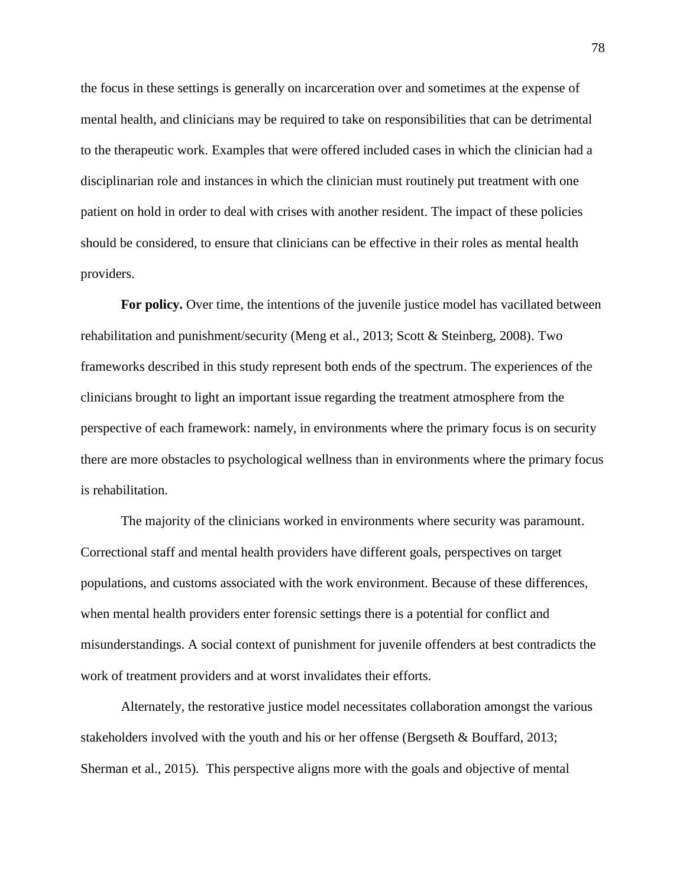the focus in these settings is generally on incarceration over and sometimes at the expense of mental health, and clinicians may be required to take on responsibilities that can be detrimental to the therapeutic work. Examples that were offered included cases in which the clinician had a disciplinarian role and instances in which the clinician must routinely put treatment with one patient on hold in order to deal with crises with another resident. The impact of these policies should be considered, to ensure that clinicians can be effective in their roles as mental health providers.

**For policy.** Over time, the intentions of the juvenile justice model has vacillated between rehabilitation and punishment/security (Meng et al., 2013; Scott & Steinberg, 2008). Two frameworks described in this study represent both ends of the spectrum. The experiences of the clinicians brought to light an important issue regarding the treatment atmosphere from the perspective of each framework: namely, in environments where the primary focus is on security there are more obstacles to psychological wellness than in environments where the primary focus is rehabilitation.

The majority of the clinicians worked in environments where security was paramount. Correctional staff and mental health providers have different goals, perspectives on target populations, and customs associated with the work environment. Because of these differences, when mental health providers enter forensic settings there is a potential for conflict and misunderstandings. A social context of punishment for juvenile offenders at best contradicts the work of treatment providers and at worst invalidates their efforts.

Alternately, the restorative justice model necessitates collaboration amongst the various stakeholders involved with the youth and his or her offense (Bergseth & Bouffard, 2013; Sherman et al., 2015). This perspective aligns more with the goals and objective of mental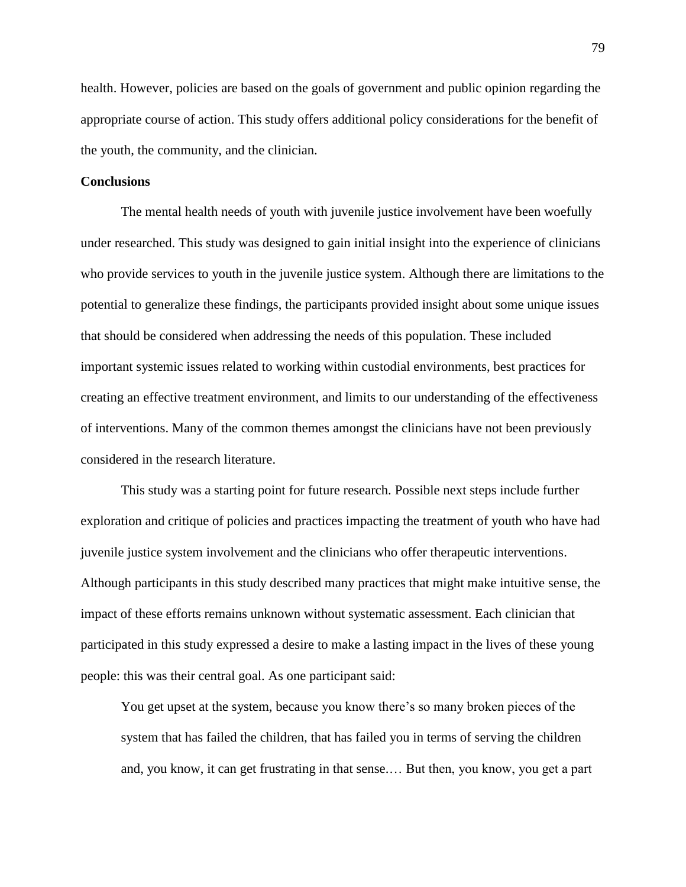health. However, policies are based on the goals of government and public opinion regarding the appropriate course of action. This study offers additional policy considerations for the benefit of the youth, the community, and the clinician.

### **Conclusions**

The mental health needs of youth with juvenile justice involvement have been woefully under researched. This study was designed to gain initial insight into the experience of clinicians who provide services to youth in the juvenile justice system. Although there are limitations to the potential to generalize these findings, the participants provided insight about some unique issues that should be considered when addressing the needs of this population. These included important systemic issues related to working within custodial environments, best practices for creating an effective treatment environment, and limits to our understanding of the effectiveness of interventions. Many of the common themes amongst the clinicians have not been previously considered in the research literature.

This study was a starting point for future research. Possible next steps include further exploration and critique of policies and practices impacting the treatment of youth who have had juvenile justice system involvement and the clinicians who offer therapeutic interventions. Although participants in this study described many practices that might make intuitive sense, the impact of these efforts remains unknown without systematic assessment. Each clinician that participated in this study expressed a desire to make a lasting impact in the lives of these young people: this was their central goal. As one participant said:

You get upset at the system, because you know there's so many broken pieces of the system that has failed the children, that has failed you in terms of serving the children and, you know, it can get frustrating in that sense.… But then, you know, you get a part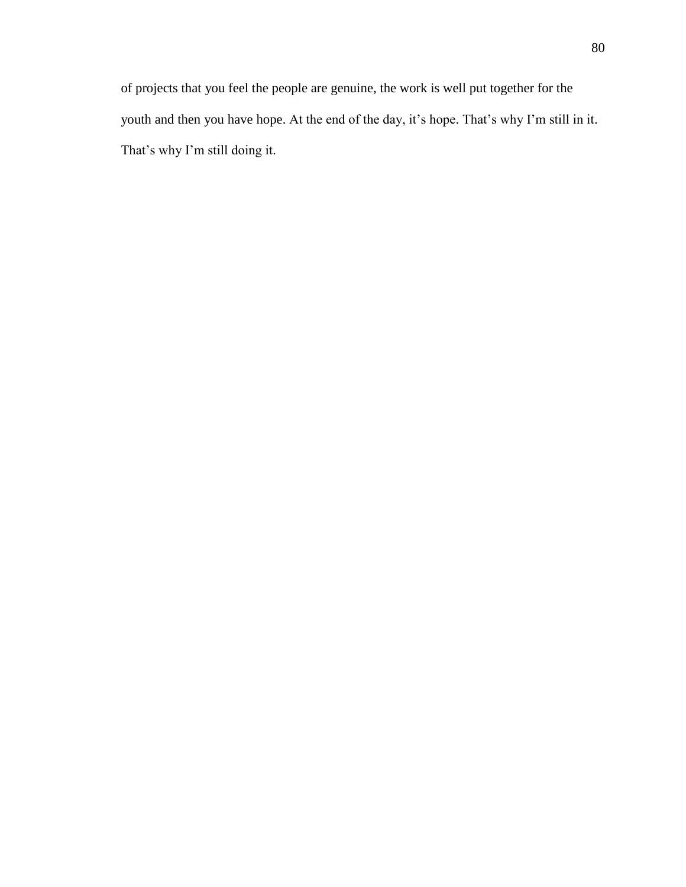of projects that you feel the people are genuine, the work is well put together for the youth and then you have hope. At the end of the day, it's hope. That's why I'm still in it. That's why I'm still doing it.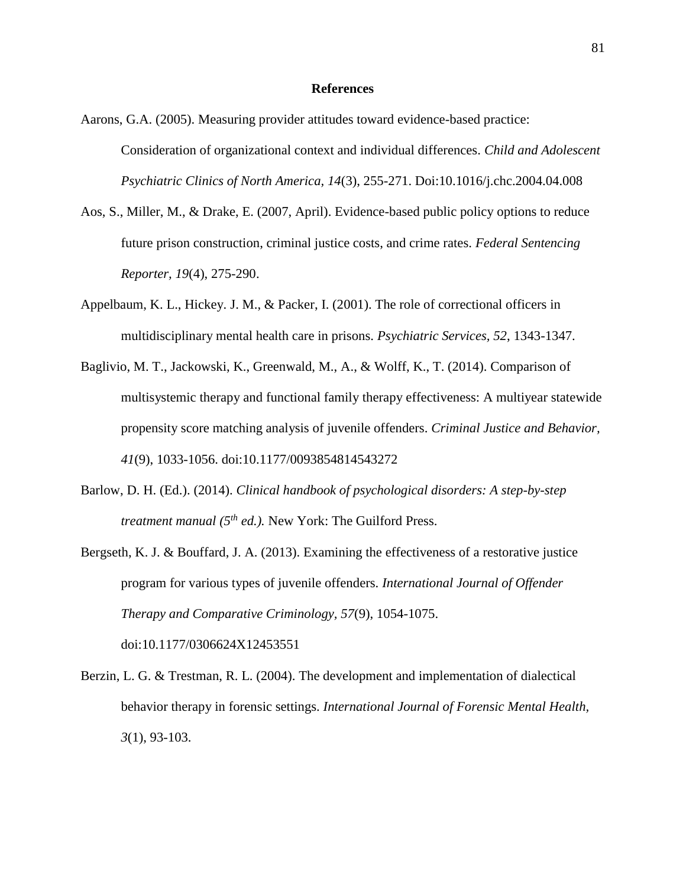### **References**

- Aarons, G.A. (2005). Measuring provider attitudes toward evidence-based practice: Consideration of organizational context and individual differences. *Child and Adolescent Psychiatric Clinics of North America, 14*(3), 255-271. Doi:10.1016/j.chc.2004.04.008
- Aos, S., Miller, M., & Drake, E. (2007, April). Evidence-based public policy options to reduce future prison construction, criminal justice costs, and crime rates. *Federal Sentencing Reporter, 19*(4), 275-290.
- Appelbaum, K. L., Hickey. J. M., & Packer, I. (2001). The role of correctional officers in multidisciplinary mental health care in prisons. *Psychiatric Services, 52*, 1343-1347.
- Baglivio, M. T., Jackowski, K., Greenwald, M., A., & Wolff, K., T. (2014). Comparison of multisystemic therapy and functional family therapy effectiveness: A multiyear statewide propensity score matching analysis of juvenile offenders. *Criminal Justice and Behavior, 41*(9), 1033-1056. doi:10.1177/0093854814543272
- Barlow, D. H. (Ed.). (2014). *Clinical handbook of psychological disorders: A step-by-step treatment manual (5th ed.).* New York: The Guilford Press.
- Bergseth, K. J. & Bouffard, J. A. (2013). Examining the effectiveness of a restorative justice program for various types of juvenile offenders. *International Journal of Offender Therapy and Comparative Criminology, 57*(9), 1054-1075. doi:10.1177/0306624X12453551
- Berzin, L. G. & Trestman, R. L. (2004). The development and implementation of dialectical behavior therapy in forensic settings. *International Journal of Forensic Mental Health, 3*(1), 93-103.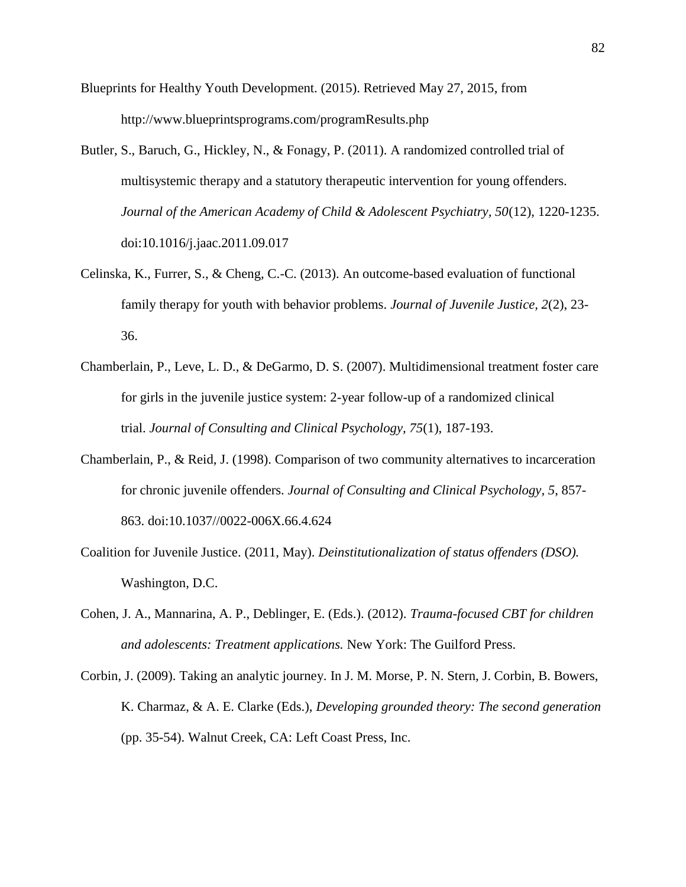Blueprints for Healthy Youth Development. (2015). Retrieved May 27, 2015, from http://www.blueprintsprograms.com/programResults.php

- Butler, S., Baruch, G., Hickley, N., & Fonagy, P. (2011). A randomized controlled trial of multisystemic therapy and a statutory therapeutic intervention for young offenders. *Journal of the American Academy of Child & Adolescent Psychiatry, 50*(12), 1220-1235. doi:10.1016/j.jaac.2011.09.017
- Celinska, K., Furrer, S., & Cheng, C.-C. (2013). An outcome-based evaluation of functional family therapy for youth with behavior problems. *Journal of Juvenile Justice, 2*(2), 23- 36.
- Chamberlain, P., Leve, L. D., & DeGarmo, D. S. (2007). Multidimensional treatment foster care for girls in the juvenile justice system: 2-year follow-up of a randomized clinical trial. *Journal of Consulting and Clinical Psychology, 75*(1), 187-193.
- Chamberlain, P., & Reid, J. (1998). Comparison of two community alternatives to incarceration for chronic juvenile offenders. *Journal of Consulting and Clinical Psychology, 5*, 857- 863. doi:10.1037//0022-006X.66.4.624
- Coalition for Juvenile Justice. (2011, May). *Deinstitutionalization of status offenders (DSO).* Washington, D.C.
- Cohen, J. A., Mannarina, A. P., Deblinger, E. (Eds.). (2012). *Trauma-focused CBT for children and adolescents: Treatment applications.* New York: The Guilford Press.
- Corbin, J. (2009). Taking an analytic journey. In J. M. Morse, P. N. Stern, J. Corbin, B. Bowers, K. Charmaz, & A. E. Clarke (Eds.), *Developing grounded theory: The second generation* (pp. 35-54). Walnut Creek, CA: Left Coast Press, Inc.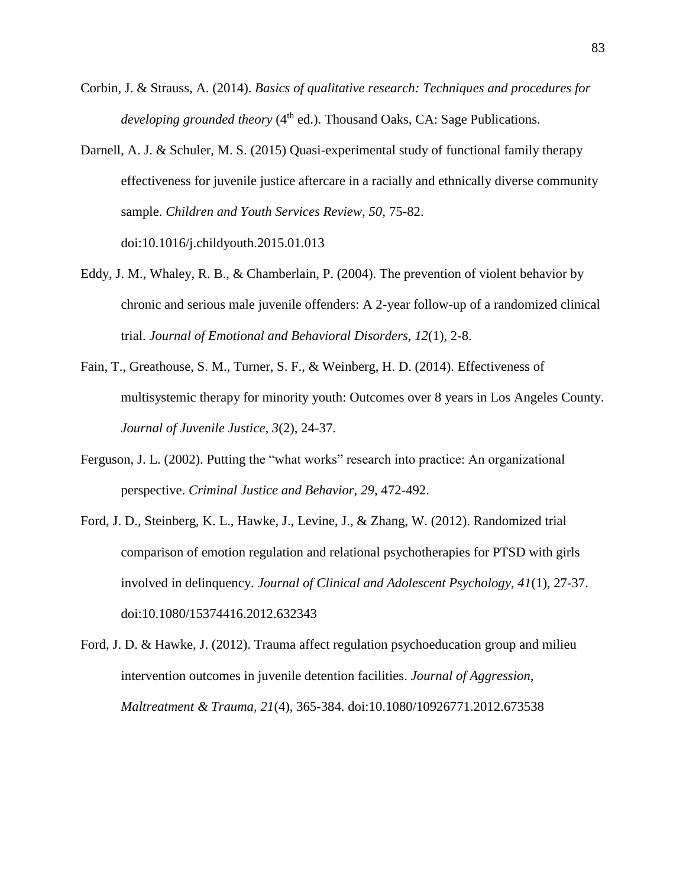- Corbin, J. & Strauss, A. (2014). *Basics of qualitative research: Techniques and procedures for developing grounded theory* (4<sup>th</sup> ed.). Thousand Oaks, CA: Sage Publications.
- Darnell, A. J. & Schuler, M. S. (2015) Quasi-experimental study of functional family therapy effectiveness for juvenile justice aftercare in a racially and ethnically diverse community sample. *Children and Youth Services Review, 50*, 75-82. doi:10.1016/j.childyouth.2015.01.013
- Eddy, J. M., Whaley, R. B., & Chamberlain, P. (2004). The prevention of violent behavior by chronic and serious male juvenile offenders: A 2-year follow-up of a randomized clinical trial. *Journal of Emotional and Behavioral Disorders, 12*(1), 2-8.
- Fain, T., Greathouse, S. M., Turner, S. F., & Weinberg, H. D. (2014). Effectiveness of multisystemic therapy for minority youth: Outcomes over 8 years in Los Angeles County. *Journal of Juvenile Justice, 3*(2), 24-37.
- Ferguson, J. L. (2002). Putting the "what works" research into practice: An organizational perspective. *Criminal Justice and Behavior, 29*, 472-492.
- Ford, J. D., Steinberg, K. L., Hawke, J., Levine, J., & Zhang, W. (2012). Randomized trial comparison of emotion regulation and relational psychotherapies for PTSD with girls involved in delinquency. *Journal of Clinical and Adolescent Psychology, 41*(1), 27-37. doi:10.1080/15374416.2012.632343
- Ford, J. D. & Hawke, J. (2012). Trauma affect regulation psychoeducation group and milieu intervention outcomes in juvenile detention facilities. *Journal of Aggression, Maltreatment & Trauma, 21*(4), 365-384. doi:10.1080/10926771.2012.673538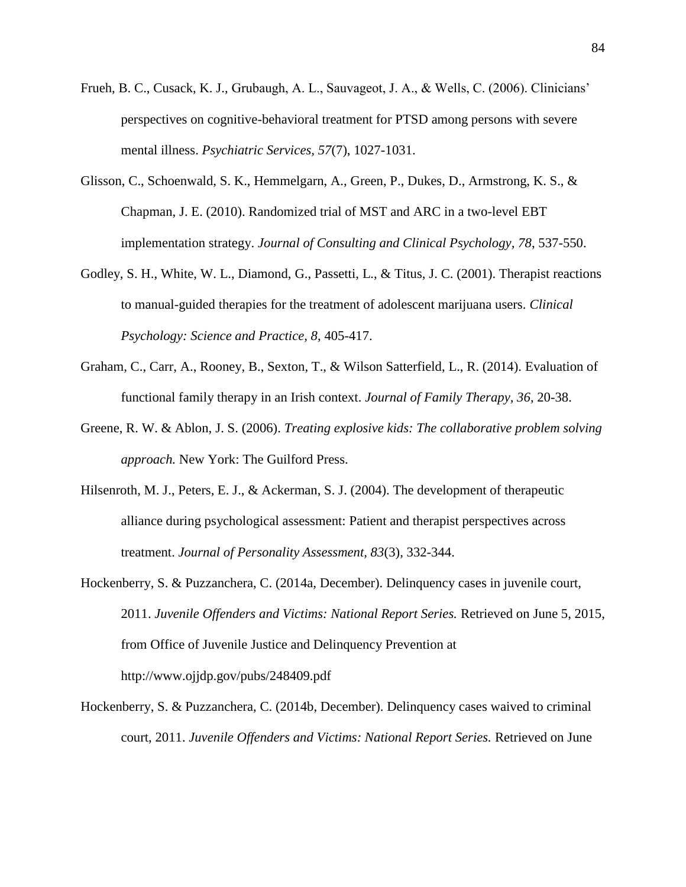- Frueh, B. C., Cusack, K. J., Grubaugh, A. L., Sauvageot, J. A., & Wells, C. (2006). Clinicians' perspectives on cognitive-behavioral treatment for PTSD among persons with severe mental illness. *Psychiatric Services, 57*(7), 1027-1031.
- Glisson, C., Schoenwald, S. K., Hemmelgarn, A., Green, P., Dukes, D., Armstrong, K. S., & Chapman, J. E. (2010). Randomized trial of MST and ARC in a two-level EBT implementation strategy. *Journal of Consulting and Clinical Psychology, 78*, 537-550.
- Godley, S. H., White, W. L., Diamond, G., Passetti, L., & Titus, J. C. (2001). Therapist reactions to manual-guided therapies for the treatment of adolescent marijuana users. *Clinical Psychology: Science and Practice, 8*, 405-417.
- Graham, C., Carr, A., Rooney, B., Sexton, T., & Wilson Satterfield, L., R. (2014). Evaluation of functional family therapy in an Irish context. *Journal of Family Therapy, 36*, 20-38.
- Greene, R. W. & Ablon, J. S. (2006). *Treating explosive kids: The collaborative problem solving approach.* New York: The Guilford Press.
- Hilsenroth, M. J., Peters, E. J., & Ackerman, S. J. (2004). The development of therapeutic alliance during psychological assessment: Patient and therapist perspectives across treatment. *Journal of Personality Assessment, 83*(3), 332-344.
- Hockenberry, S. & Puzzanchera, C. (2014a, December). Delinquency cases in juvenile court, 2011. *Juvenile Offenders and Victims: National Report Series.* Retrieved on June 5, 2015, from Office of Juvenile Justice and Delinquency Prevention at http://www.ojjdp.gov/pubs/248409.pdf
- Hockenberry, S. & Puzzanchera, C. (2014b, December). Delinquency cases waived to criminal court, 2011. *Juvenile Offenders and Victims: National Report Series.* Retrieved on June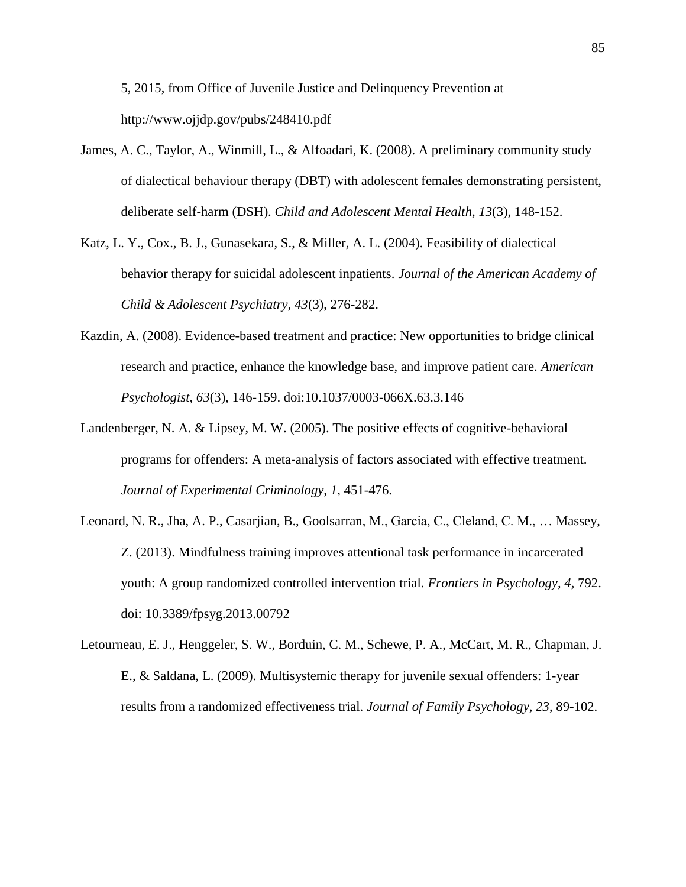5, 2015, from Office of Juvenile Justice and Delinquency Prevention at http://www.ojjdp.gov/pubs/248410.pdf

- James, A. C., Taylor, A., Winmill, L., & Alfoadari, K. (2008). A preliminary community study of dialectical behaviour therapy (DBT) with adolescent females demonstrating persistent, deliberate self-harm (DSH). *Child and Adolescent Mental Health, 13*(3), 148-152.
- Katz, L. Y., Cox., B. J., Gunasekara, S., & Miller, A. L. (2004). Feasibility of dialectical behavior therapy for suicidal adolescent inpatients. *Journal of the American Academy of Child & Adolescent Psychiatry, 43*(3), 276-282.
- Kazdin, A. (2008). Evidence-based treatment and practice: New opportunities to bridge clinical research and practice, enhance the knowledge base, and improve patient care. *American Psychologist, 63*(3), 146-159. doi:10.1037/0003-066X.63.3.146
- Landenberger, N. A. & Lipsey, M. W. (2005). The positive effects of cognitive-behavioral programs for offenders: A meta-analysis of factors associated with effective treatment. *Journal of Experimental Criminology, 1*, 451-476.
- Leonard, N. R., Jha, A. P., Casarjian, B., Goolsarran, M., Garcia, C., Cleland, C. M., … Massey, Z. (2013). Mindfulness training improves attentional task performance in incarcerated youth: A group randomized controlled intervention trial. *Frontiers in Psychology, 4,* 792. doi: 10.3389/fpsyg.2013.00792
- Letourneau, E. J., Henggeler, S. W., Borduin, C. M., Schewe, P. A., McCart, M. R., Chapman, J. E., & Saldana, L. (2009). Multisystemic therapy for juvenile sexual offenders: 1-year results from a randomized effectiveness trial. *Journal of Family Psychology, 23*, 89-102.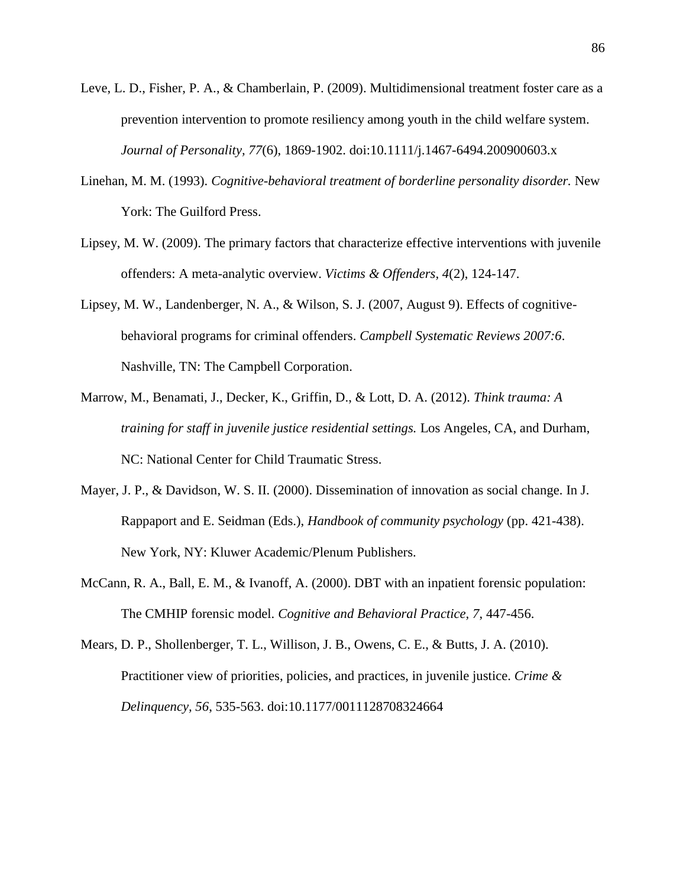- Leve, L. D., Fisher, P. A., & Chamberlain, P. (2009). Multidimensional treatment foster care as a prevention intervention to promote resiliency among youth in the child welfare system. *Journal of Personality, 77*(6), 1869-1902. doi:10.1111/j.1467-6494.200900603.x
- Linehan, M. M. (1993). *Cognitive-behavioral treatment of borderline personality disorder.* New York: The Guilford Press.
- Lipsey, M. W. (2009). The primary factors that characterize effective interventions with juvenile offenders: A meta-analytic overview. *Victims & Offenders, 4*(2), 124-147.
- Lipsey, M. W., Landenberger, N. A., & Wilson, S. J. (2007, August 9). Effects of cognitivebehavioral programs for criminal offenders. *Campbell Systematic Reviews 2007:6*. Nashville, TN: The Campbell Corporation.
- Marrow, M., Benamati, J., Decker, K., Griffin, D., & Lott, D. A. (2012). *Think trauma: A training for staff in juvenile justice residential settings.* Los Angeles, CA, and Durham, NC: National Center for Child Traumatic Stress.
- Mayer, J. P., & Davidson, W. S. II. (2000). Dissemination of innovation as social change. In J. Rappaport and E. Seidman (Eds.), *Handbook of community psychology* (pp. 421-438). New York, NY: Kluwer Academic/Plenum Publishers.
- McCann, R. A., Ball, E. M., & Ivanoff, A. (2000). DBT with an inpatient forensic population: The CMHIP forensic model. *Cognitive and Behavioral Practice, 7*, 447-456.
- Mears, D. P., Shollenberger, T. L., Willison, J. B., Owens, C. E., & Butts, J. A. (2010). Practitioner view of priorities, policies, and practices, in juvenile justice. *Crime & Delinquency, 56*, 535-563. doi:10.1177/0011128708324664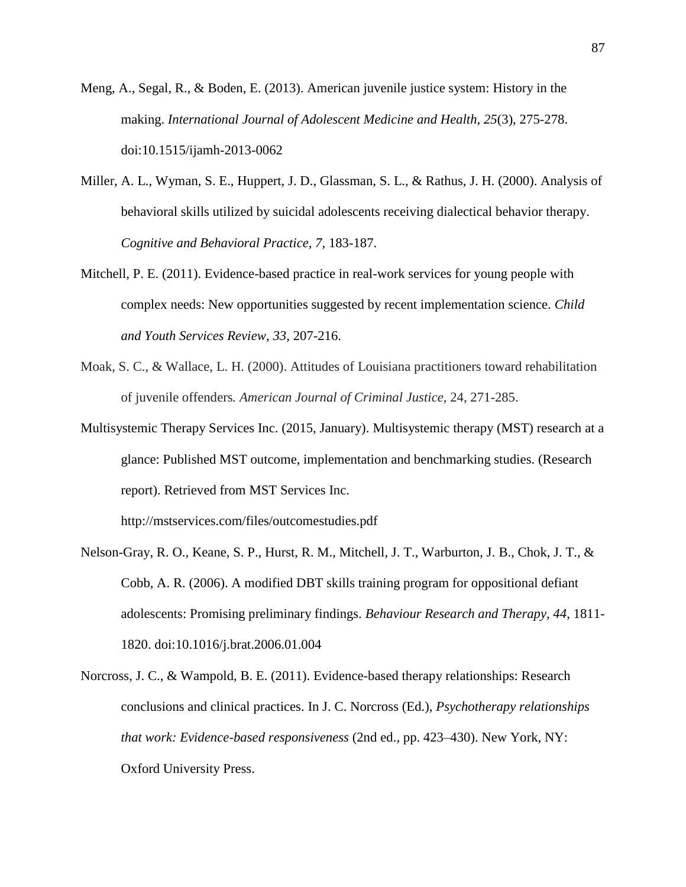- Meng, A., Segal, R., & Boden, E. (2013). American juvenile justice system: History in the making. *International Journal of Adolescent Medicine and Health, 25*(3), 275-278. doi:10.1515/ijamh-2013-0062
- Miller, A. L., Wyman, S. E., Huppert, J. D., Glassman, S. L., & Rathus, J. H. (2000). Analysis of behavioral skills utilized by suicidal adolescents receiving dialectical behavior therapy. *Cognitive and Behavioral Practice, 7*, 183-187.
- Mitchell, P. E. (2011). Evidence-based practice in real-work services for young people with complex needs: New opportunities suggested by recent implementation science. *Child and Youth Services Review, 33*, 207-216.
- Moak, S. C., & Wallace, L. H. (2000). Attitudes of Louisiana practitioners toward rehabilitation of juvenile offenders*. American Journal of Criminal Justice,* 24*,* 271*-*285.
- Multisystemic Therapy Services Inc. (2015, January). Multisystemic therapy (MST) research at a glance: Published MST outcome, implementation and benchmarking studies. (Research report). Retrieved from MST Services Inc.

http://mstservices.com/files/outcomestudies.pdf

- Nelson-Gray, R. O., Keane, S. P., Hurst, R. M., Mitchell, J. T., Warburton, J. B., Chok, J. T., & Cobb, A. R. (2006). A modified DBT skills training program for oppositional defiant adolescents: Promising preliminary findings. *Behaviour Research and Therapy, 44*, 1811- 1820. doi:10.1016/j.brat.2006.01.004
- Norcross, J. C., & Wampold, B. E. (2011). Evidence-based therapy relationships: Research conclusions and clinical practices. In J. C. Norcross (Ed.), *Psychotherapy relationships that work: Evidence-based responsiveness* (2nd ed., pp. 423–430). New York, NY: Oxford University Press.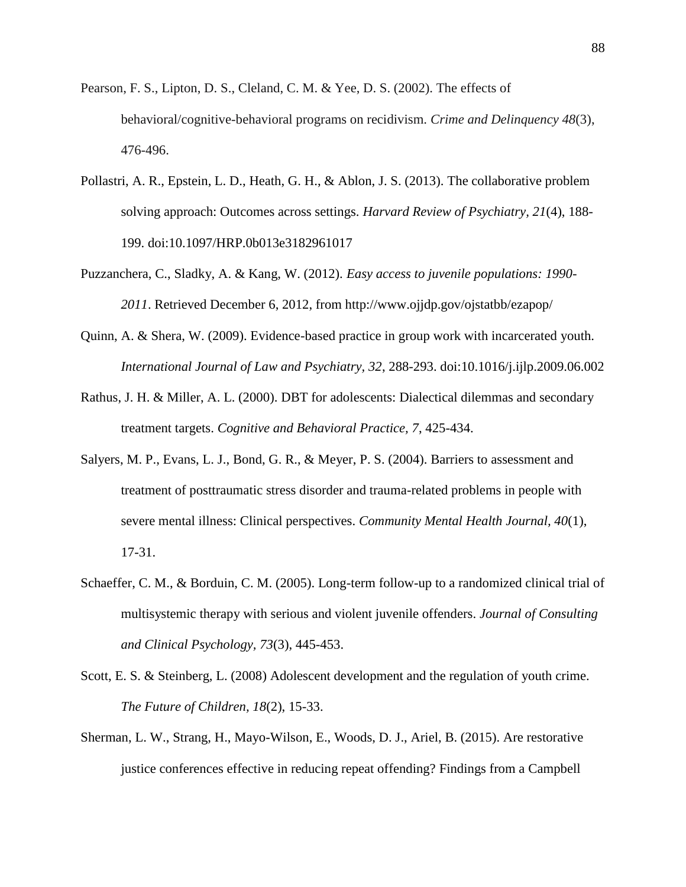- Pearson, F. S., Lipton, D. S., Cleland, C. M. & Yee, D. S. (2002). The effects of behavioral/cognitive-behavioral programs on recidivism. *Crime and Delinquency 48*(3), 476-496.
- Pollastri, A. R., Epstein, L. D., Heath, G. H., & Ablon, J. S. (2013). The collaborative problem solving approach: Outcomes across settings. *Harvard Review of Psychiatry, 21*(4), 188- 199. doi:10.1097/HRP.0b013e3182961017
- Puzzanchera, C., Sladky, A. & Kang, W. (2012). *Easy access to juvenile populations: 1990- 2011*. Retrieved December 6, 2012, from http://www.ojjdp.gov/ojstatbb/ezapop/
- Quinn, A. & Shera, W. (2009). Evidence-based practice in group work with incarcerated youth. *International Journal of Law and Psychiatry, 32*, 288-293. doi:10.1016/j.ijlp.2009.06.002
- Rathus, J. H. & Miller, A. L. (2000). DBT for adolescents: Dialectical dilemmas and secondary treatment targets. *Cognitive and Behavioral Practice, 7*, 425-434.
- Salyers, M. P., Evans, L. J., Bond, G. R., & Meyer, P. S. (2004). Barriers to assessment and treatment of posttraumatic stress disorder and trauma-related problems in people with severe mental illness: Clinical perspectives. *Community Mental Health Journal, 40*(1), 17-31.
- Schaeffer, C. M., & Borduin, C. M. (2005). Long-term follow-up to a randomized clinical trial of multisystemic therapy with serious and violent juvenile offenders. *Journal of Consulting and Clinical Psychology, 73*(3), 445-453.
- Scott, E. S. & Steinberg, L. (2008) Adolescent development and the regulation of youth crime. *The Future of Children, 18*(2), 15-33.
- Sherman, L. W., Strang, H., Mayo-Wilson, E., Woods, D. J., Ariel, B. (2015). Are restorative justice conferences effective in reducing repeat offending? Findings from a Campbell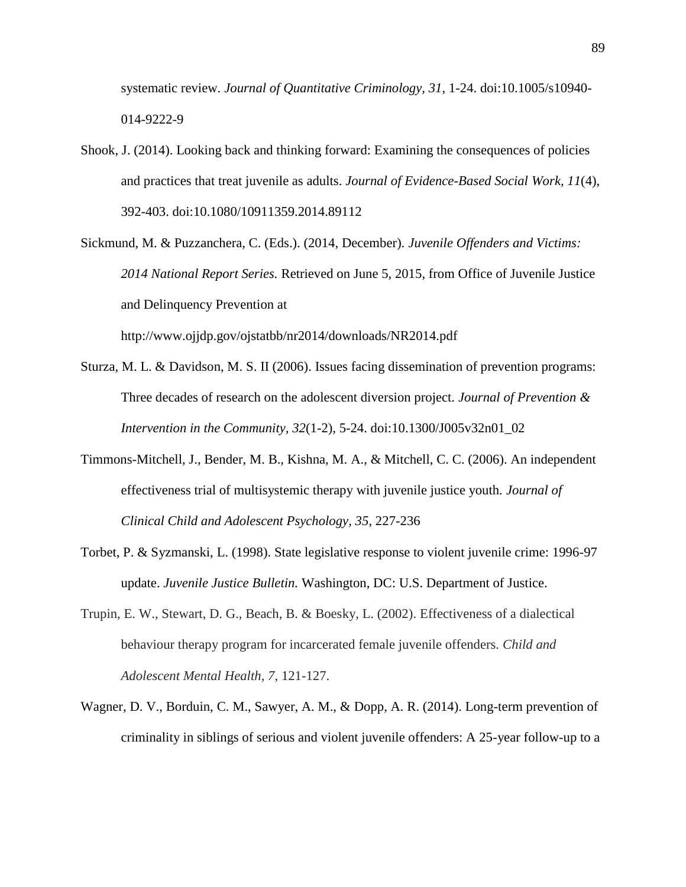systematic review. *Journal of Quantitative Criminology, 31*, 1-24. doi:10.1005/s10940- 014-9222-9

- Shook, J. (2014). Looking back and thinking forward: Examining the consequences of policies and practices that treat juvenile as adults. *Journal of Evidence-Based Social Work, 11*(4), 392-403. doi:10.1080/10911359.2014.89112
- Sickmund, M. & Puzzanchera, C. (Eds.). (2014, December). *Juvenile Offenders and Victims: 2014 National Report Series.* Retrieved on June 5, 2015, from Office of Juvenile Justice and Delinquency Prevention at http://www.ojjdp.gov/ojstatbb/nr2014/downloads/NR2014.pdf
- Sturza, M. L. & Davidson, M. S. II (2006). Issues facing dissemination of prevention programs: Three decades of research on the adolescent diversion project. *Journal of Prevention & Intervention in the Community, 32*(1-2), 5-24. doi:10.1300/J005v32n01\_02
- Timmons-Mitchell, J., Bender, M. B., Kishna, M. A., & Mitchell, C. C. (2006). An independent effectiveness trial of multisystemic therapy with juvenile justice youth. *Journal of Clinical Child and Adolescent Psychology, 35*, 227-236
- Torbet, P. & Syzmanski, L. (1998). State legislative response to violent juvenile crime: 1996-97 update. *Juvenile Justice Bulletin.* Washington, DC: U.S. Department of Justice.
- Trupin, E. W., Stewart, D. G., Beach, B. & Boesky, L. (2002). Effectiveness of a dialectical behaviour therapy program for incarcerated female juvenile offenders. *Child and Adolescent Mental Health, 7*, 121-127.
- Wagner, D. V., Borduin, C. M., Sawyer, A. M., & Dopp, A. R. (2014). Long-term prevention of criminality in siblings of serious and violent juvenile offenders: A 25-year follow-up to a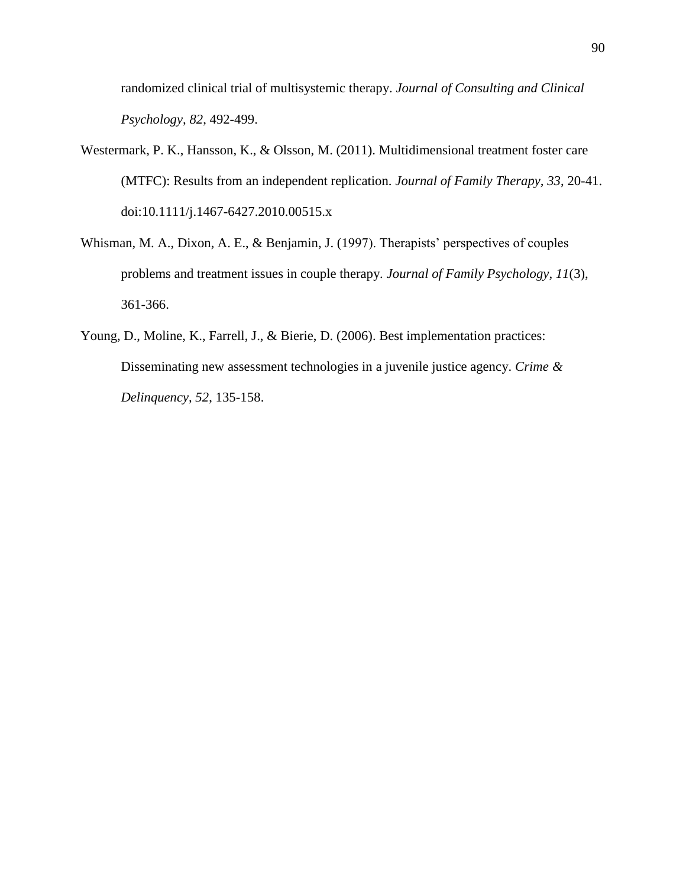randomized clinical trial of multisystemic therapy. *Journal of Consulting and Clinical Psychology, 82*, 492-499.

- Westermark, P. K., Hansson, K., & Olsson, M. (2011). Multidimensional treatment foster care (MTFC): Results from an independent replication. *Journal of Family Therapy, 33*, 20-41. doi:10.1111/j.1467-6427.2010.00515.x
- Whisman, M. A., Dixon, A. E., & Benjamin, J. (1997). Therapists' perspectives of couples problems and treatment issues in couple therapy. *Journal of Family Psychology, 11*(3), 361-366.
- Young, D., Moline, K., Farrell, J., & Bierie, D. (2006). Best implementation practices: Disseminating new assessment technologies in a juvenile justice agency. *Crime & Delinquency, 52*, 135-158.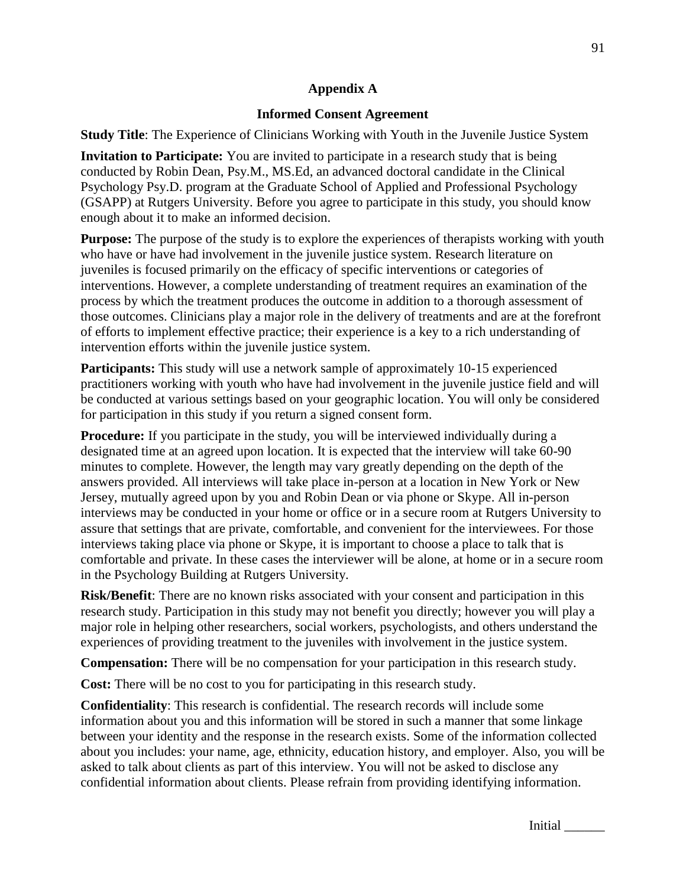## **Appendix A**

# **Informed Consent Agreement**

**Study Title**: The Experience of Clinicians Working with Youth in the Juvenile Justice System

**Invitation to Participate:** You are invited to participate in a research study that is being conducted by Robin Dean, Psy.M., MS.Ed, an advanced doctoral candidate in the Clinical Psychology Psy.D. program at the Graduate School of Applied and Professional Psychology (GSAPP) at Rutgers University. Before you agree to participate in this study, you should know enough about it to make an informed decision.

**Purpose:** The purpose of the study is to explore the experiences of therapists working with youth who have or have had involvement in the juvenile justice system. Research literature on juveniles is focused primarily on the efficacy of specific interventions or categories of interventions. However, a complete understanding of treatment requires an examination of the process by which the treatment produces the outcome in addition to a thorough assessment of those outcomes. Clinicians play a major role in the delivery of treatments and are at the forefront of efforts to implement effective practice; their experience is a key to a rich understanding of intervention efforts within the juvenile justice system.

**Participants:** This study will use a network sample of approximately 10-15 experienced practitioners working with youth who have had involvement in the juvenile justice field and will be conducted at various settings based on your geographic location. You will only be considered for participation in this study if you return a signed consent form.

**Procedure:** If you participate in the study, you will be interviewed individually during a designated time at an agreed upon location. It is expected that the interview will take 60-90 minutes to complete. However, the length may vary greatly depending on the depth of the answers provided. All interviews will take place in-person at a location in New York or New Jersey, mutually agreed upon by you and Robin Dean or via phone or Skype. All in-person interviews may be conducted in your home or office or in a secure room at Rutgers University to assure that settings that are private, comfortable, and convenient for the interviewees. For those interviews taking place via phone or Skype, it is important to choose a place to talk that is comfortable and private. In these cases the interviewer will be alone, at home or in a secure room in the Psychology Building at Rutgers University.

**Risk/Benefit**: There are no known risks associated with your consent and participation in this research study. Participation in this study may not benefit you directly; however you will play a major role in helping other researchers, social workers, psychologists, and others understand the experiences of providing treatment to the juveniles with involvement in the justice system.

**Compensation:** There will be no compensation for your participation in this research study.

**Cost:** There will be no cost to you for participating in this research study.

**Confidentiality**: This research is confidential. The research records will include some information about you and this information will be stored in such a manner that some linkage between your identity and the response in the research exists. Some of the information collected about you includes: your name, age, ethnicity, education history, and employer. Also, you will be asked to talk about clients as part of this interview. You will not be asked to disclose any confidential information about clients. Please refrain from providing identifying information.

Initial \_\_\_\_\_\_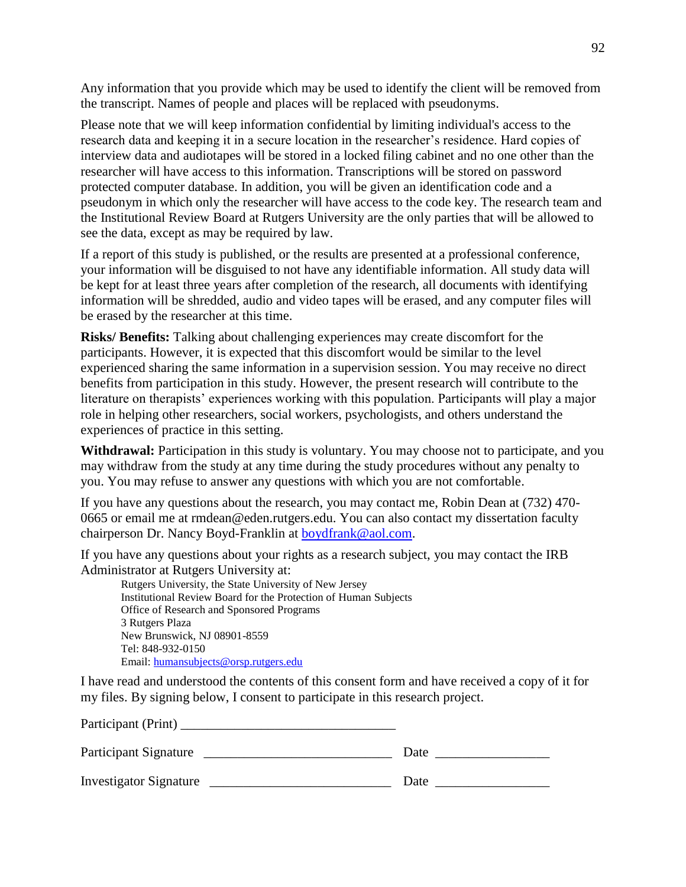Any information that you provide which may be used to identify the client will be removed from the transcript. Names of people and places will be replaced with pseudonyms.

Please note that we will keep information confidential by limiting individual's access to the research data and keeping it in a secure location in the researcher's residence. Hard copies of interview data and audiotapes will be stored in a locked filing cabinet and no one other than the researcher will have access to this information. Transcriptions will be stored on password protected computer database. In addition, you will be given an identification code and a pseudonym in which only the researcher will have access to the code key. The research team and the Institutional Review Board at Rutgers University are the only parties that will be allowed to see the data, except as may be required by law.

If a report of this study is published, or the results are presented at a professional conference, your information will be disguised to not have any identifiable information. All study data will be kept for at least three years after completion of the research, all documents with identifying information will be shredded, audio and video tapes will be erased, and any computer files will be erased by the researcher at this time.

**Risks/ Benefits:** Talking about challenging experiences may create discomfort for the participants. However, it is expected that this discomfort would be similar to the level experienced sharing the same information in a supervision session. You may receive no direct benefits from participation in this study. However, the present research will contribute to the literature on therapists' experiences working with this population. Participants will play a major role in helping other researchers, social workers, psychologists, and others understand the experiences of practice in this setting.

**Withdrawal:** Participation in this study is voluntary. You may choose not to participate, and you may withdraw from the study at any time during the study procedures without any penalty to you. You may refuse to answer any questions with which you are not comfortable.

If you have any questions about the research, you may contact me, Robin Dean at (732) 470- 0665 or email me at rmdean@eden.rutgers.edu. You can also contact my dissertation faculty chairperson Dr. Nancy Boyd-Franklin at [boydfrank@aol.com.](mailto:boydfrank@aol.com)

If you have any questions about your rights as a research subject, you may contact the IRB Administrator at Rutgers University at:

Rutgers University, the State University of New Jersey Institutional Review Board for the Protection of Human Subjects Office of Research and Sponsored Programs 3 Rutgers Plaza New Brunswick, NJ 08901-8559 Tel: 848-932-0150 Email: [humansubjects@orsp.rutgers.edu](mailto:humansubjects@orsp.rutgers.edu)

Participant (Print)

I have read and understood the contents of this consent form and have received a copy of it for my files. By signing below, I consent to participate in this research project.

| Participant Signature         | Date |
|-------------------------------|------|
| <b>Investigator Signature</b> | Date |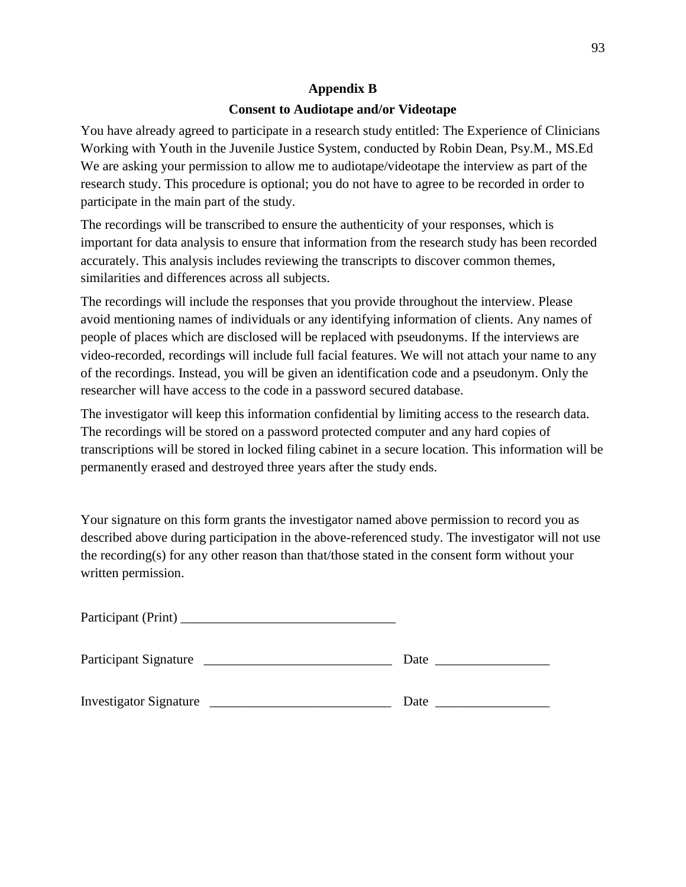# **Appendix B**

## **Consent to Audiotape and/or Videotape**

You have already agreed to participate in a research study entitled: The Experience of Clinicians Working with Youth in the Juvenile Justice System, conducted by Robin Dean, Psy.M., MS.Ed We are asking your permission to allow me to audiotape/videotape the interview as part of the research study. This procedure is optional; you do not have to agree to be recorded in order to participate in the main part of the study.

The recordings will be transcribed to ensure the authenticity of your responses, which is important for data analysis to ensure that information from the research study has been recorded accurately. This analysis includes reviewing the transcripts to discover common themes, similarities and differences across all subjects.

The recordings will include the responses that you provide throughout the interview. Please avoid mentioning names of individuals or any identifying information of clients. Any names of people of places which are disclosed will be replaced with pseudonyms. If the interviews are video-recorded, recordings will include full facial features. We will not attach your name to any of the recordings. Instead, you will be given an identification code and a pseudonym. Only the researcher will have access to the code in a password secured database.

The investigator will keep this information confidential by limiting access to the research data. The recordings will be stored on a password protected computer and any hard copies of transcriptions will be stored in locked filing cabinet in a secure location. This information will be permanently erased and destroyed three years after the study ends.

Your signature on this form grants the investigator named above permission to record you as described above during participation in the above-referenced study. The investigator will not use the recording(s) for any other reason than that/those stated in the consent form without your written permission.

| Participant Signature         | Date |
|-------------------------------|------|
| <b>Investigator Signature</b> | Date |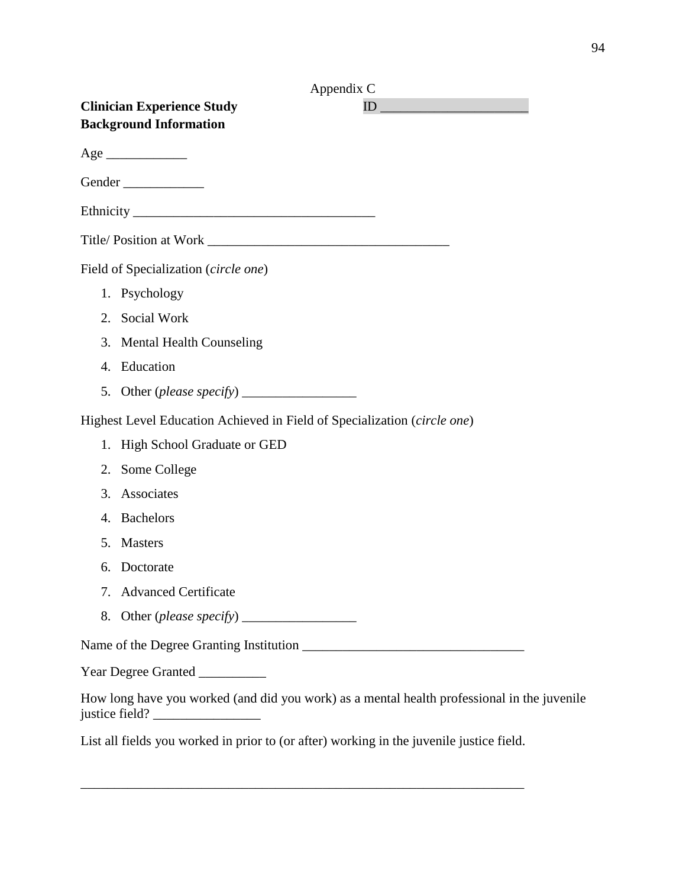| Appendix C                                                                                  |
|---------------------------------------------------------------------------------------------|
| <b>Clinician Experience Study</b><br>ID                                                     |
| <b>Background Information</b>                                                               |
| Age                                                                                         |
| Gender                                                                                      |
|                                                                                             |
| Title/Position at Work                                                                      |
| Field of Specialization (circle one)                                                        |
| 1. Psychology                                                                               |
| Social Work<br>2.                                                                           |
| 3.<br><b>Mental Health Counseling</b>                                                       |
| Education<br>4.                                                                             |
| Other (please specify) ________________<br>5.                                               |
| Highest Level Education Achieved in Field of Specialization (circle one)                    |
| High School Graduate or GED<br>1.                                                           |
| Some College<br>2.                                                                          |
| Associates<br>3.                                                                            |
| <b>Bachelors</b><br>4.                                                                      |
| <b>Masters</b><br>5.                                                                        |
| Doctorate<br>6.                                                                             |
| <b>Advanced Certificate</b><br>7.                                                           |
| 8.                                                                                          |
|                                                                                             |
| Year Degree Granted _________                                                               |
| How long have you worked (and did you work) as a mental health professional in the juvenile |

List all fields you worked in prior to (or after) working in the juvenile justice field.

\_\_\_\_\_\_\_\_\_\_\_\_\_\_\_\_\_\_\_\_\_\_\_\_\_\_\_\_\_\_\_\_\_\_\_\_\_\_\_\_\_\_\_\_\_\_\_\_\_\_\_\_\_\_\_\_\_\_\_\_\_\_\_\_\_\_

justice field? \_\_\_\_\_\_\_\_\_\_\_\_\_\_\_\_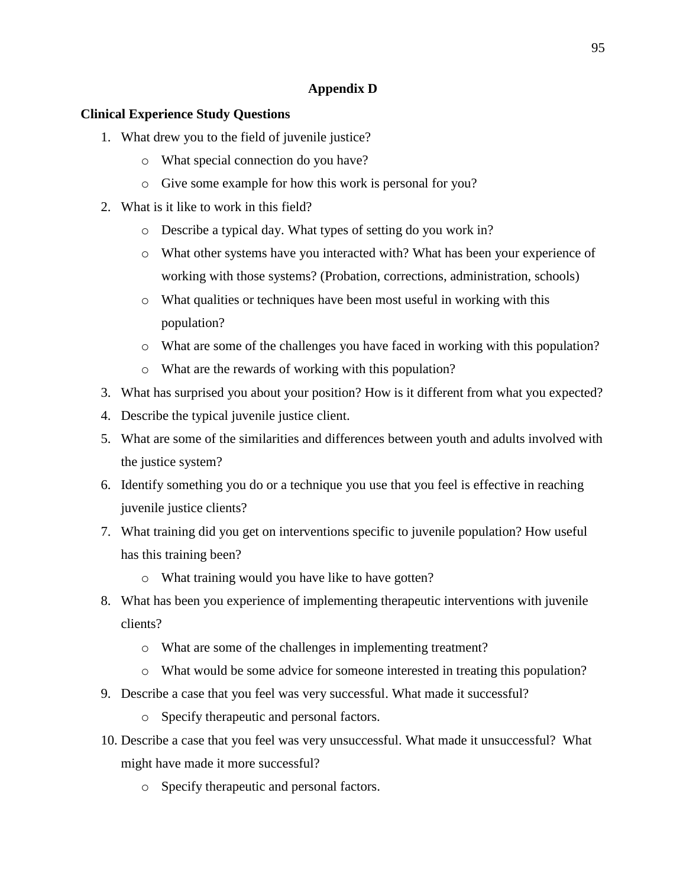# **Appendix D**

## **Clinical Experience Study Questions**

- 1. What drew you to the field of juvenile justice?
	- o What special connection do you have?
	- o Give some example for how this work is personal for you?
- 2. What is it like to work in this field?
	- o Describe a typical day. What types of setting do you work in?
	- o What other systems have you interacted with? What has been your experience of working with those systems? (Probation, corrections, administration, schools)
	- o What qualities or techniques have been most useful in working with this population?
	- o What are some of the challenges you have faced in working with this population?
	- o What are the rewards of working with this population?
- 3. What has surprised you about your position? How is it different from what you expected?
- 4. Describe the typical juvenile justice client.
- 5. What are some of the similarities and differences between youth and adults involved with the justice system?
- 6. Identify something you do or a technique you use that you feel is effective in reaching juvenile justice clients?
- 7. What training did you get on interventions specific to juvenile population? How useful has this training been?
	- o What training would you have like to have gotten?
- 8. What has been you experience of implementing therapeutic interventions with juvenile clients?
	- o What are some of the challenges in implementing treatment?
	- o What would be some advice for someone interested in treating this population?
- 9. Describe a case that you feel was very successful. What made it successful?
	- o Specify therapeutic and personal factors.
- 10. Describe a case that you feel was very unsuccessful. What made it unsuccessful? What might have made it more successful?
	- o Specify therapeutic and personal factors.